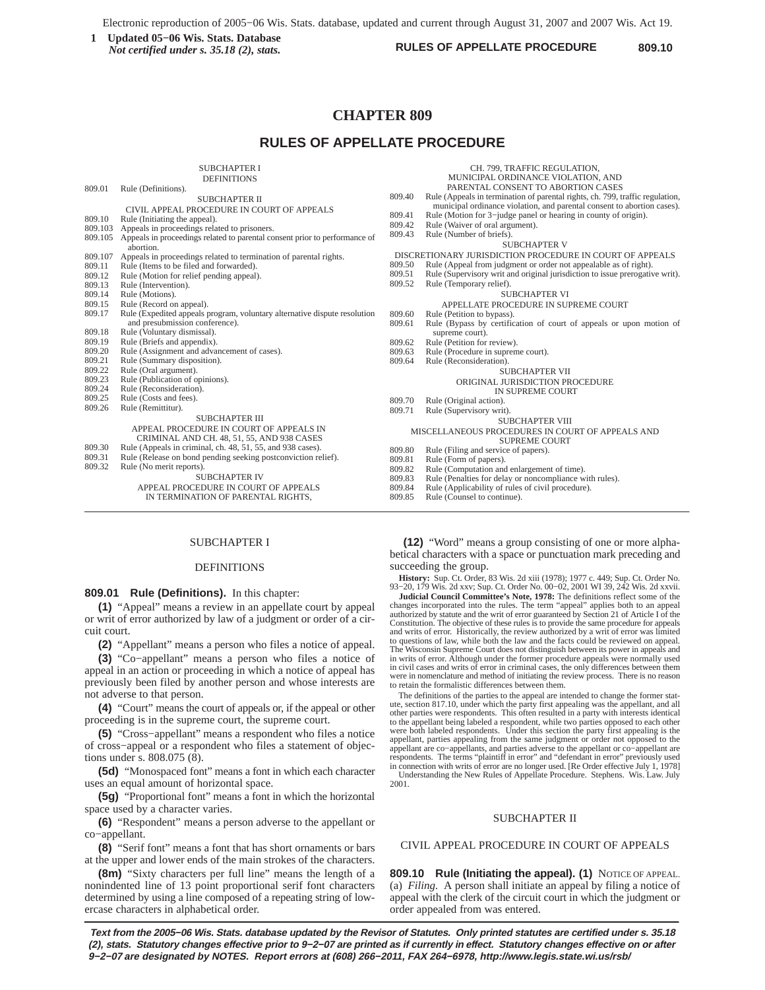**RULES OF APPELLATE PROCEDURE**<br> *Not certified under* s 35.18 (2) stats. **1 1 COVERGES OF APPELLATE PROCEDURE** 809.10 *Not certified under s. 35.18 (2), stats.*

CH. 799, TRAFFIC REGULATION,

# **CHAPTER 809**

# **RULES OF APPELLATE PROCEDURE**

SUBCHAPTER I

|         | <b>DEFINITIONS</b>                                                         |        | MUNICIPAL ORDINANCE VIOLATION, AND                                            |
|---------|----------------------------------------------------------------------------|--------|-------------------------------------------------------------------------------|
| 809.01  | Rule (Definitions).                                                        |        | PARENTAL CONSENT TO ABORTION CASES                                            |
|         | <b>SUBCHAPTER II</b>                                                       | 809.40 | Rule (Appeals in termination of parental rights, ch. 799, traffic regulation, |
|         | CIVIL APPEAL PROCEDURE IN COURT OF APPEALS                                 |        | municipal ordinance violation, and parental consent to abortion cases).       |
| 809.10  | Rule (Initiating the appeal).                                              | 809.41 | Rule (Motion for 3-judge panel or hearing in county of origin).               |
| 809.103 | Appeals in proceedings related to prisoners.                               | 809.42 | Rule (Waiver of oral argument).                                               |
| 809.105 | Appeals in proceedings related to parental consent prior to performance of | 809.43 | Rule (Number of briefs).                                                      |
|         | abortion.                                                                  |        | <b>SUBCHAPTER V</b>                                                           |
| 809.107 | Appeals in proceedings related to termination of parental rights.          |        | DISCRETIONARY JURISDICTION PROCEDURE IN COURT OF APPEALS                      |
| 809.11  | Rule (Items to be filed and forwarded).                                    | 809.50 | Rule (Appeal from judgment or order not appealable as of right).              |
| 809.12  | Rule (Motion for relief pending appeal).                                   | 809.51 | Rule (Supervisory writ and original jurisdiction to issue prerogative writ).  |
| 809.13  | Rule (Intervention).                                                       | 809.52 | Rule (Temporary relief).                                                      |
| 809.14  | Rule (Motions).                                                            |        | <b>SUBCHAPTER VI</b>                                                          |
| 809.15  | Rule (Record on appeal).                                                   |        | APPELLATE PROCEDURE IN SUPREME COURT                                          |
| 809.17  | Rule (Expedited appeals program, voluntary alternative dispute resolution  | 809.60 | Rule (Petition to bypass).                                                    |
|         | and presubmission conference).                                             | 809.61 | Rule (Bypass by certification of court of appeals or upon motion of           |
| 809.18  | Rule (Voluntary dismissal).                                                |        | supreme court).                                                               |
| 809.19  | Rule (Briefs and appendix).                                                | 809.62 | Rule (Petition for review).                                                   |
| 809.20  | Rule (Assignment and advancement of cases).                                | 809.63 | Rule (Procedure in supreme court).                                            |
| 809.21  | Rule (Summary disposition).                                                | 809.64 | Rule (Reconsideration).                                                       |
| 809.22  | Rule (Oral argument).                                                      |        | <b>SUBCHAPTER VII</b>                                                         |
| 809.23  | Rule (Publication of opinions).                                            |        | ORIGINAL JURISDICTION PROCEDURE                                               |
| 809.24  | Rule (Reconsideration).                                                    |        | IN SUPREME COURT                                                              |
| 809.25  | Rule (Costs and fees).                                                     | 809.70 | Rule (Original action).                                                       |
| 809.26  | Rule (Remittitur).                                                         | 809.71 | Rule (Supervisory writ).                                                      |
|         | <b>SUBCHAPTER III</b>                                                      |        | <b>SUBCHAPTER VIII</b>                                                        |
|         | APPEAL PROCEDURE IN COURT OF APPEALS IN                                    |        | MISCELLANEOUS PROCEDURES IN COURT OF APPEALS AND                              |
|         | CRIMINAL AND CH. 48, 51, 55, AND 938 CASES                                 |        | <b>SUPREME COURT</b>                                                          |
| 809.30  | Rule (Appeals in criminal, ch. 48, 51, 55, and 938 cases).                 | 809.80 | Rule (Filing and service of papers).                                          |
| 809.31  | Rule (Release on bond pending seeking postconviction relief).              | 809.81 | Rule (Form of papers).                                                        |
| 809.32  | Rule (No merit reports).                                                   | 809.82 | Rule (Computation and enlargement of time).                                   |
|         | <b>SUBCHAPTER IV</b>                                                       | 809.83 | Rule (Penalties for delay or noncompliance with rules).                       |
|         | APPEAL PROCEDURE IN COURT OF APPEALS                                       | 809.84 | Rule (Applicability of rules of civil procedure).                             |
|         | IN TERMINATION OF PARENTAL RIGHTS.                                         | 809.85 | Rule (Counsel to continue).                                                   |
|         |                                                                            |        |                                                                               |

# SUBCHAPTER I

#### DEFINITIONS

**809.01 Rule (Definitions).** In this chapter:

**(1)** "Appeal" means a review in an appellate court by appeal or writ of error authorized by law of a judgment or order of a circuit court.

**(2)** "Appellant" means a person who files a notice of appeal.

**(3)** "Co−appellant" means a person who files a notice of appeal in an action or proceeding in which a notice of appeal has previously been filed by another person and whose interests are not adverse to that person.

**(4)** "Court" means the court of appeals or, if the appeal or other proceeding is in the supreme court, the supreme court.

**(5)** "Cross−appellant" means a respondent who files a notice of cross−appeal or a respondent who files a statement of objections under s. 808.075 (8).

**(5d)** "Monospaced font" means a font in which each character uses an equal amount of horizontal space.

**(5g)** "Proportional font" means a font in which the horizontal space used by a character varies.

**(6)** "Respondent" means a person adverse to the appellant or co−appellant.

**(8)** "Serif font" means a font that has short ornaments or bars at the upper and lower ends of the main strokes of the characters.

**(8m)** "Sixty characters per full line" means the length of a nonindented line of 13 point proportional serif font characters determined by using a line composed of a repeating string of lowercase characters in alphabetical order.

**(12)** "Word" means a group consisting of one or more alphabetical characters with a space or punctuation mark preceding and succeeding the group.

**History:** Sup. Ct. Order, 83 Wis. 2d xiii (1978); 1977 c. 449; Sup. Ct. Order No. 93−20, 179 Wis. 2d xxv; Sup. Ct. Order No. 00−02, 2001 WI 39, 242 Wis. 2d xxvii.

**Judicial Council Committee's Note, 1978:** The definitions reflect some of the changes incorporated into the rules. The term "appeal" applies both to an appeal authorized by statute and the writ of error guaranteed by Section 21 of Article I of the Constitution. The objective of these rules is to provide the same procedure for appeals and writs of error. Historically, the review authorized by a writ of error was limited to questions of law, while both the law and the facts could be reviewed on appeal. The Wisconsin Supreme Court does not distinguish between its power in appeals and<br>in writs of error. Although under the former procedure appeals were normally used<br>in civil cases and writs of error in criminal cases, the o were in nomenclature and method of initiating the review process. There is no reason to retain the formalistic differences between them.

The definitions of the parties to the appeal are intended to change the former statute, section 817.10, under which the party first appealing was the appellant, and all other parties were respondents. This often resulted in a party with interests identical to the appellant being labeled a respondent, while two parties opposed to each other were both labeled respondents. Under this section the party first appealing is the appellant, parties appealing from the same judgment or order not opposed to the appellant are co−appellants, and parties adverse to the appellant or co−appellant are respondents. The terms "plaintiff in error" and "defendant in error" previously used in connection with writs of error are no longer used. [Re Order effective July 1, 1978] Understanding the New Rules of Appellate Procedure. Stephens. Wis. Law. July 2001.

#### SUBCHAPTER II

### CIVIL APPEAL PROCEDURE IN COURT OF APPEALS

**809.10 Rule (Initiating the appeal). (1)** NOTICE OF APPEAL. (a) *Filing.* A person shall initiate an appeal by filing a notice of appeal with the clerk of the circuit court in which the judgment or order appealed from was entered.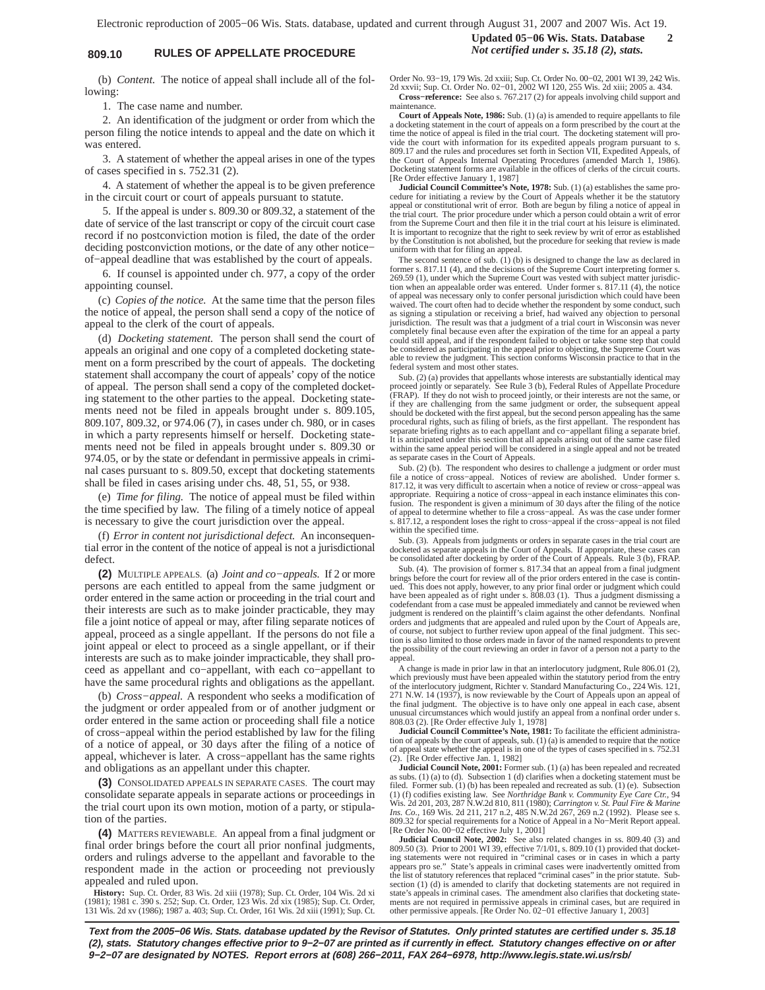# **809.10 RULES OF APPELLATE PROCEDURE** *Not certified under s. 35.18 (2), stats.*

**Updated 05−06 Wis. Stats. Database 2**

(b) *Content.* The notice of appeal shall include all of the following:

1. The case name and number.

2. An identification of the judgment or order from which the person filing the notice intends to appeal and the date on which it was entered.

3. A statement of whether the appeal arises in one of the types of cases specified in s. 752.31 (2).

4. A statement of whether the appeal is to be given preference in the circuit court or court of appeals pursuant to statute.

5. If the appeal is under s. 809.30 or 809.32, a statement of the date of service of the last transcript or copy of the circuit court case record if no postconviction motion is filed, the date of the order deciding postconviction motions, or the date of any other notice− of−appeal deadline that was established by the court of appeals.

6. If counsel is appointed under ch. 977, a copy of the order appointing counsel.

(c) *Copies of the notice.* At the same time that the person files the notice of appeal, the person shall send a copy of the notice of appeal to the clerk of the court of appeals.

(d) *Docketing statement.* The person shall send the court of appeals an original and one copy of a completed docketing statement on a form prescribed by the court of appeals. The docketing statement shall accompany the court of appeals' copy of the notice of appeal. The person shall send a copy of the completed docketing statement to the other parties to the appeal. Docketing statements need not be filed in appeals brought under s. 809.105, 809.107, 809.32, or 974.06 (7), in cases under ch. 980, or in cases in which a party represents himself or herself. Docketing statements need not be filed in appeals brought under s. 809.30 or 974.05, or by the state or defendant in permissive appeals in criminal cases pursuant to s. 809.50, except that docketing statements shall be filed in cases arising under chs. 48, 51, 55, or 938.

(e) *Time for filing.* The notice of appeal must be filed within the time specified by law. The filing of a timely notice of appeal is necessary to give the court jurisdiction over the appeal.

(f) *Error in content not jurisdictional defect.* An inconsequential error in the content of the notice of appeal is not a jurisdictional defect.

**(2)** MULTIPLE APPEALS. (a) *Joint and co−appeals.* If 2 or more persons are each entitled to appeal from the same judgment or order entered in the same action or proceeding in the trial court and their interests are such as to make joinder practicable, they may file a joint notice of appeal or may, after filing separate notices of appeal, proceed as a single appellant. If the persons do not file a joint appeal or elect to proceed as a single appellant, or if their interests are such as to make joinder impracticable, they shall proceed as appellant and co−appellant, with each co−appellant to have the same procedural rights and obligations as the appellant.

(b) *Cross−appeal.* A respondent who seeks a modification of the judgment or order appealed from or of another judgment or order entered in the same action or proceeding shall file a notice of cross−appeal within the period established by law for the filing of a notice of appeal, or 30 days after the filing of a notice of appeal, whichever is later. A cross−appellant has the same rights and obligations as an appellant under this chapter.

**(3)** CONSOLIDATED APPEALS IN SEPARATE CASES. The court may consolidate separate appeals in separate actions or proceedings in the trial court upon its own motion, motion of a party, or stipulation of the parties.

**(4)** MATTERS REVIEWABLE. An appeal from a final judgment or final order brings before the court all prior nonfinal judgments, orders and rulings adverse to the appellant and favorable to the respondent made in the action or proceeding not previously appealed and ruled upon.

**History:** Sup. Ct. Order, 83 Wis. 2d xiii (1978); Sup. Ct. Order, 104 Wis. 2d xi<br>(1981); 1981 c. 390 s. 252; Sup. Ct. Order, 123 Wis. 2d xix (1985); Sup. Ct. Order,<br>131 Wis. 2d xv (1986); 1987 a. 403; Sup. Ct. Order, 161

Order No. 93−19, 179 Wis. 2d xxiii; Sup. Ct. Order No. 00−02, 2001 WI 39, 242 Wis. 2d xxvii; Sup. Ct. Order No. 02−01, 2002 WI 120, 255 Wis. 2d xiii; 2005 a. 434. **Cross−reference:** See also s. 767.217 (2) for appeals involving child support and maintenance.

**Court of Appeals Note, 1986:** Sub.  $(1)$  (a) is amended to require appellants to file a docketing statement in the court of appeals on a form prescribed by the court at the time the notice of appeal is filed in the trial vide the court with information for its expedited appeals program pursuant to s. 809.17 and the rules and procedures set forth in Section VII, Expedited Appeals, of the Court of Appeals Internal Operating Procedures (amended March 1, 1986). Docketing statement forms are available in the offices of clerks of the circuit courts. [Re Order effective January 1, 1987]

**Judicial Council Committee's Note, 1978:** Sub. (1) (a) establishes the same procedure for initiating a review by the Court of Appeals whether it be the statutory<br>appeal or constitutional writ of error. Both are begun by filing a notice of appeal in<br>the trial court. The prior procedure under which a p from the Supreme Court and then file it in the trial court at his leisure is eliminated. It is important to recognize that the right to seek review by writ of error as established by the Constitution is not abolished, but the procedure for seeking that review is made uniform with that for filing an appeal.

The second sentence of sub. (1) (b) is designed to change the law as declared in former s. 817.11 (4), and the decisions of the Supreme Court interpreting former s.<br>269.59 (1), under which the Supreme Court was vested with subject matter jurisdic-<br>tion when an appealable order was entered. Under former of appeal was necessary only to confer personal jurisdiction which could have been<br>waived. The court often had to decide whether the respondent by some conduct, such<br>as signing a stipulation or receiving a brief, had waive jurisdiction. The result was that a judgment of a trial court in Wisconsin was never completely final because even after the expiration of the time for an appeal a party could still appeal, and if the respondent failed to object or take some step that could be considered as participating in the appeal prior to objecting, the Supreme Court was able to review the judgment. This section conforms Wisconsin practice to that in the federal system and most other states.

Sub. (2) (a) provides that appellants whose interests are substantially identical may proceed jointly or separately. See Rule 3 (b), Federal Rules of Appellate Procedure (FRAP). If they do not wish to proceed jointly, or their interests are not the same, or if they are challenging from the same judgment or order, the subsequent appeal<br>should be docketed with the first appeal, but the second person appealing has the same<br>procedural rights, such as filing of briefs, as the firs separate briefing rights as to each appellant and co−appellant filing a separate brief. It is anticipated under this section that all appeals arising out of the same case filed within the same appeal period will be considered in a single appeal and not be treated as separate cases in the Court of Appeals.

Sub. (2) (b). The respondent who desires to challenge a judgment or order must file a notice of cross−appeal. Notices of review are abolished. Under former s. 817.12, it was very difficult to ascertain when a notice of review or cross−appeal was appropriate. Requiring a notice of cross−appeal in each instance eliminates this confusion. The respondent is given a minimum of 30 days after the filing of the notice of appeal to determine whether to file a cross−appeal. As was the case under former s. 817.12, a respondent loses the right to cross−appeal if the cross−appeal is not filed within the specified time.

Sub. (3). Appeals from judgments or orders in separate cases in the trial court are docketed as separate appeals in the Court of Appeals. If appropriate, these cases can be consolidated after docketing by order of the Court of Appeals. Rule 3 (b), FRAP.

Sub. (4). The provision of former s. 817.34 that an appeal from a final judgment brings before the court for review all of the prior orders entered in the case is contin-ued. This does not apply, however, to any prior final order or judgment which could have been appealed as of right under s. 808.03 (1). Thus a judgment dismissing a<br>codefendant from a case must be appealed immediately and cannot be reviewed when<br>judgment is rendered on the plaintiff's claim against the ot orders and judgments that are appealed and ruled upon by the Court of Appeals are, of course, not subject to further review upon appeal of the final judgment. This section is also limited to those orders made in favor of the named respondents to prevent the possibility of the court reviewing an order in favor of a person not a party to the appeal.

A change is made in prior law in that an interlocutory judgment, Rule 806.01 (2), which previously must have been appealed within the statutory period from the entry of the interlocutory judgment, Richter v. Standard Manufacturing Co., 224 Wis. 121, 271 N.W. 14 (1937), is now reviewable by the Court of Appeals upon an appeal of<br>the final judgment. The objective is to have only one appeal in each case, absent<br>unusual circumstances which would justify an appeal from a n 808.03 (2). [Re Order effective July 1, 1978]

**Judicial Council Committee's Note, 1981:** To facilitate the efficient administration of appeals by the court of appeals, sub. (1) (a) is amended to require that the notice of appeal state whether the appeal is in one of the types of cases specified in s. 752.31 (2). [Re Order effective Jan. 1, 1982]

**Judicial Council Note, 2001:** Former sub. (1) (a) has been repealed and recreated as subs. (1) (a) to (d). Subsection 1 (d) clarifies when a docketing statement must be filed. Former sub. (1) (b) has been repealed and recreated as sub. (1) (e). Subsection (1) (f) codifies existing law. See *Northridge Bank v. Community Eye Care Ctr.*, 94<br>Wis. 2d 201, 203, 287 N.W.2d 810, 811 (1980); *Carrington v. St. Paul Fire & Marine*<br>*Ins. Co.*, 169 Wis. 2d 211, 217 n.2, 485 N.W.2d 267, 809.32 for special requirements for a Notice of Appeal in a No−Merit Report appeal. [Re Order No. 00−02 effective July 1, 2001]

**Judicial Council Note, 2002:** See also related changes in ss. 809.40 (3) and 809.50 (3). Prior to 2001 WI 39, effective 7/1/01, s. 809.10 (1) provided that docketing statements were not required in "criminal cases or in cases in which a party<br>appears pro se." State's appeals in criminal cases were inadvertently omitted from<br>the list of statutory references that replaced "criminal c state's appeals in criminal cases. The amendment also clarifies that docketing statements are not required in permissive appeals in criminal cases, but are required in other permissive appeals. [Re Order No. 02−01 effective January 1, 2003]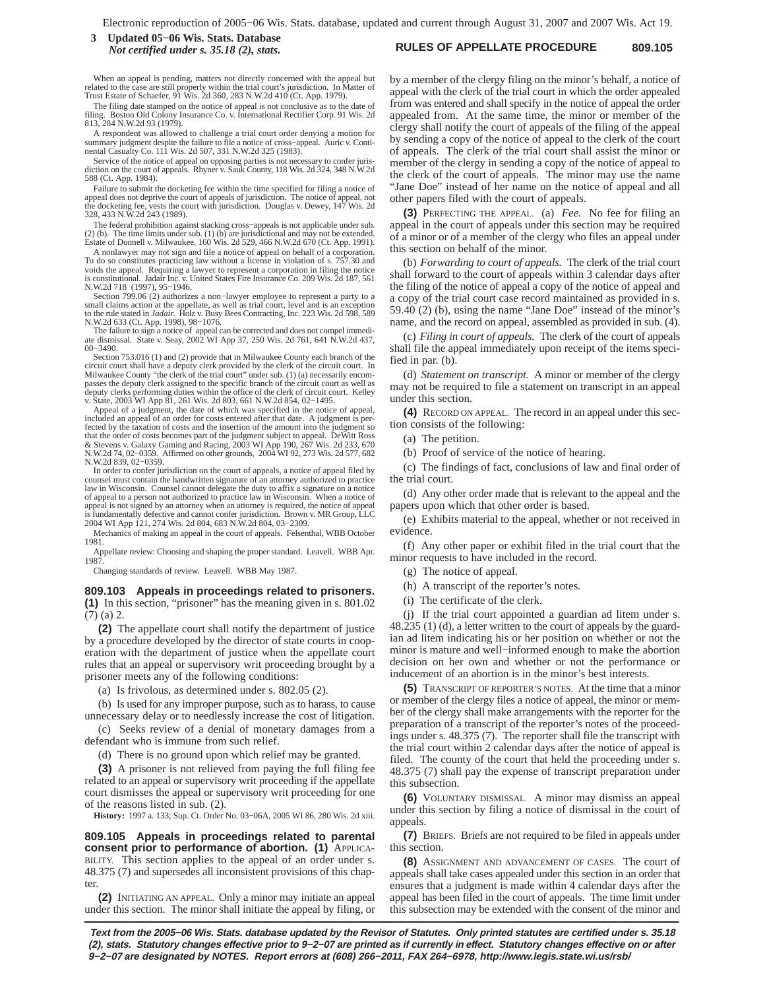### **RULES OF APPELLATE PROCEDURE 809.105 3 Updated 05−06 Wis. Stats. Database** *Not certified under s. 35.18 (2), stats.*

When an appeal is pending, matters not directly concerned with the appeal but related to the case are still properly within the trial court's jurisdiction. In Matter of Trust Estate of Schaefer, 91 Wis. 2d 360, 283 N.W.2d 410 (Ct. App. 1979).

The filing date stamped on the notice of appeal is not conclusive as to the date of filing. Boston Old Colony Insurance Co. v. International Rectifier Corp. 91 Wis. 2d 813, 284 N.W.2d 93 (1979).

A respondent was allowed to challenge a trial court order denying a motion for summary judgment despite the failure to file a notice of cross−appeal. Auric v. Continental Casualty Co. 111 Wis. 2d 507, 331 N.W.2d 325 (1983).

Service of the notice of appeal on opposing parties is not necessary to confer juris-diction on the court of appeals. Rhyner v. Sauk County, 118 Wis. 2d 324, 348 N.W.2d 588 (Ct. App. 1984).

Failure to submit the docketing fee within the time specified for filing a notice of appeal does not deprive the court of appeals of jurisdiction. The notice of appeal, not the docketing fee, vests the court with jurisdiction. Douglas v. Dewey, 147 Wis. 2d 328, 433 N.W.2d 243 (1989).

The federal prohibition against stacking cross−appeals is not applicable under sub. (2) (b). The time limits under sub. (1) (b) are jurisdictional and may not be extended. Estate of Donnell v. Milwaukee, 160 Wis. 2d 529, 466 N.W.2d 670 (Ct. App. 1991).

A nonlawyer may not sign and file a notice of appeal on behalf of a corporation. To do so constitutes practicing law without a license in violation of s. 757.30 and voids the appeal. Requiring a lawyer to represent a corporation in filing the notice is constitutional. Jadair Inc. v. United States Fire Insurance Co. 209 Wis. 2d 187, 561 N.W.2d 718 (1997), 95−1946.

Section 799.06 (2) authorizes a non−lawyer employee to represent a party to a small claims action at the appellate, as well as trial court, level and is an exception to the rule stated in *Jadair*. Holz v. Busy Bees Contracting, Inc. 223 Wis. 2d 598, 589

N.W.2d 633 (Ct. App. 1998), 98−1076. The failure to sign a notice of appeal can be corrected and does not compel immedi-ate dismissal. State v. Seay, 2002 WI App 37, 250 Wis. 2d 761, 641 N.W.2d 437,

00−3490. Section 753.016 (1) and (2) provide that in Milwaukee County each branch of the circuit court shall have a deputy clerk provided by the clerk of the circuit court. In<br>Milwaukee County "the clerk of the trial court" under sub. (1) (a) necessarily encom-<br>passes the deputy clerk assigned to the specific

v. State, 2003 WI App 81, 261 Wis. 2d 803, 661 N.W.2d 854, 02−1495. Appeal of a judgment, the date of which was specified in the notice of appeal, included an appeal of an order for costs entered after that date. A judgment is perfected by the taxation of costs and the insertion of the amount into the judgment so<br>that the order of costs becomes part of the judgment subject to appeal. DeWitt Ross<br>& Stevens v. Galaxy Gaming and Racing, 2003 WI App 19 N.W.2d 74, 02−0359. Affirmed on other grounds, 2004 WI 92, 273 Wis. 2d 577, 682 N.W.2d 839, 02−0359.

In order to confer jurisdiction on the court of appeals, a notice of appeal filed by counsel must contain the handwritten signature of an attorney authorized to practice law in Wisconsin. Counsel cannot delegate the duty to affix a signature on a notice of appeal to a person not authorized to practice law in Wisconsin. When a notice of appeal is not signed by an attorney when an attorney is required, the notice of appeal<br>is fundamentally defective and cannot confer jurisdiction. Brown v. MR Group, LLC<br>2004 WI App 121, 274 Wis. 2d 804, 683 N.W.2d 804, 03–

Mechanics of making an appeal in the court of appeals. Felsenthal, WBB October 1981.

Appellate review: Choosing and shaping the proper standard. Leavell. WBB Apr. 1987.

Changing standards of review. Leavell. WBB May 1987.

**809.103 Appeals in proceedings related to prisoners. (1)** In this section, "prisoner" has the meaning given in s. 801.02 (7) (a) 2.

**(2)** The appellate court shall notify the department of justice by a procedure developed by the director of state courts in cooperation with the department of justice when the appellate court rules that an appeal or supervisory writ proceeding brought by a prisoner meets any of the following conditions:

(a) Is frivolous, as determined under s. 802.05 (2).

(b) Is used for any improper purpose, such as to harass, to cause unnecessary delay or to needlessly increase the cost of litigation.

(c) Seeks review of a denial of monetary damages from a defendant who is immune from such relief.

(d) There is no ground upon which relief may be granted.

**(3)** A prisoner is not relieved from paying the full filing fee related to an appeal or supervisory writ proceeding if the appellate court dismisses the appeal or supervisory writ proceeding for one of the reasons listed in sub. (2).

**History:** 1997 a. 133; Sup. Ct. Order No. 03−06A, 2005 WI 86, 280 Wis. 2d xiii.

**809.105 Appeals in proceedings related to parental consent prior to performance of abortion. (1)** APPLICA-BILITY. This section applies to the appeal of an order under s. 48.375 (7) and supersedes all inconsistent provisions of this chapter

**(2)** INITIATING AN APPEAL. Only a minor may initiate an appeal under this section. The minor shall initiate the appeal by filing, or by a member of the clergy filing on the minor's behalf, a notice of appeal with the clerk of the trial court in which the order appealed from was entered and shall specify in the notice of appeal the order appealed from. At the same time, the minor or member of the clergy shall notify the court of appeals of the filing of the appeal by sending a copy of the notice of appeal to the clerk of the court of appeals. The clerk of the trial court shall assist the minor or member of the clergy in sending a copy of the notice of appeal to the clerk of the court of appeals. The minor may use the name "Jane Doe" instead of her name on the notice of appeal and all other papers filed with the court of appeals.

**(3)** PERFECTING THE APPEAL. (a) *Fee.* No fee for filing an appeal in the court of appeals under this section may be required of a minor or of a member of the clergy who files an appeal under this section on behalf of the minor.

(b) *Forwarding to court of appeals.* The clerk of the trial court shall forward to the court of appeals within 3 calendar days after the filing of the notice of appeal a copy of the notice of appeal and a copy of the trial court case record maintained as provided in s. 59.40 (2) (b), using the name "Jane Doe" instead of the minor's name, and the record on appeal, assembled as provided in sub. (4).

(c) *Filing in court of appeals.* The clerk of the court of appeals shall file the appeal immediately upon receipt of the items specified in par. (b).

(d) *Statement on transcript.* A minor or member of the clergy may not be required to file a statement on transcript in an appeal under this section.

**(4)** RECORD ON APPEAL. The record in an appeal under this section consists of the following:

(a) The petition.

(b) Proof of service of the notice of hearing.

(c) The findings of fact, conclusions of law and final order of the trial court.

(d) Any other order made that is relevant to the appeal and the papers upon which that other order is based.

(e) Exhibits material to the appeal, whether or not received in evidence

(f) Any other paper or exhibit filed in the trial court that the minor requests to have included in the record.

(g) The notice of appeal.

(h) A transcript of the reporter's notes.

(i) The certificate of the clerk.

(j) If the trial court appointed a guardian ad litem under s. 48.235 (1) (d), a letter written to the court of appeals by the guardian ad litem indicating his or her position on whether or not the minor is mature and well−informed enough to make the abortion decision on her own and whether or not the performance or inducement of an abortion is in the minor's best interests.

**(5)** TRANSCRIPT OF REPORTER'S NOTES. At the time that a minor or member of the clergy files a notice of appeal, the minor or member of the clergy shall make arrangements with the reporter for the preparation of a transcript of the reporter's notes of the proceedings under s. 48.375 (7). The reporter shall file the transcript with the trial court within 2 calendar days after the notice of appeal is filed. The county of the court that held the proceeding under s. 48.375 (7) shall pay the expense of transcript preparation under this subsection.

**(6)** VOLUNTARY DISMISSAL. A minor may dismiss an appeal under this section by filing a notice of dismissal in the court of appeals.

**(7)** BRIEFS. Briefs are not required to be filed in appeals under this section.

**(8)** ASSIGNMENT AND ADVANCEMENT OF CASES. The court of appeals shall take cases appealed under this section in an order that ensures that a judgment is made within 4 calendar days after the appeal has been filed in the court of appeals. The time limit under this subsection may be extended with the consent of the minor and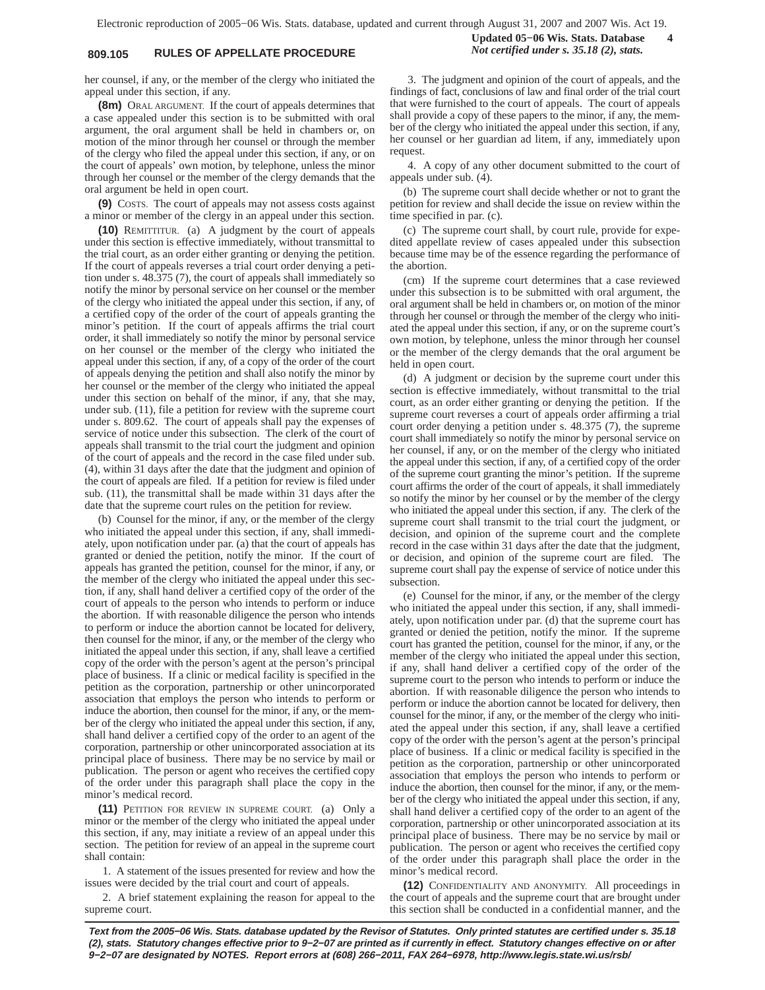# **809.105 RULES OF APPELLATE PROCEDURE** *Not certified under s. 35.18 (2), stats.*

**Updated 05−06 Wis. Stats. Database 4**

her counsel, if any, or the member of the clergy who initiated the appeal under this section, if any.

**(8m)** ORAL ARGUMENT. If the court of appeals determines that a case appealed under this section is to be submitted with oral argument, the oral argument shall be held in chambers or, on motion of the minor through her counsel or through the member of the clergy who filed the appeal under this section, if any, or on the court of appeals' own motion, by telephone, unless the minor through her counsel or the member of the clergy demands that the oral argument be held in open court.

**(9)** COSTS. The court of appeals may not assess costs against a minor or member of the clergy in an appeal under this section.

**(10)** REMITTITUR. (a) A judgment by the court of appeals under this section is effective immediately, without transmittal to the trial court, as an order either granting or denying the petition. If the court of appeals reverses a trial court order denying a petition under s. 48.375 (7), the court of appeals shall immediately so notify the minor by personal service on her counsel or the member of the clergy who initiated the appeal under this section, if any, of a certified copy of the order of the court of appeals granting the minor's petition. If the court of appeals affirms the trial court order, it shall immediately so notify the minor by personal service on her counsel or the member of the clergy who initiated the appeal under this section, if any, of a copy of the order of the court of appeals denying the petition and shall also notify the minor by her counsel or the member of the clergy who initiated the appeal under this section on behalf of the minor, if any, that she may, under sub. (11), file a petition for review with the supreme court under s. 809.62. The court of appeals shall pay the expenses of service of notice under this subsection. The clerk of the court of appeals shall transmit to the trial court the judgment and opinion of the court of appeals and the record in the case filed under sub. (4), within 31 days after the date that the judgment and opinion of the court of appeals are filed. If a petition for review is filed under sub. (11), the transmittal shall be made within 31 days after the date that the supreme court rules on the petition for review.

(b) Counsel for the minor, if any, or the member of the clergy who initiated the appeal under this section, if any, shall immediately, upon notification under par. (a) that the court of appeals has granted or denied the petition, notify the minor. If the court of appeals has granted the petition, counsel for the minor, if any, or the member of the clergy who initiated the appeal under this section, if any, shall hand deliver a certified copy of the order of the court of appeals to the person who intends to perform or induce the abortion. If with reasonable diligence the person who intends to perform or induce the abortion cannot be located for delivery, then counsel for the minor, if any, or the member of the clergy who initiated the appeal under this section, if any, shall leave a certified copy of the order with the person's agent at the person's principal place of business. If a clinic or medical facility is specified in the petition as the corporation, partnership or other unincorporated association that employs the person who intends to perform or induce the abortion, then counsel for the minor, if any, or the member of the clergy who initiated the appeal under this section, if any, shall hand deliver a certified copy of the order to an agent of the corporation, partnership or other unincorporated association at its principal place of business. There may be no service by mail or publication. The person or agent who receives the certified copy of the order under this paragraph shall place the copy in the minor's medical record.

**(11)** PETITION FOR REVIEW IN SUPREME COURT. (a) Only a minor or the member of the clergy who initiated the appeal under this section, if any, may initiate a review of an appeal under this section. The petition for review of an appeal in the supreme court shall contain:

1. A statement of the issues presented for review and how the issues were decided by the trial court and court of appeals.

2. A brief statement explaining the reason for appeal to the supreme court.

3. The judgment and opinion of the court of appeals, and the findings of fact, conclusions of law and final order of the trial court that were furnished to the court of appeals. The court of appeals shall provide a copy of these papers to the minor, if any, the member of the clergy who initiated the appeal under this section, if any, her counsel or her guardian ad litem, if any, immediately upon request.

4. A copy of any other document submitted to the court of appeals under sub. (4).

(b) The supreme court shall decide whether or not to grant the petition for review and shall decide the issue on review within the time specified in par. (c).

(c) The supreme court shall, by court rule, provide for expedited appellate review of cases appealed under this subsection because time may be of the essence regarding the performance of the abortion.

(cm) If the supreme court determines that a case reviewed under this subsection is to be submitted with oral argument, the oral argument shall be held in chambers or, on motion of the minor through her counsel or through the member of the clergy who initiated the appeal under this section, if any, or on the supreme court's own motion, by telephone, unless the minor through her counsel or the member of the clergy demands that the oral argument be held in open court.

(d) A judgment or decision by the supreme court under this section is effective immediately, without transmittal to the trial court, as an order either granting or denying the petition. If the supreme court reverses a court of appeals order affirming a trial court order denying a petition under s. 48.375 (7), the supreme court shall immediately so notify the minor by personal service on her counsel, if any, or on the member of the clergy who initiated the appeal under this section, if any, of a certified copy of the order of the supreme court granting the minor's petition. If the supreme court affirms the order of the court of appeals, it shall immediately so notify the minor by her counsel or by the member of the clergy who initiated the appeal under this section, if any. The clerk of the supreme court shall transmit to the trial court the judgment, or decision, and opinion of the supreme court and the complete record in the case within 31 days after the date that the judgment, or decision, and opinion of the supreme court are filed. The supreme court shall pay the expense of service of notice under this subsection.

(e) Counsel for the minor, if any, or the member of the clergy who initiated the appeal under this section, if any, shall immediately, upon notification under par. (d) that the supreme court has granted or denied the petition, notify the minor. If the supreme court has granted the petition, counsel for the minor, if any, or the member of the clergy who initiated the appeal under this section, if any, shall hand deliver a certified copy of the order of the supreme court to the person who intends to perform or induce the abortion. If with reasonable diligence the person who intends to perform or induce the abortion cannot be located for delivery, then counsel for the minor, if any, or the member of the clergy who initiated the appeal under this section, if any, shall leave a certified copy of the order with the person's agent at the person's principal place of business. If a clinic or medical facility is specified in the petition as the corporation, partnership or other unincorporated association that employs the person who intends to perform or induce the abortion, then counsel for the minor, if any, or the member of the clergy who initiated the appeal under this section, if any, shall hand deliver a certified copy of the order to an agent of the corporation, partnership or other unincorporated association at its principal place of business. There may be no service by mail or publication. The person or agent who receives the certified copy of the order under this paragraph shall place the order in the minor's medical record.

**(12)** CONFIDENTIALITY AND ANONYMITY. All proceedings in the court of appeals and the supreme court that are brought under this section shall be conducted in a confidential manner, and the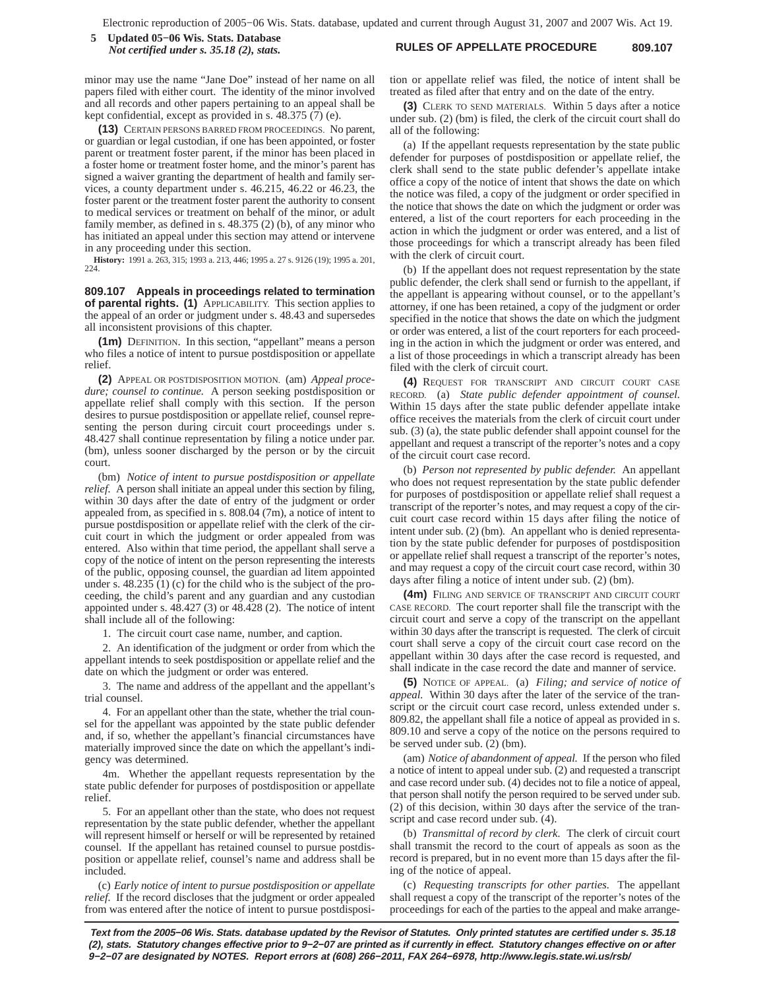**RULES OF APPELLATE PROCEDURE 809.107 5 Updated 05−06 Wis. Stats. Database** *Not certified under s. 35.18 (2), stats.*

minor may use the name "Jane Doe" instead of her name on all papers filed with either court. The identity of the minor involved and all records and other papers pertaining to an appeal shall be kept confidential, except as provided in s. 48.375 (7) (e).

**(13)** CERTAIN PERSONS BARRED FROM PROCEEDINGS. No parent, or guardian or legal custodian, if one has been appointed, or foster parent or treatment foster parent, if the minor has been placed in a foster home or treatment foster home, and the minor's parent has signed a waiver granting the department of health and family services, a county department under s. 46.215, 46.22 or 46.23, the foster parent or the treatment foster parent the authority to consent to medical services or treatment on behalf of the minor, or adult family member, as defined in s. 48.375 (2) (b), of any minor who has initiated an appeal under this section may attend or intervene in any proceeding under this section.

**History:** 1991 a. 263, 315; 1993 a. 213, 446; 1995 a. 27 s. 9126 (19); 1995 a. 201, 224.

**809.107 Appeals in proceedings related to termination of parental rights. (1)** APPLICABILITY. This section applies to the appeal of an order or judgment under s. 48.43 and supersedes all inconsistent provisions of this chapter.

**(1m)** DEFINITION. In this section, "appellant" means a person who files a notice of intent to pursue postdisposition or appellate relief.

**(2)** APPEAL OR POSTDISPOSITION MOTION. (am) *Appeal procedure; counsel to continue.* A person seeking postdisposition or appellate relief shall comply with this section. If the person desires to pursue postdisposition or appellate relief, counsel representing the person during circuit court proceedings under s. 48.427 shall continue representation by filing a notice under par. (bm), unless sooner discharged by the person or by the circuit court.

(bm) *Notice of intent to pursue postdisposition or appellate relief.* A person shall initiate an appeal under this section by filing, within 30 days after the date of entry of the judgment or order appealed from, as specified in s. 808.04 (7m), a notice of intent to pursue postdisposition or appellate relief with the clerk of the circuit court in which the judgment or order appealed from was entered. Also within that time period, the appellant shall serve a copy of the notice of intent on the person representing the interests of the public, opposing counsel, the guardian ad litem appointed under s. 48.235 (1) (c) for the child who is the subject of the proceeding, the child's parent and any guardian and any custodian appointed under s. 48.427 (3) or 48.428 (2). The notice of intent shall include all of the following:

1. The circuit court case name, number, and caption.

2. An identification of the judgment or order from which the appellant intends to seek postdisposition or appellate relief and the date on which the judgment or order was entered.

3. The name and address of the appellant and the appellant's trial counsel.

4. For an appellant other than the state, whether the trial counsel for the appellant was appointed by the state public defender and, if so, whether the appellant's financial circumstances have materially improved since the date on which the appellant's indigency was determined.

4m. Whether the appellant requests representation by the state public defender for purposes of postdisposition or appellate relief.

5. For an appellant other than the state, who does not request representation by the state public defender, whether the appellant will represent himself or herself or will be represented by retained counsel. If the appellant has retained counsel to pursue postdisposition or appellate relief, counsel's name and address shall be included.

(c) *Early notice of intent to pursue postdisposition or appellate relief.* If the record discloses that the judgment or order appealed from was entered after the notice of intent to pursue postdisposition or appellate relief was filed, the notice of intent shall be treated as filed after that entry and on the date of the entry.

**(3)** CLERK TO SEND MATERIALS. Within 5 days after a notice under sub. (2) (bm) is filed, the clerk of the circuit court shall do all of the following:

(a) If the appellant requests representation by the state public defender for purposes of postdisposition or appellate relief, the clerk shall send to the state public defender's appellate intake office a copy of the notice of intent that shows the date on which the notice was filed, a copy of the judgment or order specified in the notice that shows the date on which the judgment or order was entered, a list of the court reporters for each proceeding in the action in which the judgment or order was entered, and a list of those proceedings for which a transcript already has been filed with the clerk of circuit court.

(b) If the appellant does not request representation by the state public defender, the clerk shall send or furnish to the appellant, if the appellant is appearing without counsel, or to the appellant's attorney, if one has been retained, a copy of the judgment or order specified in the notice that shows the date on which the judgment or order was entered, a list of the court reporters for each proceeding in the action in which the judgment or order was entered, and a list of those proceedings in which a transcript already has been filed with the clerk of circuit court.

**(4)** REQUEST FOR TRANSCRIPT AND CIRCUIT COURT CASE RECORD. (a) *State public defender appointment of counsel.* Within 15 days after the state public defender appellate intake office receives the materials from the clerk of circuit court under sub. (3) (a), the state public defender shall appoint counsel for the appellant and request a transcript of the reporter's notes and a copy of the circuit court case record.

(b) *Person not represented by public defender.* An appellant who does not request representation by the state public defender for purposes of postdisposition or appellate relief shall request a transcript of the reporter's notes, and may request a copy of the circuit court case record within 15 days after filing the notice of intent under sub. (2) (bm). An appellant who is denied representation by the state public defender for purposes of postdisposition or appellate relief shall request a transcript of the reporter's notes, and may request a copy of the circuit court case record, within 30 days after filing a notice of intent under sub. (2) (bm).

**(4m)** FILING AND SERVICE OF TRANSCRIPT AND CIRCUIT COURT CASE RECORD. The court reporter shall file the transcript with the circuit court and serve a copy of the transcript on the appellant within 30 days after the transcript is requested. The clerk of circuit court shall serve a copy of the circuit court case record on the appellant within 30 days after the case record is requested, and shall indicate in the case record the date and manner of service.

**(5)** NOTICE OF APPEAL. (a) *Filing; and service of notice of appeal.* Within 30 days after the later of the service of the transcript or the circuit court case record, unless extended under s. 809.82, the appellant shall file a notice of appeal as provided in s. 809.10 and serve a copy of the notice on the persons required to be served under sub. (2) (bm).

(am) *Notice of abandonment of appeal.* If the person who filed a notice of intent to appeal under sub. (2) and requested a transcript and case record under sub. (4) decides not to file a notice of appeal, that person shall notify the person required to be served under sub. (2) of this decision, within 30 days after the service of the transcript and case record under sub. (4).

(b) *Transmittal of record by clerk.* The clerk of circuit court shall transmit the record to the court of appeals as soon as the record is prepared, but in no event more than 15 days after the filing of the notice of appeal.

(c) *Requesting transcripts for other parties.* The appellant shall request a copy of the transcript of the reporter's notes of the proceedings for each of the parties to the appeal and make arrange-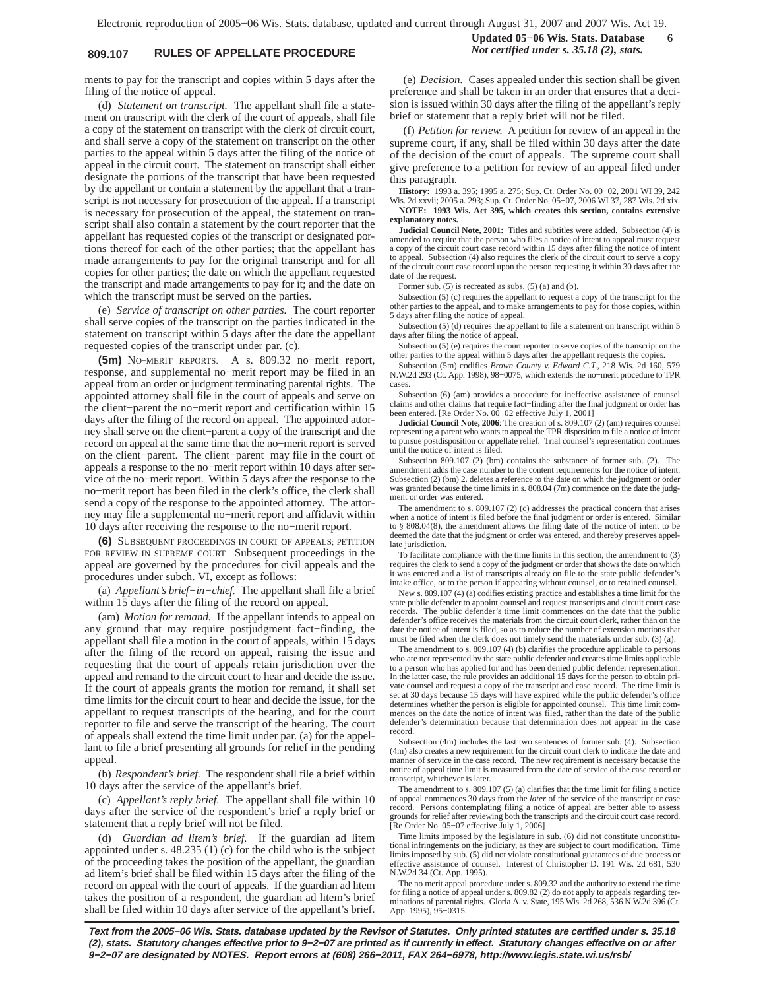# **809.107 RULES OF APPELLATE PROCEDURE** *Not certified under s. 35.18 (2), stats.*

**Updated 05−06 Wis. Stats. Database 6**

ments to pay for the transcript and copies within 5 days after the filing of the notice of appeal.

(d) *Statement on transcript.* The appellant shall file a statement on transcript with the clerk of the court of appeals, shall file a copy of the statement on transcript with the clerk of circuit court, and shall serve a copy of the statement on transcript on the other parties to the appeal within 5 days after the filing of the notice of appeal in the circuit court. The statement on transcript shall either designate the portions of the transcript that have been requested by the appellant or contain a statement by the appellant that a transcript is not necessary for prosecution of the appeal. If a transcript is necessary for prosecution of the appeal, the statement on transcript shall also contain a statement by the court reporter that the appellant has requested copies of the transcript or designated portions thereof for each of the other parties; that the appellant has made arrangements to pay for the original transcript and for all copies for other parties; the date on which the appellant requested the transcript and made arrangements to pay for it; and the date on which the transcript must be served on the parties.

(e) *Service of transcript on other parties.* The court reporter shall serve copies of the transcript on the parties indicated in the statement on transcript within 5 days after the date the appellant requested copies of the transcript under par. (c).

**(5m)** NO−MERIT REPORTS. A s. 809.32 no−merit report, response, and supplemental no−merit report may be filed in an appeal from an order or judgment terminating parental rights. The appointed attorney shall file in the court of appeals and serve on the client−parent the no−merit report and certification within 15 days after the filing of the record on appeal. The appointed attorney shall serve on the client−parent a copy of the transcript and the record on appeal at the same time that the no−merit report is served on the client−parent. The client−parent may file in the court of appeals a response to the no−merit report within 10 days after service of the no−merit report. Within 5 days after the response to the no−merit report has been filed in the clerk's office, the clerk shall send a copy of the response to the appointed attorney. The attorney may file a supplemental no−merit report and affidavit within 10 days after receiving the response to the no−merit report.

**(6)** SUBSEQUENT PROCEEDINGS IN COURT OF APPEALS; PETITION FOR REVIEW IN SUPREME COURT. Subsequent proceedings in the appeal are governed by the procedures for civil appeals and the procedures under subch. VI, except as follows:

(a) *Appellant's brief−in−chief.* The appellant shall file a brief within 15 days after the filing of the record on appeal.

(am) *Motion for remand.* If the appellant intends to appeal on any ground that may require postjudgment fact−finding, the appellant shall file a motion in the court of appeals, within 15 days after the filing of the record on appeal, raising the issue and requesting that the court of appeals retain jurisdiction over the appeal and remand to the circuit court to hear and decide the issue. If the court of appeals grants the motion for remand, it shall set time limits for the circuit court to hear and decide the issue, for the appellant to request transcripts of the hearing, and for the court reporter to file and serve the transcript of the hearing. The court of appeals shall extend the time limit under par. (a) for the appellant to file a brief presenting all grounds for relief in the pending appeal.

(b) *Respondent's brief.* The respondent shall file a brief within 10 days after the service of the appellant's brief.

(c) *Appellant's reply brief.* The appellant shall file within 10 days after the service of the respondent's brief a reply brief or statement that a reply brief will not be filed.

(d) *Guardian ad litem's brief.* If the guardian ad litem appointed under s. 48.235 (1) (c) for the child who is the subject of the proceeding takes the position of the appellant, the guardian ad litem's brief shall be filed within 15 days after the filing of the record on appeal with the court of appeals. If the guardian ad litem takes the position of a respondent, the guardian ad litem's brief shall be filed within 10 days after service of the appellant's brief.

(e) *Decision.* Cases appealed under this section shall be given preference and shall be taken in an order that ensures that a decision is issued within 30 days after the filing of the appellant's reply brief or statement that a reply brief will not be filed.

(f) *Petition for review.* A petition for review of an appeal in the supreme court, if any, shall be filed within 30 days after the date of the decision of the court of appeals. The supreme court shall give preference to a petition for review of an appeal filed under this paragraph.

**History:** 1993 a. 395; 1995 a. 275; Sup. Ct. Order No. 00−02, 2001 WI 39, 242 Wis. 2d xxvii; 2005 a. 293; Sup. Ct. Order No. 05−07, 2006 WI 37, 287 Wis. 2d xix.

**NOTE: 1993 Wis. Act 395, which creates this section, contains extensive explanatory notes.**

**Judicial Council Note, 2001:** Titles and subtitles were added. Subsection (4) is amended to require that the person who files a notice of intent to appeal must request a copy of the circuit court case record within 15 days after filing the notice of intent to appeal. Subsection (4) also requires the clerk of the circuit court to serve a copy of the circuit court case record upon the person requesting it within 30 days after the date of the request.

Former sub. (5) is recreated as subs. (5) (a) and (b).

Subsection (5) (c) requires the appellant to request a copy of the transcript for the other parties to the appeal, and to make arrangements to pay for those copies, within 5 days after filing the notice of appeal.

Subsection (5) (d) requires the appellant to file a statement on transcript within 5 days after filing the notice of appeal.

Subsection (5) (e) requires the court reporter to serve copies of the transcript on the other parties to the appeal within 5 days after the appellant requests the copies.

Subsection (5m) codifies *Brown County v. Edward C.T*., 218 Wis. 2d 160, 579 N.W.2d 293 (Ct. App. 1998), 98−0075, which extends the no−merit procedure to TPR cases.

Subsection (6) (am) provides a procedure for ineffective assistance of counsel claims and other claims that require fact−finding after the final judgment or order has been entered. [Re Order No. 00−02 effective July 1, 2001]

**Judicial Council Note, 2006**: The creation of s. 809.107 (2) (am) requires counsel representing a parent who wants to appeal the TPR disposition to file a notice of intent to pursue postdisposition or appellate relief. Trial counsel's representation continues until the notice of intent is filed.

Subsection 809.107 (2) (bm) contains the substance of former sub. (2). The amendment adds the case number to the content requirements for the notice of intent. Subsection (2) (bm) 2. deletes a reference to the date on which the judgment or order was granted because the time limits in s. 808.04 (7m) commence on the date the judgment or order was entered.

The amendment to s. 809.107 (2) (c) addresses the practical concern that arises when a notice of intent is filed before the final judgment or order is entered. Similar to § 808.04(8), the amendment allows the filing date of the notice of intent to be deemed the date that the judgment or order was entered, and thereby preserves appellate jurisdiction.

To facilitate compliance with the time limits in this section, the amendment to (3) requires the clerk to send a copy of the judgment or order that shows the date on which it was entered and a list of transcripts already on file to the state public defender's intake office, or to the person if appearing without counsel, or to retained counsel.

New s. 809.107 (4) (a) codifies existing practice and establishes a time limit for the state public defender to appoint counsel and request transcripts and circuit court case records. The public defender's time limit commences on the date that the public defender's office receives the materials from the circuit court clerk, rather than on the date the notice of intent is filed, so as to reduce the number of extension motions that must be filed when the clerk does not timely send the materials under sub. (3) (a).

The amendment to s. 809.107 (4) (b) clarifies the procedure applicable to persons who are not represented by the state public defender and creates time limits applicable to a person who has applied for and has been denied public defender representation. In the latter case, the rule provides an additional 15 days for the person to obtain private counsel and request a copy of the transcript and case record. The time limit is set at 30 days because 15 days will have expired while the public defender's office determines whether the person is eligible for appointed counsel. This time limit commences on the date the notice of intent was filed, rather than the date of the public defender's determination because that determination does not appear in the case record.

Subsection (4m) includes the last two sentences of former sub. (4). Subsection (4m) also creates a new requirement for the circuit court clerk to indicate the date and manner of service in the case record. The new requirement is necessary because the notice of appeal time limit is measured from the date of service of the case record or transcript, whichever is later.

The amendment to s. 809.107 (5) (a) clarifies that the time limit for filing a notice of appeal commences 30 days from the *later* of the service of the transcript or case record. Persons contemplating filing a notice of appeal are better able to assess grounds for relief after reviewing both the transcripts and the circuit court case record. [Re Order No. 05−07 effective July 1, 2006]

Time limits imposed by the legislature in sub. (6) did not constitute unconstitutional infringements on the judiciary, as they are subject to court modification. Time limits imposed by sub. (5) did not violate constitutional guarantees of due process or effective assistance of counsel. Interest of Christopher D. 191 Wis. 2d 681, 530 N.W.2d 34 (Ct. App. 1995).

The no merit appeal procedure under s. 809.32 and the authority to extend the time for filing a notice of appeal under s. 809.82 (2) do not apply to appeals regarding ter-minations of parental rights. Gloria A. v. State, 195 Wis. 2d 268, 536 N.W.2d 396 (Ct. App. 1995), 95−0315.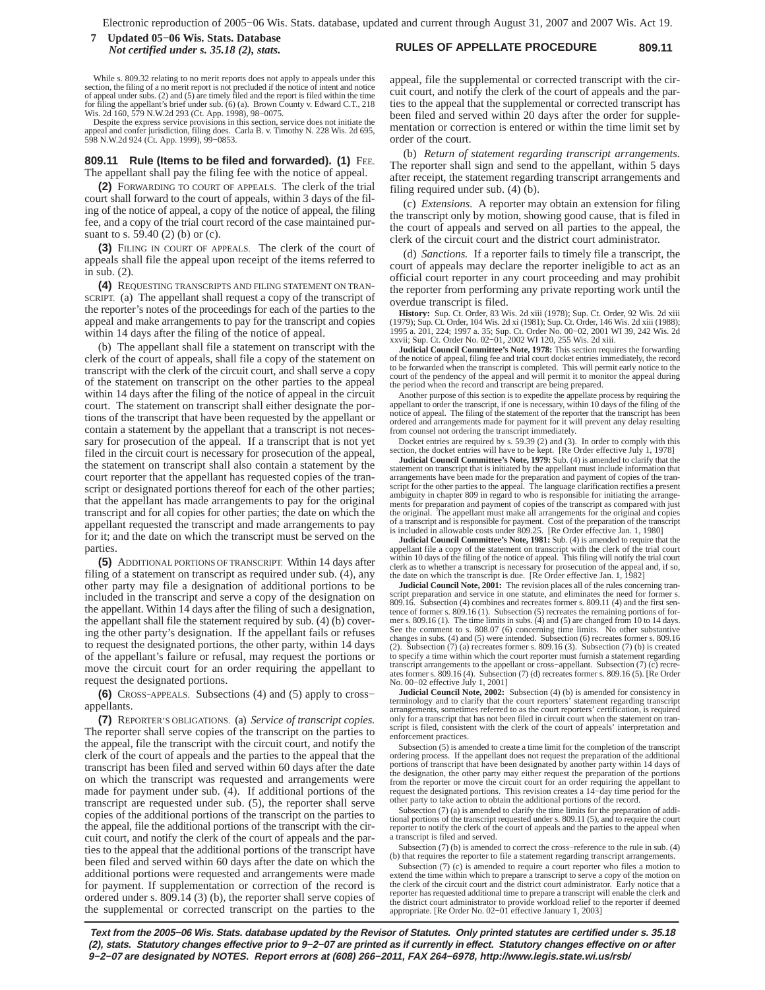### **RULES OF APPELLATE PROCEDURE 809.11 7 Updated 05−06 Wis. Stats. Database** *Not certified under s. 35.18 (2), stats.*

While s. 809.32 relating to no merit reports does not apply to appeals under this section, the filing of a no merit report is not precluded if the notice of intent and notice of appeal under subs. (2) and (5) are timely filed and the report is filed within the time for filing the appellant's brief under sub. (6) (a). Brown County v. Edward C.T., 218<br>Wis. 2d 160, 579 N.W.2d 293 (Ct. App. 1998), 98–0075.<br>Despite the express service provisions in this section, service does not initiate

appeal and confer jurisdiction, filing does. Carla B. v. Timothy N. 228 Wis. 2d 695, 598 N.W.2d 924 (Ct. App. 1999), 99−0853.

#### **809.11 Rule (Items to be filed and forwarded). (1)** FEE. The appellant shall pay the filing fee with the notice of appeal.

**(2)** FORWARDING TO COURT OF APPEALS. The clerk of the trial court shall forward to the court of appeals, within 3 days of the filing of the notice of appeal, a copy of the notice of appeal, the filing fee, and a copy of the trial court record of the case maintained pursuant to s. 59.40 (2) (b) or (c).

**(3)** FILING IN COURT OF APPEALS. The clerk of the court of appeals shall file the appeal upon receipt of the items referred to in sub. (2).

**(4)** REQUESTING TRANSCRIPTS AND FILING STATEMENT ON TRAN-SCRIPT. (a) The appellant shall request a copy of the transcript of the reporter's notes of the proceedings for each of the parties to the appeal and make arrangements to pay for the transcript and copies within 14 days after the filing of the notice of appeal.

(b) The appellant shall file a statement on transcript with the clerk of the court of appeals, shall file a copy of the statement on transcript with the clerk of the circuit court, and shall serve a copy of the statement on transcript on the other parties to the appeal within 14 days after the filing of the notice of appeal in the circuit court. The statement on transcript shall either designate the portions of the transcript that have been requested by the appellant or contain a statement by the appellant that a transcript is not necessary for prosecution of the appeal. If a transcript that is not yet filed in the circuit court is necessary for prosecution of the appeal, the statement on transcript shall also contain a statement by the court reporter that the appellant has requested copies of the transcript or designated portions thereof for each of the other parties; that the appellant has made arrangements to pay for the original transcript and for all copies for other parties; the date on which the appellant requested the transcript and made arrangements to pay for it; and the date on which the transcript must be served on the parties.

**(5)** ADDITIONAL PORTIONS OF TRANSCRIPT. Within 14 days after filing of a statement on transcript as required under sub. (4), any other party may file a designation of additional portions to be included in the transcript and serve a copy of the designation on the appellant. Within 14 days after the filing of such a designation, the appellant shall file the statement required by sub. (4) (b) covering the other party's designation. If the appellant fails or refuses to request the designated portions, the other party, within 14 days of the appellant's failure or refusal, may request the portions or move the circuit court for an order requiring the appellant to request the designated portions.

**(6)** CROSS−APPEALS. Subsections (4) and (5) apply to cross− appellants.

**(7)** REPORTER'S OBLIGATIONS. (a) *Service of transcript copies.* The reporter shall serve copies of the transcript on the parties to the appeal, file the transcript with the circuit court, and notify the clerk of the court of appeals and the parties to the appeal that the transcript has been filed and served within 60 days after the date on which the transcript was requested and arrangements were made for payment under sub. (4). If additional portions of the transcript are requested under sub. (5), the reporter shall serve copies of the additional portions of the transcript on the parties to the appeal, file the additional portions of the transcript with the circuit court, and notify the clerk of the court of appeals and the parties to the appeal that the additional portions of the transcript have been filed and served within 60 days after the date on which the additional portions were requested and arrangements were made for payment. If supplementation or correction of the record is ordered under s. 809.14 (3) (b), the reporter shall serve copies of the supplemental or corrected transcript on the parties to the

appeal, file the supplemental or corrected transcript with the circuit court, and notify the clerk of the court of appeals and the parties to the appeal that the supplemental or corrected transcript has been filed and served within 20 days after the order for supplementation or correction is entered or within the time limit set by order of the court.

(b) *Return of statement regarding transcript arrangements.* The reporter shall sign and send to the appellant, within 5 days after receipt, the statement regarding transcript arrangements and filing required under sub. (4) (b).

(c) *Extensions.* A reporter may obtain an extension for filing the transcript only by motion, showing good cause, that is filed in the court of appeals and served on all parties to the appeal, the clerk of the circuit court and the district court administrator.

(d) *Sanctions.* If a reporter fails to timely file a transcript, the court of appeals may declare the reporter ineligible to act as an official court reporter in any court proceeding and may prohibit the reporter from performing any private reporting work until the overdue transcript is filed.

**History:** Sup. Ct. Order, 83 Wis. 2d xiii (1978); Sup. Ct. Order, 92 Wis. 2d xiii (1979); Sup. Ct. Order, 104 Wis. 2d xi (1981); Sup. Ct. Order, 146 Wis. 2d xiii (1988);<br>1995 a. 201, 224; 1997 a. 35; Sup. Ct. Order No. 00–02, 2001 WI 39, 242 Wis. 2d<br>xxvii; Sup. Ct. Order No. 02–01, 2002 WI 120, 255 Wis.

**Judicial Council Committee's Note, 1978:** This section requires the forwarding of the notice of appeal, filing fee and trial court docket entries immediately, the record to be forwarded when the transcript is completed. This will permit early notice to the court of the pendency of the appeal and will permit it to monitor the appeal during the period when the record and transcript are being prepared.

Another purpose of this section is to expedite the appellate process by requiring the appellant to order the transcript, if one is necessary, within 10 days of the filing of the notice of appeal. The filing of the statement of the reporter that the transcript has been ordered and arrangements made for payment for it will prevent any delay resulting from counsel not ordering the transcript immediately.

Docket entries are required by s. 59.39 (2) and (3). In order to comply with this section, the docket entries will have to be kept. [Re Order effective July 1, 1978]

**Judicial Council Committee's Note, 1979:** Sub. (4) is amended to clarify that the statement on transcript that is initiated by the appellant must include information that arrangements have been made for the preparation and payment of copies of the tran-<br>script for the other parties to the appeal. The language clarification rectifies a present<br>ambiguity in chapter 809 in regard to who is res ments for preparation and payment of copies of the transcript as compared with just<br>the original. The appellant must make all arrangements for the original and copies<br>of a transcript and is responsible for payment. Cost of

**Judicial Council Committee's Note, 1981:** Sub. (4) is amended to require that the appellant file a copy of the statement on transcript with the clerk of the trial court within 10 days of the filing of the notice of appeal. This filing will notify the trial court clerk as to whether a transcript is necessary for prosecution of the appeal and, if so, the date on which the transcript is due. [Re Order effective Jan. 1, 1982]<br>Judicial Council Note, 2001: The revision places all of the

script preparation and service in one statute, and eliminates the need for former s. 809.16. Subsection (4) combines and recreates former s. 809.11 (4) and the first sentence of former s. 809.16 (1). Subsection (5) recreates the remaining portions of for-mer s. 809.16 (1). The time limits in subs. (4) and (5) are changed from 10 to 14 days. See the comment to s. 808.07 (6) concerning time limits. No other substantive changes in subs. (4) and (5) were intended. Subsection (6) recreates former s. 809.16 (2). Subsection (7) (a) recreates former s. 809.16 (3). Subsection (7) (b) is created to specify a time within which the court reporter must furnish a statement regarding transcript arrangements to the appellant or cross–appellant. Subsection (7) (c) recre-<br>ates former s. 809.16 (4). Subsection (7) (d) recreates former s. 809.16 (5). [Re Order<br>No. 00−02 effective July 1, 2001]

**Judicial Council Note, 2002:** Subsection (4) (b) is amended for consistency in terminology and to clarify that the court reporters' statement regarding transcript arrangements, sometimes referred to as the court reporters' certification, is required only for a transcript that has not been filed in circuit court when the statement on transcript is filed, consistent with the clerk of the court of appeals' interpretation and enforcement practices.

Subsection (5) is amended to create a time limit for the completion of the transcript ordering process. If the appellant does not request the preparation of the additional portions of transcript that have been designated by another party within 14 days of the designation, the other party may either request the preparation of the portions from the reporter or move the circuit court for an order requiring the appellant to request the designated portions. This revision creates a 14−day time period for the other party to take action to obtain the additional portions of the record.

Subsection (7) (a) is amended to clarify the time limits for the preparation of additional portions of the transcript requested under s. 809.11 (5), and to require the court reporter to notify the clerk of the court of appeals and the parties to the appeal when a transcript is filed and served.

Subsection (7) (b) is amended to correct the cross−reference to the rule in sub. (4) (b) that requires the reporter to file a statement regarding transcript arrangements.

Subsection (7) (c) is amended to require a court reporter who files a motion to extend the time within which to prepare a transcript to serve a copy of the motion on the clerk of the circuit court and the district court administrator. Early notice that a reporter has requested additional time to prepare a transcript will enable the clerk and<br>the district court administrator to provide workload relief to the reporter if deemed<br>appropriate. [Re Order No. 02–01 effective Janu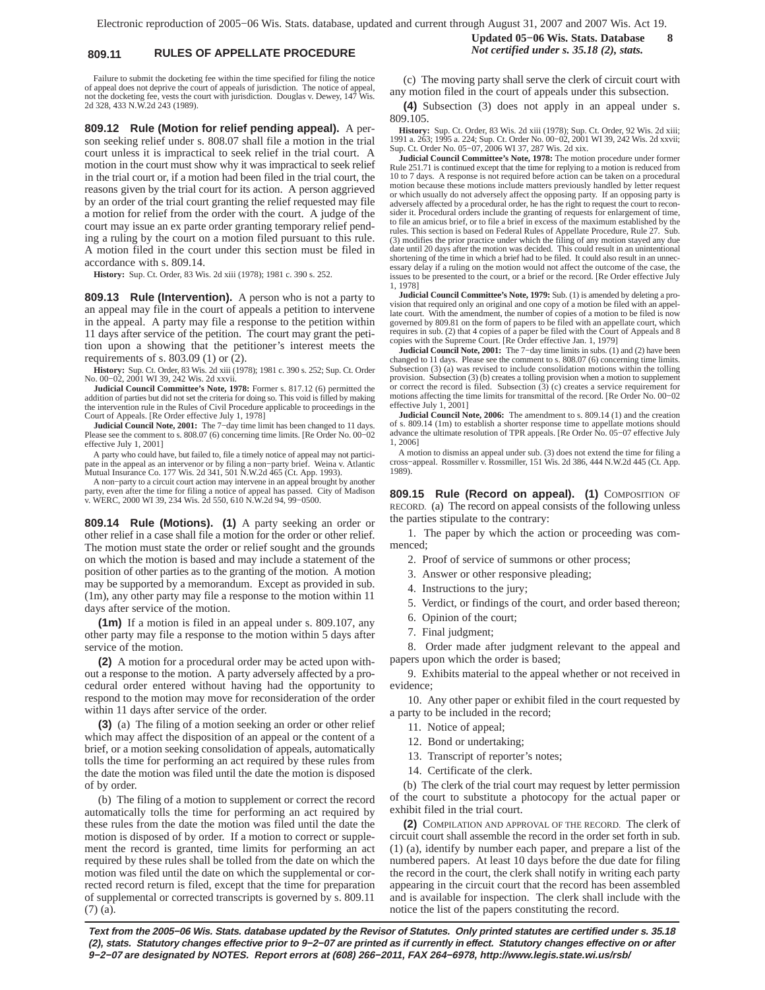# **809.11 RULES OF APPELLATE PROCEDURE** *Not certified under s. 35.18 (2), stats.*

Failure to submit the docketing fee within the time specified for filing the notice of appeal does not deprive the court of appeals of jurisdiction. The notice of appeal, not the docketing fee, vests the court with jurisdiction. Douglas v. Dewey, 147 Wis. 2d 328, 433 N.W.2d 243 (1989).

**809.12 Rule (Motion for relief pending appeal).** A person seeking relief under s. 808.07 shall file a motion in the trial court unless it is impractical to seek relief in the trial court. A motion in the court must show why it was impractical to seek relief in the trial court or, if a motion had been filed in the trial court, the reasons given by the trial court for its action. A person aggrieved by an order of the trial court granting the relief requested may file a motion for relief from the order with the court. A judge of the court may issue an ex parte order granting temporary relief pending a ruling by the court on a motion filed pursuant to this rule. A motion filed in the court under this section must be filed in accordance with s. 809.14.

**History:** Sup. Ct. Order, 83 Wis. 2d xiii (1978); 1981 c. 390 s. 252.

**809.13 Rule (Intervention).** A person who is not a party to an appeal may file in the court of appeals a petition to intervene in the appeal. A party may file a response to the petition within 11 days after service of the petition. The court may grant the petition upon a showing that the petitioner's interest meets the requirements of s. 803.09 (1) or (2).

**History:** Sup. Ct. Order, 83 Wis. 2d xiii (1978); 1981 c. 390 s. 252; Sup. Ct. Order No. 00−02, 2001 WI 39, 242 Wis. 2d xxvii.

**Judicial Council Committee's Note, 1978:** Former s. 817.12 (6) permitted the addition of parties but did not set the criteria for doing so. This void is filled by making the intervention rule in the Rules of Civil Procedure applicable to proceedings in the Court of Appeals. [Re Order effective July 1, 1978]

**Judicial Council Note, 2001:** The 7−day time limit has been changed to 11 days. Please see the comment to s. 808.07 (6) concerning time limits. [Re Order No. 00−02 effective July 1, 2001]

A party who could have, but failed to, file a timely notice of appeal may not participate in the appeal as an intervenor or by filing a non−party brief. Weina v. Atlantic Mutual Insurance Co. 177 Wis. 2d 341, 501 N.W.2d 465 (Ct. App. 1993).

A non−party to a circuit court action may intervene in an appeal brought by another party, even after the time for filing a notice of appeal has passed. City of Madison v. WERC, 2000 WI 39, 234 Wis. 2d 550, 610 N.W.2d 94, 99−0500.

**809.14 Rule (Motions). (1)** A party seeking an order or other relief in a case shall file a motion for the order or other relief. The motion must state the order or relief sought and the grounds on which the motion is based and may include a statement of the position of other parties as to the granting of the motion. A motion may be supported by a memorandum. Except as provided in sub. (1m), any other party may file a response to the motion within 11 days after service of the motion.

**(1m)** If a motion is filed in an appeal under s. 809.107, any other party may file a response to the motion within 5 days after service of the motion.

**(2)** A motion for a procedural order may be acted upon without a response to the motion. A party adversely affected by a procedural order entered without having had the opportunity to respond to the motion may move for reconsideration of the order within 11 days after service of the order.

**(3)** (a) The filing of a motion seeking an order or other relief which may affect the disposition of an appeal or the content of a brief, or a motion seeking consolidation of appeals, automatically tolls the time for performing an act required by these rules from the date the motion was filed until the date the motion is disposed of by order.

(b) The filing of a motion to supplement or correct the record automatically tolls the time for performing an act required by these rules from the date the motion was filed until the date the motion is disposed of by order. If a motion to correct or supplement the record is granted, time limits for performing an act required by these rules shall be tolled from the date on which the motion was filed until the date on which the supplemental or corrected record return is filed, except that the time for preparation of supplemental or corrected transcripts is governed by s. 809.11 (7) (a).

# **Updated 05−06 Wis. Stats. Database 8**

(c) The moving party shall serve the clerk of circuit court with any motion filed in the court of appeals under this subsection.

**(4)** Subsection (3) does not apply in an appeal under s. 809.105.

**History:** Sup. Ct. Order, 83 Wis. 2d xiii (1978); Sup. Ct. Order, 92 Wis. 2d xiii; 1991 a. 263; 1995 a. 224; Sup. Ct. Order No. 00−02, 2001 WI 39, 242 Wis. 2d xxvii; Sup. Ct. Order No. 05−07, 2006 WI 37, 287 Wis. 2d xix.

**Judicial Council Committee's Note, 1978:** The motion procedure under former Rule 251.71 is continued except that the time for replying to a motion is reduced from 10 to 7 days. A response is not required before action can be taken on a procedural motion because these motions include matters previously handled by letter request or which usually do not adversely affect the opposing party. If an opposing party is adversely affected by a procedural order, he has the right to request the court to reconsider it. Procedural orders include the granting of requests for enlargement of time, to file an amicus brief, or to file a brief in excess of the maximum established by the rules. This section is based on Federal Rules of Appellate Procedure, Rule 27. Sub. (3) modifies the prior practice under which the filing of any motion stayed any due date until 20 days after the motion was decided. This could result in an unintentional shortening of the time in which a brief had to be filed. It could also result in an unnec-essary delay if a ruling on the motion would not affect the outcome of the case, the issues to be presented to the court, or a brief or the record. [Re Order effective July 1, 1978]

**Judicial Council Committee's Note, 1979:** Sub. (1) is amended by deleting a provision that required only an original and one copy of a motion be filed with an appellate court. With the amendment, the number of copies of a motion to be filed is now governed by 809.81 on the form of papers to be filed with an appellate court, which requires in sub. (2) that 4 copies of a paper be filed with the Court of Appeals and 8 copies with the Supreme Court. [Re Order effective Jan. 1, 1979]

**Judicial Council Note, 2001:** The 7−day time limits in subs. (1) and (2) have been changed to 11 days. Please see the comment to s. 808.07 (6) concerning time limits. Subsection (3) (a) was revised to include consolidation motions within the tolling provision. Subsection (3) (b) creates a tolling provision when a motion to supplement or correct the record is filed. Subsection (3) (c) creates a service requirement for motions affecting the time limits for transmittal of the record. [Re Order No. 00−02 effective July 1, 2001]

**Judicial Council Note, 2006:** The amendment to s. 809.14 (1) and the creation of s. 809.14 (1m) to establish a shorter response time to appellate motions should advance the ultimate resolution of TPR appeals. [Re Order No. 05−07 effective July 1, 2006]

A motion to dismiss an appeal under sub. (3) does not extend the time for filing a cross−appeal. Rossmiller v. Rossmiller, 151 Wis. 2d 386, 444 N.W.2d 445 (Ct. App. 1989).

**809.15 Rule (Record on appeal). (1)** COMPOSITION OF RECORD. (a) The record on appeal consists of the following unless the parties stipulate to the contrary:

1. The paper by which the action or proceeding was commenced;

2. Proof of service of summons or other process;

- 3. Answer or other responsive pleading;
- 4. Instructions to the jury;
- 5. Verdict, or findings of the court, and order based thereon;
- 6. Opinion of the court;
- 7. Final judgment;

8. Order made after judgment relevant to the appeal and papers upon which the order is based;

9. Exhibits material to the appeal whether or not received in evidence;

10. Any other paper or exhibit filed in the court requested by a party to be included in the record;

- 11. Notice of appeal;
- 12. Bond or undertaking;
- 13. Transcript of reporter's notes;
- 14. Certificate of the clerk.

(b) The clerk of the trial court may request by letter permission of the court to substitute a photocopy for the actual paper or exhibit filed in the trial court.

**(2)** COMPILATION AND APPROVAL OF THE RECORD. The clerk of circuit court shall assemble the record in the order set forth in sub. (1) (a), identify by number each paper, and prepare a list of the numbered papers. At least 10 days before the due date for filing the record in the court, the clerk shall notify in writing each party appearing in the circuit court that the record has been assembled and is available for inspection. The clerk shall include with the notice the list of the papers constituting the record.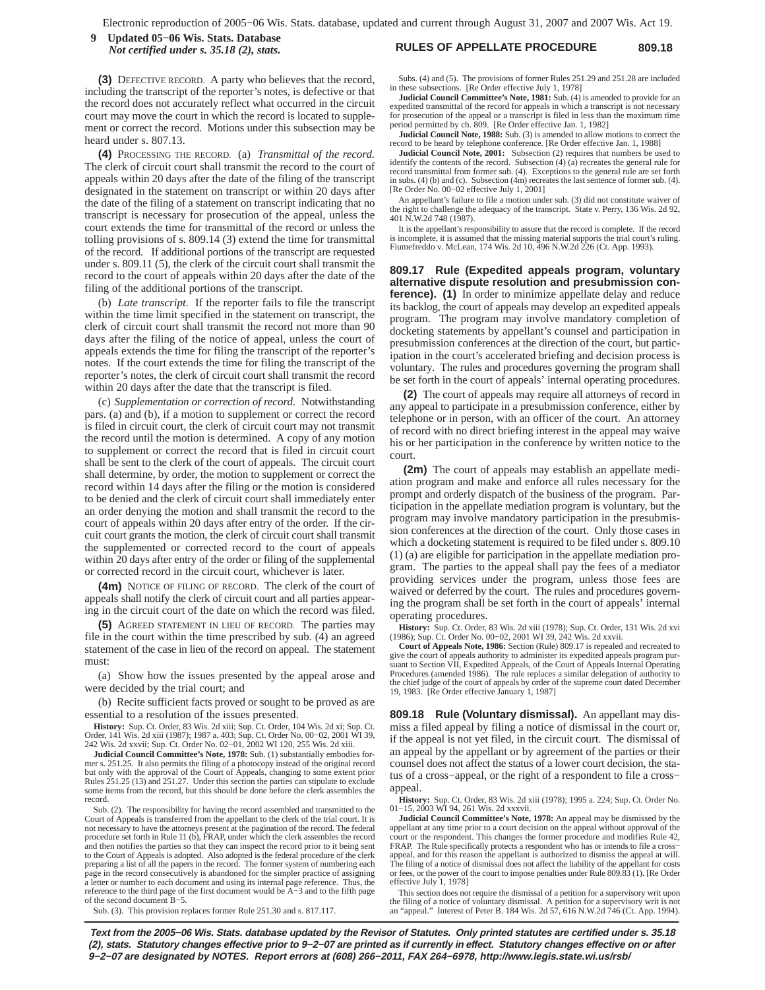### **RULES OF APPELLATE PROCEDURE 809.18 9 Updated 05−06 Wis. Stats. Database** *Not certified under s. 35.18 (2), stats.*

**(3)** DEFECTIVE RECORD. A party who believes that the record, including the transcript of the reporter's notes, is defective or that the record does not accurately reflect what occurred in the circuit court may move the court in which the record is located to supplement or correct the record. Motions under this subsection may be heard under s. 807.13.

**(4)** PROCESSING THE RECORD. (a) *Transmittal of the record.* The clerk of circuit court shall transmit the record to the court of appeals within 20 days after the date of the filing of the transcript designated in the statement on transcript or within 20 days after the date of the filing of a statement on transcript indicating that no transcript is necessary for prosecution of the appeal, unless the court extends the time for transmittal of the record or unless the tolling provisions of s. 809.14 (3) extend the time for transmittal of the record. If additional portions of the transcript are requested under s. 809.11 (5), the clerk of the circuit court shall transmit the record to the court of appeals within 20 days after the date of the filing of the additional portions of the transcript.

(b) *Late transcript.* If the reporter fails to file the transcript within the time limit specified in the statement on transcript, the clerk of circuit court shall transmit the record not more than 90 days after the filing of the notice of appeal, unless the court of appeals extends the time for filing the transcript of the reporter's notes. If the court extends the time for filing the transcript of the reporter's notes, the clerk of circuit court shall transmit the record within 20 days after the date that the transcript is filed.

(c) *Supplementation or correction of record.* Notwithstanding pars. (a) and (b), if a motion to supplement or correct the record is filed in circuit court, the clerk of circuit court may not transmit the record until the motion is determined. A copy of any motion to supplement or correct the record that is filed in circuit court shall be sent to the clerk of the court of appeals. The circuit court shall determine, by order, the motion to supplement or correct the record within 14 days after the filing or the motion is considered to be denied and the clerk of circuit court shall immediately enter an order denying the motion and shall transmit the record to the court of appeals within 20 days after entry of the order. If the circuit court grants the motion, the clerk of circuit court shall transmit the supplemented or corrected record to the court of appeals within 20 days after entry of the order or filing of the supplemental or corrected record in the circuit court, whichever is later.

**(4m)** NOTICE OF FILING OF RECORD. The clerk of the court of appeals shall notify the clerk of circuit court and all parties appearing in the circuit court of the date on which the record was filed.

**(5)** AGREED STATEMENT IN LIEU OF RECORD. The parties may file in the court within the time prescribed by sub. (4) an agreed statement of the case in lieu of the record on appeal. The statement must:

(a) Show how the issues presented by the appeal arose and were decided by the trial court; and

(b) Recite sufficient facts proved or sought to be proved as are essential to a resolution of the issues presented.

**History:** Sup. Ct. Order, 83 Wis. 2d xiii; Sup. Ct. Order, 104 Wis. 2d xi; Sup. Ct. Order, 141 Wis. 2d xiii (1987); 1987 a. 403; Sup. Ct. Order No. 00−02, 2001 WI 39, 242 Wis. 2d xxvii; Sup. Ct. Order No. 02−01, 2002 WI 120, 255 Wis. 2d xiii.

**Judicial Council Committee's Note, 1978:** Sub. (1) substantially embodies for-<br>mer s. 251.25. It also permits the filing of a photocopy instead of the original record but only with the approval of the Court of Appeals, changing to some extent prior Rules 251.25 (13) and 251.27. Under this section the parties can stipulate to exclude some items from the record, but this should be done before the clerk assembles the record.

Sub. (2). The responsibility for having the record assembled and transmitted to the Court of Appeals is transferred from the appellant to the clerk of the trial court. It is not necessary to have the attorneys present at the pagination of the record. The federal procedure set forth in Rule 11 (b), FRAP, under which the clerk assembles the record and then notifies the parties so that they can inspect the record prior to it being sent to the Court of Appeals is adopted. Also adopted is the federal procedure of the clerk preparing a list of all the papers in the record. The former system of numbering each page in the record consecutively is abandoned for the simpler practice of assigning a letter or number to each document and using its internal page reference. Thus, the reference to the third page of the first document would be A−3 and to the fifth page of the second document B−5.

Subs. (4) and (5). The provisions of former Rules 251.29 and 251.28 are included in these subsections. [Re Order effective July 1, 1978]

**Judicial Council Committee's Note, 1981:** Sub. (4) is amended to provide for an expedited transmittal of the record for appeals in which a transcript is not necessary for prosecution of the appeal or a transcript is filed in less than the maximum time period permitted by ch. 809. [Re Order effective Jan. 1, 1982]

**Judicial Council Note, 1988:** Sub. (3) is amended to allow motions to correct the record to be heard by telephone conference. [Re Order effective Jan. 1, 1988]

**Judicial Council Note, 2001:** Subsection (2) requires that numbers be used to identify the contents of the record. Subsection (4) (a) recreates the general rule for record transmittal from former sub. (4). Exceptions to the general rule are set forth in subs. (4) (b) and (c). Subsection (4m) recreates the last sentence of former sub. (4). [Re Order No. 00−02 effective July 1, 2001]

An appellant's failure to file a motion under sub. (3) did not constitute waiver of the right to challenge the adequacy of the transcript. State v. Perry, 136 Wis. 2d 92, 401 N.W.2d 748 (1987).

It is the appellant's responsibility to assure that the record is complete. If the record is incomplete, it is assumed that the missing material supports the trial court's ruling. Fiumefreddo v. McLean, 174 Wis. 2d 10, 496 N.W.2d 226 (Ct. App. 1993).

**809.17 Rule (Expedited appeals program, voluntary alternative dispute resolution and presubmission conference). (1)** In order to minimize appellate delay and reduce its backlog, the court of appeals may develop an expedited appeals program. The program may involve mandatory completion of docketing statements by appellant's counsel and participation in presubmission conferences at the direction of the court, but participation in the court's accelerated briefing and decision process is voluntary. The rules and procedures governing the program shall be set forth in the court of appeals' internal operating procedures.

**(2)** The court of appeals may require all attorneys of record in any appeal to participate in a presubmission conference, either by telephone or in person, with an officer of the court. An attorney of record with no direct briefing interest in the appeal may waive his or her participation in the conference by written notice to the court.

**(2m)** The court of appeals may establish an appellate mediation program and make and enforce all rules necessary for the prompt and orderly dispatch of the business of the program. Participation in the appellate mediation program is voluntary, but the program may involve mandatory participation in the presubmission conferences at the direction of the court. Only those cases in which a docketing statement is required to be filed under s. 809.10 (1) (a) are eligible for participation in the appellate mediation program. The parties to the appeal shall pay the fees of a mediator providing services under the program, unless those fees are waived or deferred by the court. The rules and procedures governing the program shall be set forth in the court of appeals' internal operating procedures.

**History:** Sup. Ct. Order, 83 Wis. 2d xiii (1978); Sup. Ct. Order, 131 Wis. 2d xvi (1986); Sup. Ct. Order No. 00−02, 2001 WI 39, 242 Wis. 2d xxvii.

**Court of Appeals Note, 1986:** Section (Rule) 809.17 is repealed and recreated to give the court of appeals authority to administer its expedited appeals program pursuant to Section VII, Expedited Appeals, of the Court of Appeals Internal Operating Procedures (amended 1986). The rule replaces a similar delegation of authority to the chief judge of the court of appeals by order of the supreme court dated December 19, 1983. [Re Order effective January 1, 1987]

**809.18 Rule (Voluntary dismissal).** An appellant may dismiss a filed appeal by filing a notice of dismissal in the court or, if the appeal is not yet filed, in the circuit court. The dismissal of an appeal by the appellant or by agreement of the parties or their counsel does not affect the status of a lower court decision, the status of a cross−appeal, or the right of a respondent to file a cross− appeal.

**History:** Sup. Ct. Order, 83 Wis. 2d xiii (1978); 1995 a. 224; Sup. Ct. Order No. 01−15, 2003 WI 94, 261 Wis. 2d xxxvii.

**Judicial Council Committee's Note, 1978:** An appeal may be dismissed by the appellant at any time prior to a court decision on the appeal without approval of the curt or the respondent. This changes the former procedure and modifies Rule 42, FRAP. The Rule specifically protects a respondent who has or intends to file a cross− appeal, and for this reason the appellant is authorized to dismiss the appeal at will. The filing of a notice of dismissal does not affect the liability of the appellant for costs or fees, or the power of the court to impose penalties under Rule 809.83 (1). [Re Order effective July 1, 1978]

This section does not require the dismissal of a petition for a supervisory writ upon the filing of a notice of voluntary dismissal. A petition for a supervisory writ is not an "appeal." Interest of Peter B. 184 Wis. 2d 57, 616 N.W.2d 746 (Ct. App. 1994).

Sub. (3). This provision replaces former Rule 251.30 and s. 817.117.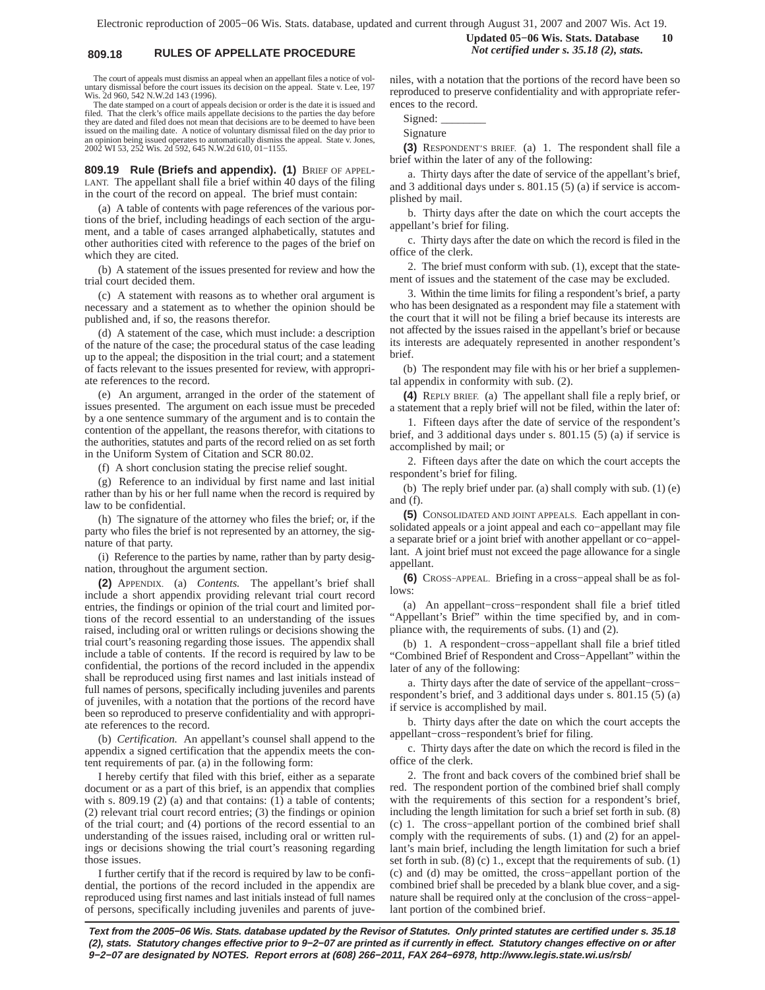# **809.18 RULES OF APPELLATE PROCEDURE** *Not certified under s. 35.18 (2), stats.*

**Updated 05−06 Wis. Stats. Database 10**

The court of appeals must dismiss an appeal when an appellant files a notice of voluntary dismissal before the court issues its decision on the appeal. State v. Lee, 197 Wis. 2d 960, 542 N.W.2d 143 (1996).

The date stamped on a court of appeals decision or order is the date it is issued and filed. That the clerk's office mails appellate decisions to the parties the day before they are dated and filed does not mean that decisions are to be deemed to have been issued on the mailing date. A notice of voluntary dismissal filed on the day prior to an opinion being issued operates to automatically dismiss the appeal. State v. Jones, 2002 WI 53, 252 Wis. 2d 592, 645 N.W.2d 610, 01−1155.

**809.19 Rule (Briefs and appendix). (1)** BRIEF OF APPEL-LANT. The appellant shall file a brief within 40 days of the filing in the court of the record on appeal. The brief must contain:

(a) A table of contents with page references of the various portions of the brief, including headings of each section of the argument, and a table of cases arranged alphabetically, statutes and other authorities cited with reference to the pages of the brief on which they are cited.

(b) A statement of the issues presented for review and how the trial court decided them.

(c) A statement with reasons as to whether oral argument is necessary and a statement as to whether the opinion should be published and, if so, the reasons therefor.

(d) A statement of the case, which must include: a description of the nature of the case; the procedural status of the case leading up to the appeal; the disposition in the trial court; and a statement of facts relevant to the issues presented for review, with appropriate references to the record.

(e) An argument, arranged in the order of the statement of issues presented. The argument on each issue must be preceded by a one sentence summary of the argument and is to contain the contention of the appellant, the reasons therefor, with citations to the authorities, statutes and parts of the record relied on as set forth in the Uniform System of Citation and SCR 80.02.

(f) A short conclusion stating the precise relief sought.

(g) Reference to an individual by first name and last initial rather than by his or her full name when the record is required by law to be confidential.

(h) The signature of the attorney who files the brief; or, if the party who files the brief is not represented by an attorney, the signature of that party.

(i) Reference to the parties by name, rather than by party designation, throughout the argument section.

**(2)** APPENDIX. (a) *Contents.* The appellant's brief shall include a short appendix providing relevant trial court record entries, the findings or opinion of the trial court and limited portions of the record essential to an understanding of the issues raised, including oral or written rulings or decisions showing the trial court's reasoning regarding those issues. The appendix shall include a table of contents. If the record is required by law to be confidential, the portions of the record included in the appendix shall be reproduced using first names and last initials instead of full names of persons, specifically including juveniles and parents of juveniles, with a notation that the portions of the record have been so reproduced to preserve confidentiality and with appropriate references to the record.

(b) *Certification.* An appellant's counsel shall append to the appendix a signed certification that the appendix meets the content requirements of par. (a) in the following form:

I hereby certify that filed with this brief, either as a separate document or as a part of this brief, is an appendix that complies with s. 809.19 (2) (a) and that contains: (1) a table of contents; (2) relevant trial court record entries; (3) the findings or opinion of the trial court; and (4) portions of the record essential to an understanding of the issues raised, including oral or written rulings or decisions showing the trial court's reasoning regarding those issues.

I further certify that if the record is required by law to be confidential, the portions of the record included in the appendix are reproduced using first names and last initials instead of full names of persons, specifically including juveniles and parents of juveniles, with a notation that the portions of the record have been so reproduced to preserve confidentiality and with appropriate references to the record.

Signed:

Signature

**(3)** RESPONDENT'S BRIEF. (a) 1. The respondent shall file a brief within the later of any of the following:

a. Thirty days after the date of service of the appellant's brief, and 3 additional days under s. 801.15 (5) (a) if service is accomplished by mail.

b. Thirty days after the date on which the court accepts the appellant's brief for filing.

c. Thirty days after the date on which the record is filed in the office of the clerk.

2. The brief must conform with sub. (1), except that the statement of issues and the statement of the case may be excluded.

3. Within the time limits for filing a respondent's brief, a party who has been designated as a respondent may file a statement with the court that it will not be filing a brief because its interests are not affected by the issues raised in the appellant's brief or because its interests are adequately represented in another respondent's brief.

(b) The respondent may file with his or her brief a supplemental appendix in conformity with sub. (2).

**(4)** REPLY BRIEF. (a) The appellant shall file a reply brief, or a statement that a reply brief will not be filed, within the later of:

1. Fifteen days after the date of service of the respondent's brief, and 3 additional days under s. 801.15 (5) (a) if service is accomplished by mail; or

2. Fifteen days after the date on which the court accepts the respondent's brief for filing.

(b) The reply brief under par. (a) shall comply with sub. (1) (e) and (f).

**(5)** CONSOLIDATED AND JOINT APPEALS. Each appellant in consolidated appeals or a joint appeal and each co−appellant may file a separate brief or a joint brief with another appellant or co−appellant. A joint brief must not exceed the page allowance for a single appellant.

**(6)** CROSS−APPEAL. Briefing in a cross−appeal shall be as follows:

(a) An appellant−cross−respondent shall file a brief titled "Appellant's Brief" within the time specified by, and in compliance with, the requirements of subs. (1) and (2).

(b) 1. A respondent−cross−appellant shall file a brief titled "Combined Brief of Respondent and Cross−Appellant" within the later of any of the following:

a. Thirty days after the date of service of the appellant−cross− respondent's brief, and 3 additional days under s. 801.15 (5) (a) if service is accomplished by mail.

b. Thirty days after the date on which the court accepts the appellant−cross−respondent's brief for filing.

c. Thirty days after the date on which the record is filed in the office of the clerk.

2. The front and back covers of the combined brief shall be red. The respondent portion of the combined brief shall comply with the requirements of this section for a respondent's brief, including the length limitation for such a brief set forth in sub. (8) (c) 1. The cross−appellant portion of the combined brief shall comply with the requirements of subs. (1) and (2) for an appellant's main brief, including the length limitation for such a brief set forth in sub. (8) (c) 1., except that the requirements of sub. (1) (c) and (d) may be omitted, the cross−appellant portion of the combined brief shall be preceded by a blank blue cover, and a signature shall be required only at the conclusion of the cross−appellant portion of the combined brief.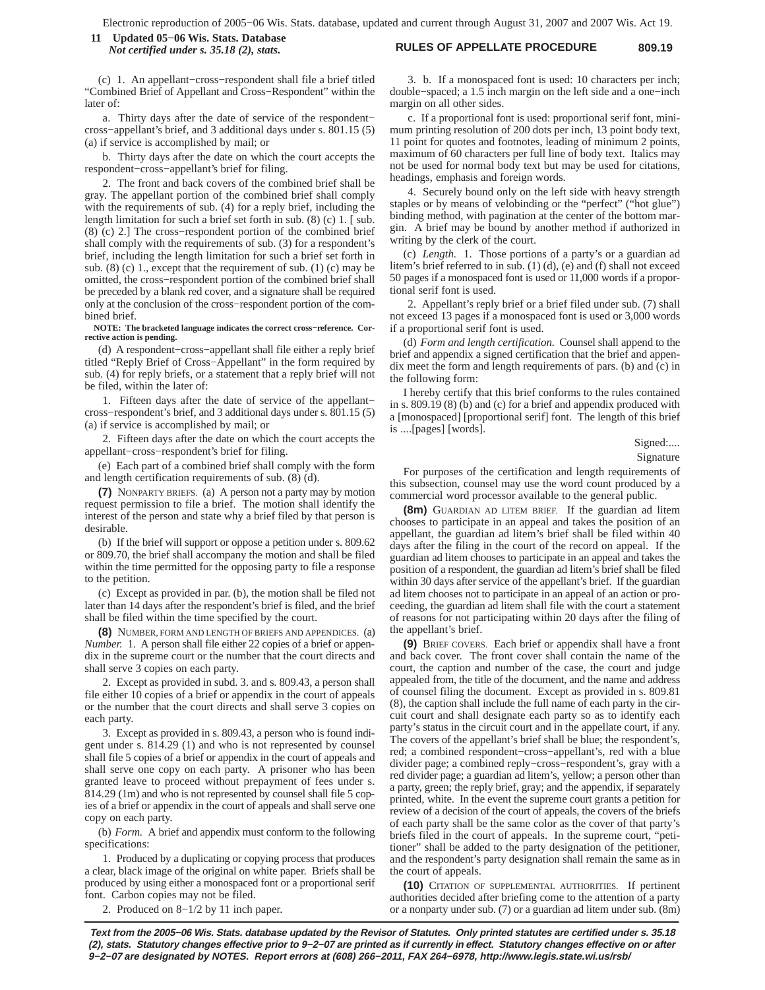### **RULES OF APPELLATE PROCEDURE 809.19 11 Updated 05−06 Wis. Stats. Database** *Not certified under s. 35.18 (2), stats.*

## (c) 1. An appellant−cross−respondent shall file a brief titled "Combined Brief of Appellant and Cross−Respondent" within the later of:

a. Thirty days after the date of service of the respondent− cross−appellant's brief, and 3 additional days under s. 801.15 (5) (a) if service is accomplished by mail; or

b. Thirty days after the date on which the court accepts the respondent−cross−appellant's brief for filing.

2. The front and back covers of the combined brief shall be gray. The appellant portion of the combined brief shall comply with the requirements of sub. (4) for a reply brief, including the length limitation for such a brief set forth in sub. (8) (c) 1. [ sub. (8) (c) 2.] The cross−respondent portion of the combined brief shall comply with the requirements of sub. (3) for a respondent's brief, including the length limitation for such a brief set forth in sub.  $(8)$  (c) 1., except that the requirement of sub.  $(1)$  (c) may be omitted, the cross−respondent portion of the combined brief shall be preceded by a blank red cover, and a signature shall be required only at the conclusion of the cross−respondent portion of the combined brief.

**NOTE: The bracketed language indicates the correct cross−reference. Corrective action is pending.**

(d) A respondent−cross−appellant shall file either a reply brief titled "Reply Brief of Cross−Appellant" in the form required by sub. (4) for reply briefs, or a statement that a reply brief will not be filed, within the later of:

1. Fifteen days after the date of service of the appellant− cross−respondent's brief, and 3 additional days under s. 801.15 (5) (a) if service is accomplished by mail; or

2. Fifteen days after the date on which the court accepts the appellant−cross−respondent's brief for filing.

(e) Each part of a combined brief shall comply with the form and length certification requirements of sub. (8) (d).

**(7)** NONPARTY BRIEFS. (a) A person not a party may by motion request permission to file a brief. The motion shall identify the interest of the person and state why a brief filed by that person is desirable.

(b) If the brief will support or oppose a petition under s. 809.62 or 809.70, the brief shall accompany the motion and shall be filed within the time permitted for the opposing party to file a response to the petition.

(c) Except as provided in par. (b), the motion shall be filed not later than 14 days after the respondent's brief is filed, and the brief shall be filed within the time specified by the court.

**(8)** NUMBER, FORM AND LENGTH OF BRIEFS AND APPENDICES. (a) *Number.* 1. A person shall file either 22 copies of a brief or appendix in the supreme court or the number that the court directs and shall serve 3 copies on each party.

2. Except as provided in subd. 3. and s. 809.43, a person shall file either 10 copies of a brief or appendix in the court of appeals or the number that the court directs and shall serve 3 copies on each party.

3. Except as provided in s. 809.43, a person who is found indigent under s. 814.29 (1) and who is not represented by counsel shall file 5 copies of a brief or appendix in the court of appeals and shall serve one copy on each party. A prisoner who has been granted leave to proceed without prepayment of fees under s. 814.29 (1m) and who is not represented by counsel shall file 5 copies of a brief or appendix in the court of appeals and shall serve one copy on each party.

(b) *Form.* A brief and appendix must conform to the following specifications:

1. Produced by a duplicating or copying process that produces a clear, black image of the original on white paper. Briefs shall be produced by using either a monospaced font or a proportional serif font. Carbon copies may not be filed.

2. Produced on 8−1/2 by 11 inch paper.

3. b. If a monospaced font is used: 10 characters per inch; double−spaced; a 1.5 inch margin on the left side and a one−inch margin on all other sides.

c. If a proportional font is used: proportional serif font, minimum printing resolution of 200 dots per inch, 13 point body text, 11 point for quotes and footnotes, leading of minimum 2 points, maximum of 60 characters per full line of body text. Italics may not be used for normal body text but may be used for citations, headings, emphasis and foreign words.

4. Securely bound only on the left side with heavy strength staples or by means of velobinding or the "perfect" ("hot glue") binding method, with pagination at the center of the bottom margin. A brief may be bound by another method if authorized in writing by the clerk of the court.

(c) *Length.* 1. Those portions of a party's or a guardian ad litem's brief referred to in sub. (1) (d), (e) and (f) shall not exceed 50 pages if a monospaced font is used or 11,000 words if a proportional serif font is used.

2. Appellant's reply brief or a brief filed under sub. (7) shall not exceed 13 pages if a monospaced font is used or 3,000 words if a proportional serif font is used.

(d) *Form and length certification.* Counsel shall append to the brief and appendix a signed certification that the brief and appendix meet the form and length requirements of pars. (b) and (c) in the following form:

I hereby certify that this brief conforms to the rules contained in s. 809.19 (8) (b) and (c) for a brief and appendix produced with a [monospaced] [proportional serif] font. The length of this brief is ....[pages] [words].

Signed:....

Signature

For purposes of the certification and length requirements of this subsection, counsel may use the word count produced by a commercial word processor available to the general public.

**(8m)** GUARDIAN AD LITEM BRIEF. If the guardian ad litem chooses to participate in an appeal and takes the position of an appellant, the guardian ad litem's brief shall be filed within 40 days after the filing in the court of the record on appeal. If the guardian ad litem chooses to participate in an appeal and takes the position of a respondent, the guardian ad litem's brief shall be filed within 30 days after service of the appellant's brief. If the guardian ad litem chooses not to participate in an appeal of an action or proceeding, the guardian ad litem shall file with the court a statement of reasons for not participating within 20 days after the filing of the appellant's brief.

**(9)** BRIEF COVERS. Each brief or appendix shall have a front and back cover. The front cover shall contain the name of the court, the caption and number of the case, the court and judge appealed from, the title of the document, and the name and address of counsel filing the document. Except as provided in s. 809.81 (8), the caption shall include the full name of each party in the circuit court and shall designate each party so as to identify each party's status in the circuit court and in the appellate court, if any. The covers of the appellant's brief shall be blue; the respondent's, red; a combined respondent−cross−appellant's, red with a blue divider page; a combined reply−cross−respondent's, gray with a red divider page; a guardian ad litem's, yellow; a person other than a party, green; the reply brief, gray; and the appendix, if separately printed, white. In the event the supreme court grants a petition for review of a decision of the court of appeals, the covers of the briefs of each party shall be the same color as the cover of that party's briefs filed in the court of appeals. In the supreme court, "petitioner" shall be added to the party designation of the petitioner, and the respondent's party designation shall remain the same as in the court of appeals.

**(10)** CITATION OF SUPPLEMENTAL AUTHORITIES. If pertinent authorities decided after briefing come to the attention of a party or a nonparty under sub. (7) or a guardian ad litem under sub. (8m)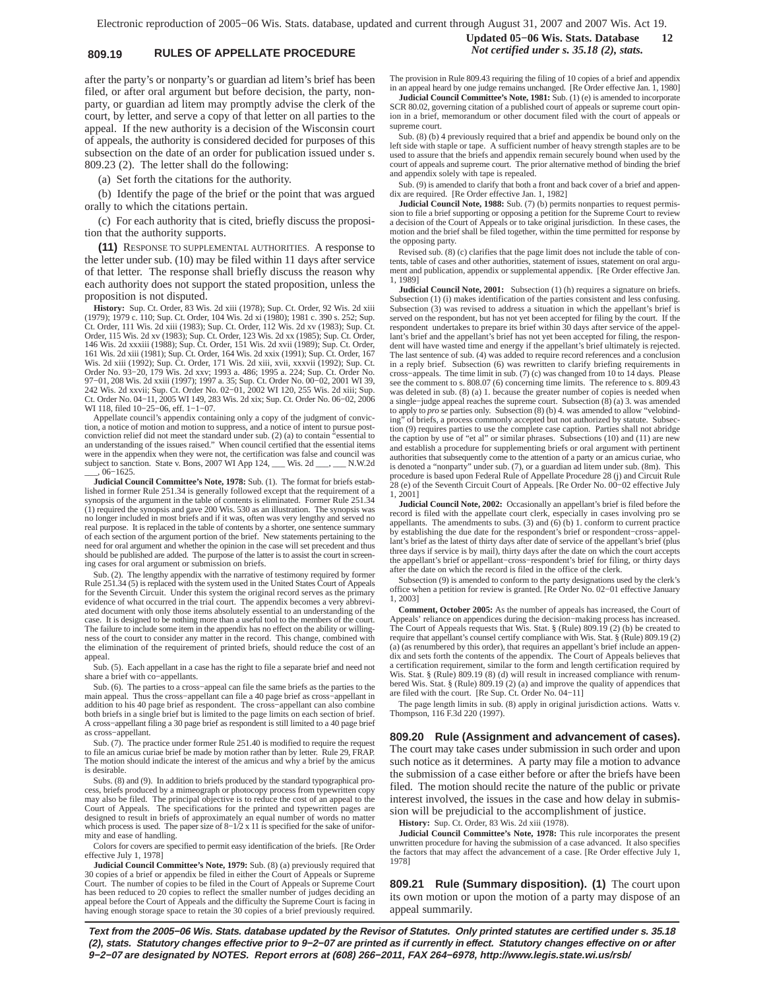# **809.19 RULES OF APPELLATE PROCEDURE** *Not certified under s. 35.18 (2), stats.*

after the party's or nonparty's or guardian ad litem's brief has been filed, or after oral argument but before decision, the party, nonparty, or guardian ad litem may promptly advise the clerk of the court, by letter, and serve a copy of that letter on all parties to the appeal. If the new authority is a decision of the Wisconsin court of appeals, the authority is considered decided for purposes of this subsection on the date of an order for publication issued under s. 809.23 (2). The letter shall do the following:

(a) Set forth the citations for the authority.

(b) Identify the page of the brief or the point that was argued orally to which the citations pertain.

(c) For each authority that is cited, briefly discuss the proposition that the authority supports.

**(11)** RESPONSE TO SUPPLEMENTAL AUTHORITIES. A response to the letter under sub. (10) may be filed within 11 days after service of that letter. The response shall briefly discuss the reason why each authority does not support the stated proposition, unless the proposition is not disputed.

**History:** Sup. Ct. Order, 83 Wis. 2d xiii (1978); Sup. Ct. Order, 92 Wis. 2d xiii (1979); 1979 c. 110; Sup. Ct. Order, 104 Wis. 2d xi (1980); 1981 c. 390 s. 252; Sup. Ct. Order, 111 Wis. 2d xiii (1983); Sup. Ct. Order, 112 Wis. 2d xv (1983); Sup. Ct. Order, 115 Wis. 2d xv (1983); Sup. Ct. Order, 123 Wis. 2d xx (1985); Sup. Ct. Order, 146 Wis. 2d xxxiii (1988); Sup. Ct. Order, 151 Wis. 2d xvii (1989); Sup. Ct. Order, 161 Wis. 2d xiii (1981); Sup. Ct. Order, 164 Wis. 2d xxix (1991); Sup. Ct. Order, 167<br>Wis. 2d xiii (1992); Sup. Ct. Order, 171 Wis. 2d xii Order No. 93−20, 179 Wis. 2d xxv; 1993 a. 486; 1995 a. 224; Sup. Ct. Order No. 97−01, 208 Wis. 2d xxiii (1997); 1997 a. 35; Sup. Ct. Order No. 00−02, 2001 WI 39, 242 Wis. 2d xxvii; Sup. Ct. Order No. 02−01, 2002 WI 120, 255 Wis. 2d xiii; Sup. Ct. Order No. 04−11, 2005 WI 149, 283 Wis. 2d xix; Sup. Ct. Order No. 06−02, 2006 WI 118, filed 10−25−06, eff. 1−1−07.

Appellate council's appendix containing only a copy of the judgment of conviction, a notice of motion and motion to suppress, and a notice of intent to pursue postconviction relief did not meet the standard under sub. (2) (a) to contain "essential to an understanding of the issues raised." When council certified that the essential items were in the appendix when they were not, the certification was false and council was subject to sanction. State v. Bons, 2007 WI App 124, \_\_\_ Wis. 2d \_\_\_, \_\_\_ N.W.2d \_\_\_, 06−1625.

**Judicial Council Committee's Note, 1978:** Sub. (1). The format for briefs established in former Rule 251.34 is generally followed except that the requirement of a synopsis of the argument in the table of contents is eliminated. Former Rule 251.34 (1) required the synopsis and gave 200 Wis. 530 as an illustration. The synopsis was no longer included in most briefs and if it was, often was very lengthy and served no real purpose. It is replaced in the table of contents by a shorter, one sentence summary of each section of the argument portion of the brief. New statements pertaining to the need for oral argument and whether the opinion in the case will set precedent and thus should be published are added. The purpose of the latter is to assist the court in screen-ing cases for oral argument or submission on briefs.

Sub. (2). The lengthy appendix with the narrative of testimony required by former Rule 251.34 (5) is replaced with the system used in the United States Court of Appeals for the Seventh Circuit. Under this system the original record serves as the primary evidence of what occurred in the trial court. The appendix becomes a very abbreviated document with only those items absolutely essential to an understanding of the case. It is designed to be nothing more than a useful tool to the members of the court. The failure to include some item in the appendix has no effect on the ability or willingness of the court to consider any matter in the record. This change, combined with the elimination of the requirement of printed briefs, should reduce the cost of an appeal.

Sub. (5). Each appellant in a case has the right to file a separate brief and need not share a brief with co−appellants.

Sub. (6). The parties to a cross−appeal can file the same briefs as the parties to the main appeal. Thus the cross−appellant can file a 40 page brief as cross−appellant in addition to his 40 page brief as respondent. The cross−appellant can also combine both briefs in a single brief but is limited to the page limits on each section of brief. A cross−appellant filing a 30 page brief as respondent is still limited to a 40 page brief as cross−appellant.

Sub. (7). The practice under former Rule 251.40 is modified to require the request to file an amicus curiae brief be made by motion rather than by letter. Rule 29, FRAP. The motion should indicate the interest of the amicus and why a brief by the amicus is desirable.

Subs. (8) and (9). In addition to briefs produced by the standard typographical process, briefs produced by a mimeograph or photocopy process from typewritten copy may also be filed. The principal objective is to reduce the cost of an appeal to the Court of Appeals. The specifications for the printed and typewritten pages are designed to result in briefs of approximately an equal number of words no matter which process is used. The paper size of 8−1/2 x 11 is specified for the sake of unifor-mity and ease of handling.

Colors for covers are specified to permit easy identification of the briefs. [Re Order effective July 1, 1978]

**Judicial Council Committee's Note, 1979:** Sub. (8) (a) previously required that 30 copies of a brief or appendix be filed in either the Court of Appeals or Supreme Court. The number of copies to be filed in the Court of Appeals or Supreme Court has been reduced to 20 copies to reflect the smaller number of judges deciding an appeal before the Court of Appeals and the difficulty the Supreme Court is facing in having enough storage space to retain the 30 copies of a brief previously required.

# **Updated 05−06 Wis. Stats. Database 12**

The provision in Rule 809.43 requiring the filing of 10 copies of a brief and appendix in an appeal heard by one judge remains unchanged. [Re Order effective Jan. 1, 1980]

**Judicial Council Committee's Note, 1981:** Sub. (1) (e) is amended to incorporate SCR 80.02, governing citation of a published court of appeals or supreme court opinion in a brief, memorandum or other document filed with the court of appeals or supreme court.

Sub. (8) (b) 4 previously required that a brief and appendix be bound only on the left side with staple or tape. A sufficient number of heavy strength staples are to be used to assure that the briefs and appendix remain securely bound when used by the court of appeals and supreme court. The prior alternative method of binding the brief and appendix solely with tape is repealed.

Sub. (9) is amended to clarify that both a front and back cover of a brief and appendix are required. [Re Order effective Jan. 1, 1982]

**Judicial Council Note, 1988:** Sub. (7) (b) permits nonparties to request permission to file a brief supporting or opposing a petition for the Supreme Court to review a decision of the Court of Appeals or to take original jurisdiction. In these cases, the motion and the brief shall be filed together, within the time permitted for response by the opposing party.

Revised sub. (8) (c) clarifies that the page limit does not include the table of contents, table of cases and other authorities, statement of issues, statement on oral argument and publication, appendix or supplemental appendix. [Re Order effective Jan. 1, 1989]

**Judicial Council Note, 2001:** Subsection (1) (h) requires a signature on briefs. Subsection (1) (i) makes identification of the parties consistent and less confusing. Subsection (3) was revised to address a situation in which the appellant's brief is served on the respondent, but has not yet been accepted for filing by the court. If the respondent undertakes to prepare its brief within 30 days after service of the appellant's brief and the appellant's brief has not yet been accepted for filing, the respondent will have wasted time and energy if the appellant's brief ultimately is rejected. The last sentence of sub. (4) was added to require record references and a conclusion in a reply brief. Subsection (6) was rewritten to clarify briefing requirements in cross−appeals. The time limit in sub. (7) (c) was changed from 10 to 14 days. Please see the comment to s. 808.07 (6) concerning time limits. The reference to s. 809.43 was deleted in sub. (8) (a) 1. because the greater number of copies is needed when a single−judge appeal reaches the supreme court. Subsection (8) (a) 3. was amended to apply to *pro se* parties only. Subsection (8) (b) 4. was amended to allow "velobinding" of briefs, a process commonly accepted but not authorized by statute. Subsection (9) requires parties to use the complete case caption. Parties shall not abridge the caption by use of "et al" or similar phrases. Subsections (10) and (11) are new and establish a procedure for supplementing briefs or oral argument with pertinent authorities that subsequently come to the attention of a party or an amicus curiae, who is denoted a "nonparty" under sub. (7), or a guardian ad litem under sub. (8m). This<br>procedure is based upon Federal Rule of Appellate Procedure 28 (j) and Circuit Rule<br>28 (e) of the Seventh Circuit Court of Appeals. [Re O 1, 2001]

**Judicial Council Note, 2002:** Occasionally an appellant's brief is filed before the record is filed with the appellate court clerk, especially in cases involving pro se appellants. The amendments to subs. (3) and (6) (b) 1. conform to current practice by establishing the due date for the respondent's brief or respondent−cross−appellant's brief as the latest of thirty days after date of service of the appellant's brief (plus three days if service is by mail), thirty days after the date on which the court accepts the appellant's brief or appellant−cross−respondent's brief for filing, or thirty days after the date on which the record is filed in the office of the clerk.

Subsection (9) is amended to conform to the party designations used by the clerk's office when a petition for review is granted. [Re Order No. 02−01 effective January 1, 2003]

**Comment, October 2005:** As the number of appeals has increased, the Court of Appeals' reliance on appendices during the decision−making process has increased. The Court of Appeals requests that Wis. Stat. § (Rule) 809.19 (2) (b) be created to require that appellant's counsel certify compliance with Wis. Stat. § (Rule) 809.19 (2) (a) (as renumbered by this order), that requires an appellant's brief include an appendix and sets forth the contents of the appendix. The Court of Appeals believes that a certification requirement, similar to the form and length certification required by Wis. Stat. § (Rule) 809.19 (8) (d) will result in increased compliance with renumbered Wis. Stat. § (Rule) 809.19 (2) (a) and improve the quality of appendices that are filed with the court. [Re Sup. Ct. Order No. 04−11]

The page length limits in sub. (8) apply in original jurisdiction actions. Watts v. Thompson, 116 F.3d 220 (1997).

**809.20 Rule (Assignment and advancement of cases).** The court may take cases under submission in such order and upon such notice as it determines. A party may file a motion to advance the submission of a case either before or after the briefs have been filed. The motion should recite the nature of the public or private interest involved, the issues in the case and how delay in submission will be prejudicial to the accomplishment of justice.

**History:** Sup. Ct. Order, 83 Wis. 2d xiii (1978).

**Judicial Council Committee's Note, 1978:** This rule incorporates the present unwritten procedure for having the submission of a case advanced. It also specifies the factors that may affect the advancement of a case. [Re Order effective July 1, 1978]

**809.21 Rule (Summary disposition). (1)** The court upon its own motion or upon the motion of a party may dispose of an appeal summarily.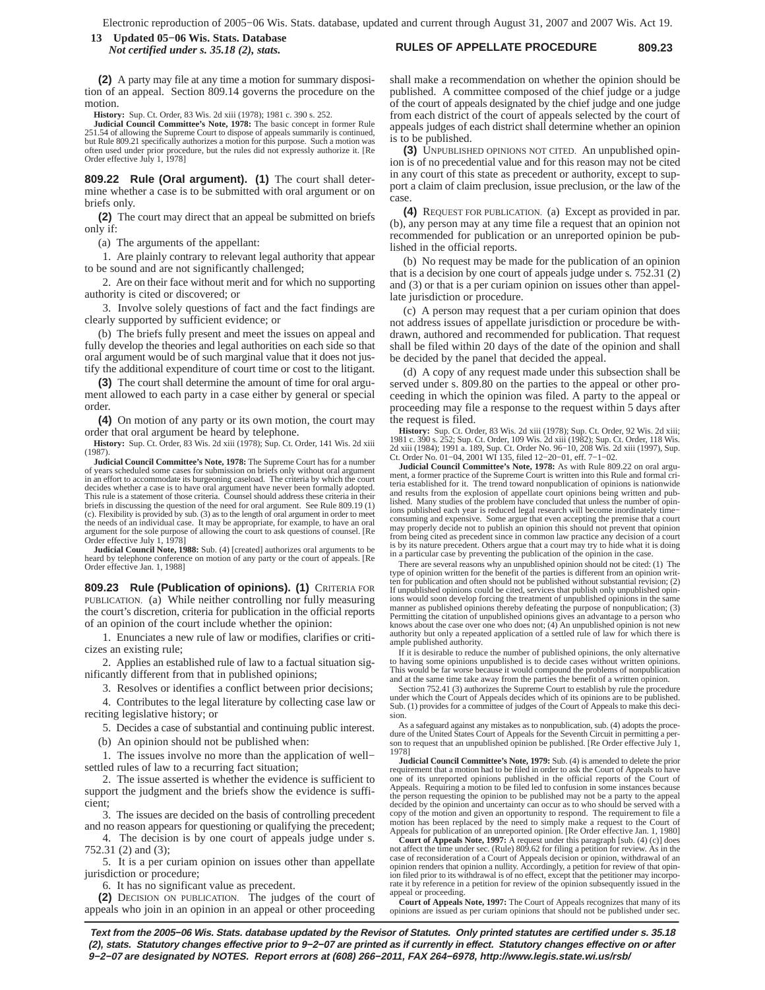### **RULES OF APPELLATE PROCEDURE 809.23 13 Updated 05−06 Wis. Stats. Database** *Not certified under s. 35.18 (2), stats.*

**(2)** A party may file at any time a motion for summary disposition of an appeal. Section 809.14 governs the procedure on the motion.

**History:** Sup. Ct. Order, 83 Wis. 2d xiii (1978); 1981 c. 390 s. 252.

**Judicial Council Committee's Note, 1978:** The basic concept in former Rule 251.54 of allowing the Supreme Court to dispose of appeals summarily is continued, but Rule 809.21 specifically authorizes a motion for this purpose. Such a motion was often used under prior procedure, but the rules did not expressly authorize it. [Re Order effective July 1, 1978]

**809.22 Rule (Oral argument). (1)** The court shall determine whether a case is to be submitted with oral argument or on briefs only.

**(2)** The court may direct that an appeal be submitted on briefs only if:

(a) The arguments of the appellant:

1. Are plainly contrary to relevant legal authority that appear to be sound and are not significantly challenged;

2. Are on their face without merit and for which no supporting authority is cited or discovered; or

3. Involve solely questions of fact and the fact findings are clearly supported by sufficient evidence; or

(b) The briefs fully present and meet the issues on appeal and fully develop the theories and legal authorities on each side so that oral argument would be of such marginal value that it does not justify the additional expenditure of court time or cost to the litigant.

**(3)** The court shall determine the amount of time for oral argument allowed to each party in a case either by general or special order.

**(4)** On motion of any party or its own motion, the court may order that oral argument be heard by telephone.

**History:** Sup. Ct. Order, 83 Wis. 2d xiii (1978); Sup. Ct. Order, 141 Wis. 2d xiii (1987).

**Judicial Council Committee's Note, 1978:** The Supreme Court has for a number of years scheduled some cases for submission on briefs only without oral argument in an effort to accommodate its burgeoning caseload. The criteria by which the court decides whether a case is to have oral argument have never been formally adopted. This rule is a statement of those criteria. Counsel should address these criteria in their briefs in discussing the question of the need for oral argument. See Rule 809.19 (1) (c). Flexibility is provided by sub. (3) as to the length of oral argument in order to meet the needs of an individual case. It may be appropriate, for example, to have an oral argument for the sole purpose of allowing the court to ask questions of counsel. [Re Order effective July 1, 1978]

**Judicial Council Note, 1988:** Sub. (4) [created] authorizes oral arguments to be heard by telephone conference on motion of any party or the court of appeals. [Re Order effective Jan. 1, 1988]

**809.23 Rule (Publication of opinions). (1)** CRITERIA FOR PUBLICATION. (a) While neither controlling nor fully measuring the court's discretion, criteria for publication in the official reports of an opinion of the court include whether the opinion:

1. Enunciates a new rule of law or modifies, clarifies or criticizes an existing rule;

2. Applies an established rule of law to a factual situation significantly different from that in published opinions;

3. Resolves or identifies a conflict between prior decisions;

4. Contributes to the legal literature by collecting case law or reciting legislative history; or

5. Decides a case of substantial and continuing public interest.

(b) An opinion should not be published when:

1. The issues involve no more than the application of well− settled rules of law to a recurring fact situation;

2. The issue asserted is whether the evidence is sufficient to support the judgment and the briefs show the evidence is sufficient;

3. The issues are decided on the basis of controlling precedent and no reason appears for questioning or qualifying the precedent;

4. The decision is by one court of appeals judge under s. 752.31 (2) and (3);

5. It is a per curiam opinion on issues other than appellate jurisdiction or procedure;

6. It has no significant value as precedent.

**(2)** DECISION ON PUBLICATION. The judges of the court of appeals who join in an opinion in an appeal or other proceeding

shall make a recommendation on whether the opinion should be published. A committee composed of the chief judge or a judge of the court of appeals designated by the chief judge and one judge from each district of the court of appeals selected by the court of appeals judges of each district shall determine whether an opinion is to be published.

**(3)** UNPUBLISHED OPINIONS NOT CITED. An unpublished opinion is of no precedential value and for this reason may not be cited in any court of this state as precedent or authority, except to support a claim of claim preclusion, issue preclusion, or the law of the case.

**(4)** REQUEST FOR PUBLICATION. (a) Except as provided in par. (b), any person may at any time file a request that an opinion not recommended for publication or an unreported opinion be published in the official reports.

(b) No request may be made for the publication of an opinion that is a decision by one court of appeals judge under s. 752.31 (2) and (3) or that is a per curiam opinion on issues other than appellate jurisdiction or procedure.

(c) A person may request that a per curiam opinion that does not address issues of appellate jurisdiction or procedure be withdrawn, authored and recommended for publication. That request shall be filed within 20 days of the date of the opinion and shall be decided by the panel that decided the appeal.

(d) A copy of any request made under this subsection shall be served under s. 809.80 on the parties to the appeal or other proceeding in which the opinion was filed. A party to the appeal or proceeding may file a response to the request within 5 days after the request is filed.

**History:** Sup. Ct. Order, 83 Wis. 2d xiii (1978); Sup. Ct. Order, 92 Wis. 2d xiii; 1981 c. 390 s. 252; Sup. Ct. Order, 109 Wis. 2d xiii (1982); Sup. Ct. Order, 118 Wis. 2d xiii (1984); 1991 a. 189, Sup. Ct. Order No. 96−10, 208 Wis. 2d xiii (1997), Sup. Ct. Order No. 01−04, 2001 WI 135, filed 12−20−01, eff. 7−1−02.

**Judicial Council Committee's Note, 1978:** As with Rule 809.22 on oral argu-<br>ment, a former practice of the Supreme Court is written into this Rule and formal criteria established for it. The trend toward nonpublication of opinions is nationwide and results from the explosion of appellate court opinions being written and pub-lished. Many studies of the problem have concluded that unless the number of opinions published each year is reduced legal research will become inordinately time− consuming and expensive. Some argue that even accepting the premise that a court may properly decide not to publish an opinion this should not prevent that opinion from being cited as precedent since in common law practice any decision of a court is by its nature precedent. Others argue that a court may try to hide what it is doing in a particular case by preventing the publication of the opinion in the case.

There are several reasons why an unpublished opinion should not be cited: (1) The type of opinion written for the benefit of the parties is different from an opinion writ-ten for publication and often should not be published without substantial revision; (2) If unpublished opinions could be cited, services that publish only unpublished opinions would soon develop forcing the treatment of unpublished opinions in the same manner as published opinions thereby defeating the purpose of nonpublication; (3) Permitting the citation of unpublished opinions gives an advantage to a person who knows about the case over one who does not; (4) An unpublished opinion is not new authority but only a repeated application of a settled rule of law for which there is ample published authority.

If it is desirable to reduce the number of published opinions, the only alternative to having some opinions unpublished is to decide cases without written opinions. This would be far worse because it would compound the problems of nonpublication and at the same time take away from the parties the benefit of a written opinion.

Section 752.41 (3) authorizes the Supreme Court to establish by rule the procedure under which the Court of Appeals decides which of its opinions are to be published. Sub. (1) provides for a committee of judges of the Court of Appeals to make this decision.

As a safeguard against any mistakes as to nonpublication, sub. (4) adopts the procedure of the United States Court of Appeals for the Seventh Circuit in permitting a p son to request that an unpublished opinion be published. [Re Order effective July 1, 1978]

**Judicial Council Committee's Note, 1979:** Sub. (4) is amended to delete the prior requirement that a motion had to be filed in order to ask the Court of Appeals to have one of its unreported opinions published in the official reports of the Court of Appeals. Requiring a motion to be filed led to confusion in some instances because the person requesting the opinion to be published may not be a party to the appeal decided by the opinion and uncertainty can occur as to who should be served w copy of the motion and given an opportunity to respond. The requirement to file a motion has been replaced by the need to simply make a request to the Court of Appeals for publication of an unreported opinion. [Re Order effective Jan. 1, 1980]

**Court of Appeals Note, 1997:** A request under this paragraph [sub. (4) (c)] does not affect the time under sec. (Rule) 809.62 for filing a petition for review. As in the case of reconsideration of a Court of Appeals decision or opinion, withdrawal of an opinion renders that opinion a nullity. Accordingly, a petition for review of that opinion filed prior to its withdrawal is of no effect, except that the petitioner may incorporate it by reference in a petition for review of the opinion subsequently issued in the appeal or proceeding. **Court of Appeals Note, 1997:** The Court of Appeals recognizes that many of its

opinions are issued as per curiam opinions that should not be published under sec.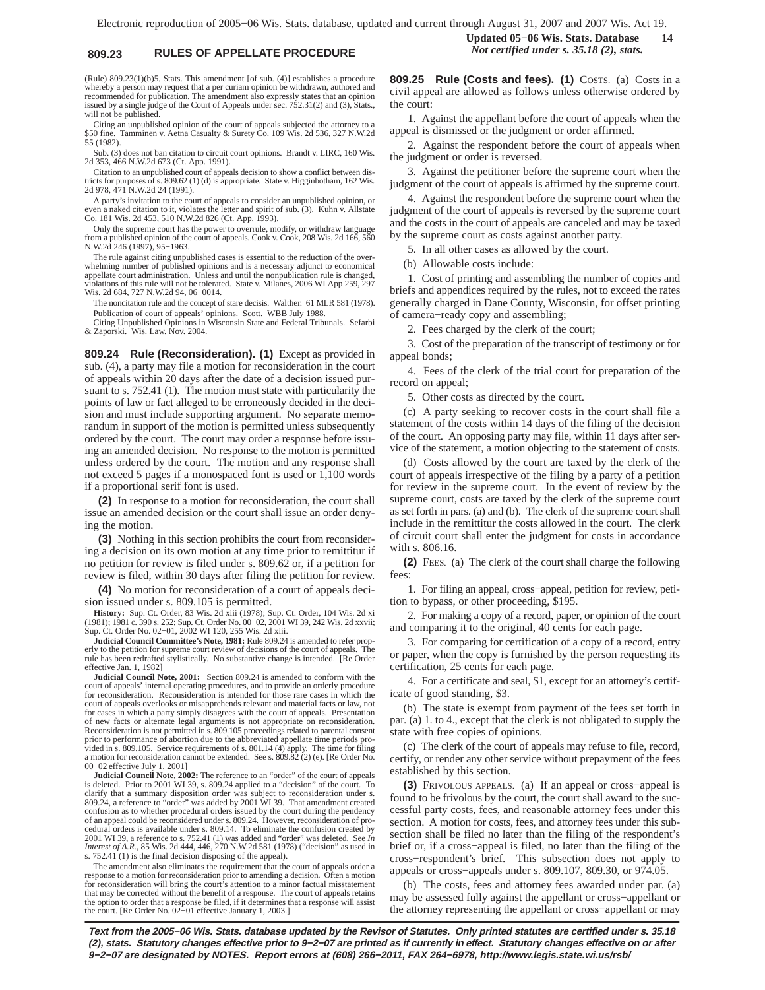# **809.23 RULES OF APPELLATE PROCEDURE** *Not certified under s. 35.18 (2), stats.*

(Rule) 809.23(1)(b)5, Stats. This amendment [of sub. (4)] establishes a procedure whereby a person may request that a per curiam opinion be withdrawn, authored and<br>recommended for publication. The amendment also expressly states that an opinion<br>issued by a single judge of the Court of Appeals under sec. will not be published.

Citing an unpublished opinion of the court of appeals subjected the attorney to a \$50 fine. Tamminen v. Aetna Casualty & Surety Co. 109 Wis. 2d 536, 327 N.W.2d 55 (1982).

Sub. (3) does not ban citation to circuit court opinions. Brandt v. LIRC, 160 Wis. 2d 353, 466 N.W.2d 673 (Ct. App. 1991).

Citation to an unpublished court of appeals decision to show a conflict between dis-tricts for purposes of s. 809.62 (1) (d) is appropriate. State v. Higginbotham, 162 Wis. 2d 978, 471 N.W.2d 24 (1991).

A party's invitation to the court of appeals to consider an unpublished opinion, or even a naked citation to it, violates the letter and spirit of sub. (3). Kuhn v. Allstate Co. 181 Wis. 2d 453, 510 N.W.2d 826 (Ct. App. 1993).

Only the supreme court has the power to overrule, modify, or withdraw language from a published opinion of the court of appeals. Cook v. Cook, 208 Wis. 2d 166, 560 N.W.2d 246 (1997), 95−1963.

The rule against citing unpublished cases is essential to the reduction of the overwhelming number of published opinions and is a necessary adjunct to economical appellate court administration. Unless and until the nonpublication rule is changed, violations of this rule will not be tolerated. State v. Milanes, 2006 WI App 259, 297 Wis. 2d 684, 727 N.W.2d 94, 06−0014.

The noncitation rule and the concept of stare decisis. Walther. 61 MLR 581 (1978).

Publication of court of appeals' opinions. Scott. WBB July 1988. Citing Unpublished Opinions in Wisconsin State and Federal Tribunals. Sefarbi & Zaporski. Wis. Law. Nov. 2004.

**809.24 Rule (Reconsideration). (1)** Except as provided in sub. (4), a party may file a motion for reconsideration in the court of appeals within 20 days after the date of a decision issued pursuant to s. 752.41 (1). The motion must state with particularity the points of law or fact alleged to be erroneously decided in the decision and must include supporting argument. No separate memorandum in support of the motion is permitted unless subsequently ordered by the court. The court may order a response before issuing an amended decision. No response to the motion is permitted unless ordered by the court. The motion and any response shall not exceed 5 pages if a monospaced font is used or 1,100 words if a proportional serif font is used.

**(2)** In response to a motion for reconsideration, the court shall issue an amended decision or the court shall issue an order denying the motion.

**(3)** Nothing in this section prohibits the court from reconsidering a decision on its own motion at any time prior to remittitur if no petition for review is filed under s. 809.62 or, if a petition for review is filed, within 30 days after filing the petition for review.

**(4)** No motion for reconsideration of a court of appeals decision issued under s. 809.105 is permitted.

**History:** Sup. Ct. Order, 83 Wis. 2d xiii (1978); Sup. Ct. Order, 104 Wis. 2d xi (1981); 1981 c. 390 s. 252; Sup. Ct. Order No. 00−02, 2001 WI 39, 242 Wis. 2d xxvii; Sup. Ct. Order No. 02−01, 2002 WI 120, 255 Wis. 2d xiii.

**Judicial Council Committee's Note, 1981:** Rule 809.24 is amended to refer properly to the petition for supreme court review of decisions of the court of appeals. The rule has been redrafted stylistically. No substantive change is intended. [Re Order effective Jan. 1, 1982]

**Judicial Council Note, 2001:** Section 809.24 is amended to conform with the court of appeals' internal operating procedures, and to provide an orderly procedure for reconsideration. Reconsideration is intended for those rare cases in which the court of appeals overlooks or misapprehends relevant and material facts or law, not for cases in which a party simply disagrees with the court of appeals. Presentation of new facts or alternate legal arguments is not appropriate on reconsideration. Reconsideration is not permitted in s. 809.105 proceedings related to parental consent prior to performance of abortion due to the abbreviated appellate time periods provided in s. 809.105. Service requirements of s. 801.14 (4) apply. The time for filing a motion for reconsideration cannot be extended. See s. 809.82 (2) (e). [Re Order No. 00−02 effective July 1, 2001]

**Judicial Council Note, 2002:** The reference to an "order" of the court of appeals is deleted. Prior to 2001 WI 39, s. 809.24 applied to a "decision" of the court. To clarify that a summary disposition order was subject to reconsideration under s. 809.24, a reference to "order" was added by 2001 WI 39. That amendment created confusion as to whether procedural orders issued by the court during the pendency of an appeal could be reconsidered under s. 809.24. However, reconsideration of procedural orders is available under s. 809.14. To eliminate the confusion created by 2001 WI 39, a reference to s. 752.41 (1) was added and "order" was deleted. See *In Interest of A.R.*, 85 Wis. 2d 444, 446, 270 N.W.2d 581 (1978) ("decision" as used in s. 752.41 (1) is the final decision disposing of the appeal).

The amendment also eliminates the requirement that the court of appeals order a response to a motion for reconsideration prior to amending a decision. Often a motion for reconsideration will bring the court's attention to a minor factual misstatement that may be corrected without the benefit of a response. The court of appeals retains the option to order that a response be filed, if it determines that a response will assist the court. [Re Order No. 02−01 effective January 1, 2003.] **Updated 05−06 Wis. Stats. Database 14**

**809.25 Rule (Costs and fees). (1)** COSTS. (a) Costs in a civil appeal are allowed as follows unless otherwise ordered by the court:

1. Against the appellant before the court of appeals when the appeal is dismissed or the judgment or order affirmed.

2. Against the respondent before the court of appeals when the judgment or order is reversed.

3. Against the petitioner before the supreme court when the judgment of the court of appeals is affirmed by the supreme court.

4. Against the respondent before the supreme court when the judgment of the court of appeals is reversed by the supreme court and the costs in the court of appeals are canceled and may be taxed by the supreme court as costs against another party.

5. In all other cases as allowed by the court.

(b) Allowable costs include:

1. Cost of printing and assembling the number of copies and briefs and appendices required by the rules, not to exceed the rates generally charged in Dane County, Wisconsin, for offset printing of camera−ready copy and assembling;

2. Fees charged by the clerk of the court;

3. Cost of the preparation of the transcript of testimony or for appeal bonds;

4. Fees of the clerk of the trial court for preparation of the record on appeal;

5. Other costs as directed by the court.

(c) A party seeking to recover costs in the court shall file a statement of the costs within 14 days of the filing of the decision of the court. An opposing party may file, within 11 days after service of the statement, a motion objecting to the statement of costs.

(d) Costs allowed by the court are taxed by the clerk of the court of appeals irrespective of the filing by a party of a petition for review in the supreme court. In the event of review by the supreme court, costs are taxed by the clerk of the supreme court as set forth in pars. (a) and (b). The clerk of the supreme court shall include in the remittitur the costs allowed in the court. The clerk of circuit court shall enter the judgment for costs in accordance with s. 806.16.

**(2)** FEES. (a) The clerk of the court shall charge the following fees:

1. For filing an appeal, cross−appeal, petition for review, petition to bypass, or other proceeding, \$195.

2. For making a copy of a record, paper, or opinion of the court and comparing it to the original, 40 cents for each page.

3. For comparing for certification of a copy of a record, entry or paper, when the copy is furnished by the person requesting its certification, 25 cents for each page.

4. For a certificate and seal, \$1, except for an attorney's certificate of good standing, \$3.

(b) The state is exempt from payment of the fees set forth in par. (a) 1. to 4., except that the clerk is not obligated to supply the state with free copies of opinions.

(c) The clerk of the court of appeals may refuse to file, record, certify, or render any other service without prepayment of the fees established by this section.

**(3)** FRIVOLOUS APPEALS. (a) If an appeal or cross−appeal is found to be frivolous by the court, the court shall award to the successful party costs, fees, and reasonable attorney fees under this section. A motion for costs, fees, and attorney fees under this subsection shall be filed no later than the filing of the respondent's brief or, if a cross−appeal is filed, no later than the filing of the cross−respondent's brief. This subsection does not apply to appeals or cross−appeals under s. 809.107, 809.30, or 974.05.

(b) The costs, fees and attorney fees awarded under par. (a) may be assessed fully against the appellant or cross−appellant or the attorney representing the appellant or cross−appellant or may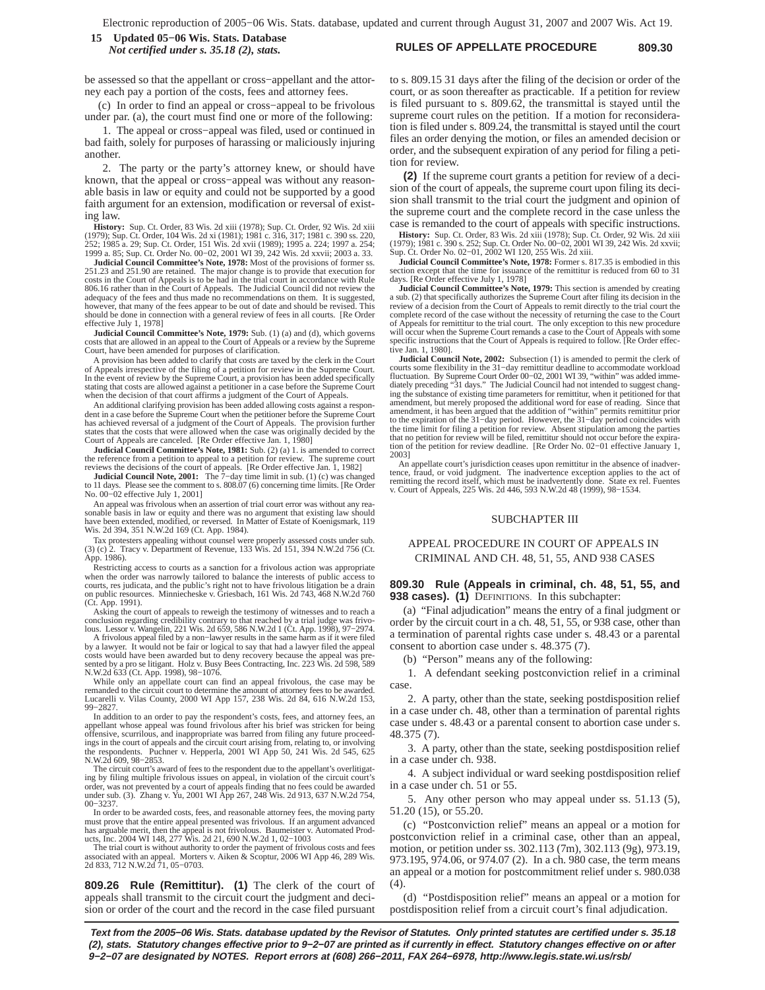### **RULES OF APPELLATE PROCEDURE 809.30 15 Updated 05−06 Wis. Stats. Database** *Not certified under s. 35.18 (2), stats.*

be assessed so that the appellant or cross−appellant and the attorney each pay a portion of the costs, fees and attorney fees.

(c) In order to find an appeal or cross−appeal to be frivolous under par. (a), the court must find one or more of the following:

1. The appeal or cross−appeal was filed, used or continued in bad faith, solely for purposes of harassing or maliciously injuring another.

2. The party or the party's attorney knew, or should have known, that the appeal or cross−appeal was without any reasonable basis in law or equity and could not be supported by a good faith argument for an extension, modification or reversal of existing law.

**History:** Sup. Ct. Order, 83 Wis. 2d xiii (1978); Sup. Ct. Order, 92 Wis. 2d xiii (1979); Sup. Ct. Order, 104 Wis. 2d xi (1981); 1981 c. 316, 317; 1981 c. 390 ss. 220, 252; 1985 s. 220, 252; 1985 a. 224; 1997 a. 254; 1999

**Judicial Council Committee's Note, 1978:** Most of the provisions of former ss. 251.23 and 251.90 are retained. The major change is to provide that execution for<br>costs in the Court of Appeals is to be had in the trial court in accordance with Rule<br>806.16 rather than in the Court of Appeals. The Judici adequacy of the fees and thus made no recommendations on them. It is suggested, however, that many of the fees appear to be out of date and should be revised. This should be done in connection with a general review of fees in all courts. [Re Order effective July 1, 1978]<br>Judicial Council Committee's Note, 1979: Sub. (1) (a) and (d), which governs

**Judicial Council Committee's Note, 1979:** Sub. (1) (a) and (d), which governs<br>costs that are allowed in an appeal to the Court of Appeals or a review by the Supreme<br>Court, have been amended for purposes of clarification.

A provision has been added to clarify that costs are taxed by the clerk in the Court of Appeals irrespective of the filing of a petition for review in the Supreme Court. In the event of review by the Supreme Court, a provision has been added specifically stating that costs are allowed against a petitioner in a case before the Supreme Court when the decision of that court affirms a judgment of the Court of Appeals.

An additional clarifying provision has been added allowing costs against a respondent in a case before the Supreme Court when the petitioner before the Supreme Court has achieved reversal of a judgment of the Court of Appeals. The provision further states that the costs that were allowed when the case was originally decided by the

Court of Appeals are canceled. [Re Order effective Jan. 1, 1980]<br>**Judicial Council Committee's Note, 1981:** Sub. (2) (a) 1. is amended to correct<br>the reference from a petition to appeal to a petition for review. The suprem reviews the decisions of the court of appeals. [Re Order effective Jan. 1, 1982]

**Judicial Council Note, 2001:** The 7−day time limit in sub. (1) (c) was changed to 11 days. Please see the comment to s. 808.07 (6) concerning time limits. [Re Order No. 00−02 effective July 1, 2001]

An appeal was frivolous when an assertion of trial court error was without any reasonable basis in law or equity and there was no argument that existing law should have been extended, modified, or reversed. In Matter of Estate of Koenigsmark, 119 Wis. 2d 394, 351 N.W.2d 169 (Ct. App. 1984).

Tax protesters appealing without counsel were properly assessed costs under sub. (3) (c) 2. Tracy v. Department of Revenue, 133 Wis. 2d 151, 394 N.W.2d 756 (Ct. App. 1986).

Restricting access to courts as a sanction for a frivolous action was appropriate when the order was narrowly tailored to balance the interests of public access to courts, res judicata, and the public's right not to have frivolous litigation be a drain on public resources. Minniecheske v. Griesbach, 161 Wis. 2d 743, 468 N.W.2d 760 (Ct. App. 1991).

Asking the court of appeals to reweigh the testimony of witnesses and to reach a<br>conclusion regarding credibility contrary to that reached by a trial judge was frivo-<br>lous. Lessor v. Wangelin, 221 Wis. 2d 659, 586 N.W.2d 1

A frivolous appeal filed by a non−lawyer results in the same harm as if it were filed by a lawyer. It would not be fair or logical to say that had a lawyer filed the appeal costs would have been awarded but to deny recovery because the appeal was pre-sented by a pro se litigant. Holz v. Busy Bees Contracting, Inc. 223 Wis. 2d 598, 589 N.W.2d 633 (Ct. App. 1998), 98−1076.

While only an appellate court can find an appeal frivolous, the case may be remanded to the circuit court to determine the amount of attorney fees to be awarded. Lucarelli v. Vilas County, 2000 WI App 157, 238 Wis. 2d 84, 616 N.W.2d 153, 99−2827.

In addition to an order to pay the respondent's costs, fees, and attorney fees, an appellant whose appeal was found frivolous after his brief was stricken for being offensive, scurrilous, and inappropriate was barred from filing any future proceed-ings in the court of appeals and the circuit court arising from, relating to, or involving respondents. Puchner v. Hepperla, 2001 WI App 50, 241 Wis. 2d 545, 625 N.W.2d 609, 98−2853.

The circuit court's award of fees to the respondent due to the appellant's overlitigating by filing multiple frivolous issues on appeal, in violation of the circuit court's<br>order, was not prevented by a court of appeals finding that no fees could be awarded<br>under sub. (3). Zhang v. Yu, 2001 WI App 267, 248 00−3237.

In order to be awarded costs, fees, and reasonable attorney fees, the moving party must prove that the entire appeal presented was frivolous. If an argument advanced has arguable merit, then the appeal is not frivolous. Baumeister v. Automated Prod-ucts, Inc. 2004 WI 148, 277 Wis. 2d 21, 690 N.W.2d 1, 02−1003

The trial court is without authority to order the payment of frivolous costs and fees associated with an appeal. Morters v. Aiken & Scoptur, 2006 WI App 46, 289 Wis. 2d 833, 712 N.W.2d 71, 05−0703.

**809.26 Rule (Remittitur). (1)** The clerk of the court of appeals shall transmit to the circuit court the judgment and decision or order of the court and the record in the case filed pursuant to s. 809.15 31 days after the filing of the decision or order of the court, or as soon thereafter as practicable. If a petition for review is filed pursuant to s. 809.62, the transmittal is stayed until the supreme court rules on the petition. If a motion for reconsideration is filed under s. 809.24, the transmittal is stayed until the court files an order denying the motion, or files an amended decision or order, and the subsequent expiration of any period for filing a petition for review.

**(2)** If the supreme court grants a petition for review of a decision of the court of appeals, the supreme court upon filing its decision shall transmit to the trial court the judgment and opinion of the supreme court and the complete record in the case unless the case is remanded to the court of appeals with specific instructions.

**History:** Sup. Ct. Order, 83 Wis. 2d xiii (1978); Sup. Ct. Order, 92 Wis. 2d xiii<br>(1979); 1981 c. 390 s. 252; Sup. Ct. Order No. 00–02, 2001 WI 39, 242 Wis. 2d xxvii;<br>Sup. Ct. Order No. 02–01, 2002 WI 120, 255 Wis. 2d xii

**Judicial Council Committee's Note, 1978:** Former s. 817.35 is embodied in this section except that the time for issuance of the remittitur is reduced from 60 to 31 days. [Re Order effective July 1, 1978]

**Judicial Council Committee's Note, 1979:** This section is amended by creating a sub. (2) that specifically authorizes the Supreme Court after filing its decision in the review of a decision from the Court of Appeals to remit directly to the trial court the complete record of the case without the necessity of returning the case to the Court of Appeals for remittitur to the trial court. The only exception to this new procedure will occur when the Supreme Court remands a case to the Court of Appeals with some specific instructions that the Court of Appeals is required to follow. [Re Order effective Jan. 1, 1980].

**Judicial Council Note, 2002:** Subsection (1) is amended to permit the clerk of courts some flexibility in the 31-day remittitur deadline to accommodate workload<br>fluctuation. By Supreme Court Order 00–02, 2001 WI 39, "with ing the substance of existing time parameters for remittitur, when it petitioned for that amendment, but merely proposed the additional word for ease of reading. Since that amendment, it has been argued that the addition of "within" permits remittitur prior<br>to the expiration of the 31–day period. However, the 31–day period coincides with<br>the time limit for filing a petition for review. Absent that no petition for review will be filed, remittitur should not occur before the expira-tion of the petition for review deadline. [Re Order No. 02−01 effective January 1, 2003]

An appellate court's jurisdiction ceases upon remittitur in the absence of inadvertence, fraud, or void judgment. The inadvertence exception applies to the act of remitting the record itself, which must be inadvertently do v. Court of Appeals, 225 Wis. 2d 446, 593 N.W.2d 48 (1999), 98−1534.

#### SUBCHAPTER III

# APPEAL PROCEDURE IN COURT OF APPEALS IN CRIMINAL AND CH. 48, 51, 55, AND 938 CASES

#### **809.30 Rule (Appeals in criminal, ch. 48, 51, 55, and 938 cases). (1)** DEFINITIONS. In this subchapter:

(a) "Final adjudication" means the entry of a final judgment or order by the circuit court in a ch. 48, 51, 55, or 938 case, other than a termination of parental rights case under s. 48.43 or a parental consent to abortion case under s. 48.375 (7).

(b) "Person" means any of the following:

1. A defendant seeking postconviction relief in a criminal case.

2. A party, other than the state, seeking postdisposition relief in a case under ch. 48, other than a termination of parental rights case under s. 48.43 or a parental consent to abortion case under s. 48.375 (7).

3. A party, other than the state, seeking postdisposition relief in a case under ch. 938.

4. A subject individual or ward seeking postdisposition relief in a case under ch. 51 or 55.

5. Any other person who may appeal under ss. 51.13 (5), 51.20 (15), or 55.20.

(c) "Postconviction relief" means an appeal or a motion for postconviction relief in a criminal case, other than an appeal, motion, or petition under ss. 302.113 (7m), 302.113 (9g), 973.19, 973.195, 974.06, or 974.07 (2). In a ch. 980 case, the term means an appeal or a motion for postcommitment relief under s. 980.038  $(4)$ 

(d) "Postdisposition relief" means an appeal or a motion for postdisposition relief from a circuit court's final adjudication.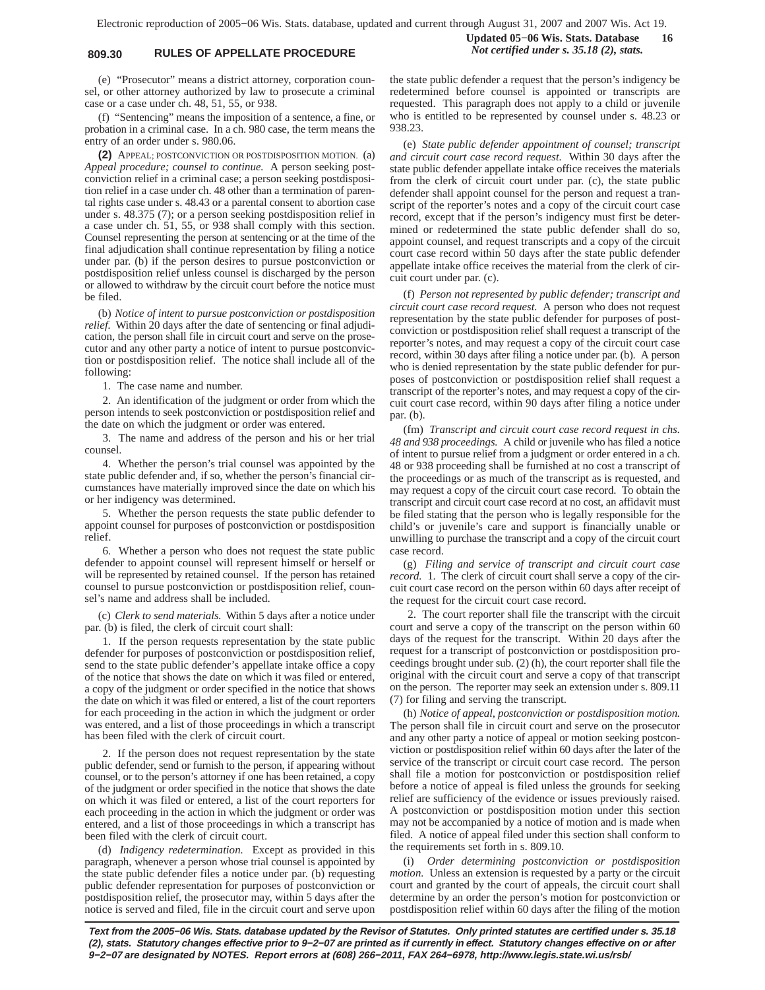# **809.30 RULES OF APPELLATE PROCEDURE** *Not certified under s. 35.18 (2), stats.*

(e) "Prosecutor" means a district attorney, corporation counsel, or other attorney authorized by law to prosecute a criminal case or a case under ch. 48, 51, 55, or 938.

(f) "Sentencing" means the imposition of a sentence, a fine, or probation in a criminal case. In a ch. 980 case, the term means the entry of an order under s. 980.06.

**(2)** APPEAL; POSTCONVICTION OR POSTDISPOSITION MOTION. (a) *Appeal procedure; counsel to continue.* A person seeking postconviction relief in a criminal case; a person seeking postdisposition relief in a case under ch. 48 other than a termination of parental rights case under s. 48.43 or a parental consent to abortion case under s. 48.375 (7); or a person seeking postdisposition relief in a case under ch. 51, 55, or 938 shall comply with this section. Counsel representing the person at sentencing or at the time of the final adjudication shall continue representation by filing a notice under par. (b) if the person desires to pursue postconviction or postdisposition relief unless counsel is discharged by the person or allowed to withdraw by the circuit court before the notice must be filed.

(b) *Notice of intent to pursue postconviction or postdisposition relief.* Within 20 days after the date of sentencing or final adjudication, the person shall file in circuit court and serve on the prosecutor and any other party a notice of intent to pursue postconviction or postdisposition relief. The notice shall include all of the following:

1. The case name and number.

2. An identification of the judgment or order from which the person intends to seek postconviction or postdisposition relief and the date on which the judgment or order was entered.

3. The name and address of the person and his or her trial counsel.

4. Whether the person's trial counsel was appointed by the state public defender and, if so, whether the person's financial circumstances have materially improved since the date on which his or her indigency was determined.

5. Whether the person requests the state public defender to appoint counsel for purposes of postconviction or postdisposition relief.

6. Whether a person who does not request the state public defender to appoint counsel will represent himself or herself or will be represented by retained counsel. If the person has retained counsel to pursue postconviction or postdisposition relief, counsel's name and address shall be included.

(c) *Clerk to send materials.* Within 5 days after a notice under par. (b) is filed, the clerk of circuit court shall:

1. If the person requests representation by the state public defender for purposes of postconviction or postdisposition relief, send to the state public defender's appellate intake office a copy of the notice that shows the date on which it was filed or entered, a copy of the judgment or order specified in the notice that shows the date on which it was filed or entered, a list of the court reporters for each proceeding in the action in which the judgment or order was entered, and a list of those proceedings in which a transcript has been filed with the clerk of circuit court.

2. If the person does not request representation by the state public defender, send or furnish to the person, if appearing without counsel, or to the person's attorney if one has been retained, a copy of the judgment or order specified in the notice that shows the date on which it was filed or entered, a list of the court reporters for each proceeding in the action in which the judgment or order was entered, and a list of those proceedings in which a transcript has been filed with the clerk of circuit court.

(d) *Indigency redetermination.* Except as provided in this paragraph, whenever a person whose trial counsel is appointed by the state public defender files a notice under par. (b) requesting public defender representation for purposes of postconviction or postdisposition relief, the prosecutor may, within 5 days after the notice is served and filed, file in the circuit court and serve upon **Updated 05−06 Wis. Stats. Database 16**

the state public defender a request that the person's indigency be redetermined before counsel is appointed or transcripts are requested. This paragraph does not apply to a child or juvenile who is entitled to be represented by counsel under s. 48.23 or 938.23.

(e) *State public defender appointment of counsel; transcript and circuit court case record request.* Within 30 days after the state public defender appellate intake office receives the materials from the clerk of circuit court under par. (c), the state public defender shall appoint counsel for the person and request a transcript of the reporter's notes and a copy of the circuit court case record, except that if the person's indigency must first be determined or redetermined the state public defender shall do so, appoint counsel, and request transcripts and a copy of the circuit court case record within 50 days after the state public defender appellate intake office receives the material from the clerk of circuit court under par. (c).

(f) *Person not represented by public defender; transcript and circuit court case record request.* A person who does not request representation by the state public defender for purposes of postconviction or postdisposition relief shall request a transcript of the reporter's notes, and may request a copy of the circuit court case record, within 30 days after filing a notice under par. (b). A person who is denied representation by the state public defender for purposes of postconviction or postdisposition relief shall request a transcript of the reporter's notes, and may request a copy of the circuit court case record, within 90 days after filing a notice under par. (b).

(fm) *Transcript and circuit court case record request in chs. 48 and 938 proceedings.* A child or juvenile who has filed a notice of intent to pursue relief from a judgment or order entered in a ch. 48 or 938 proceeding shall be furnished at no cost a transcript of the proceedings or as much of the transcript as is requested, and may request a copy of the circuit court case record. To obtain the transcript and circuit court case record at no cost, an affidavit must be filed stating that the person who is legally responsible for the child's or juvenile's care and support is financially unable or unwilling to purchase the transcript and a copy of the circuit court case record.

(g) *Filing and service of transcript and circuit court case record.* 1. The clerk of circuit court shall serve a copy of the circuit court case record on the person within 60 days after receipt of the request for the circuit court case record.

2. The court reporter shall file the transcript with the circuit court and serve a copy of the transcript on the person within 60 days of the request for the transcript. Within 20 days after the request for a transcript of postconviction or postdisposition proceedings brought under sub. (2) (h), the court reporter shall file the original with the circuit court and serve a copy of that transcript on the person. The reporter may seek an extension under s. 809.11 (7) for filing and serving the transcript.

(h) *Notice of appeal, postconviction or postdisposition motion.* The person shall file in circuit court and serve on the prosecutor and any other party a notice of appeal or motion seeking postconviction or postdisposition relief within 60 days after the later of the service of the transcript or circuit court case record. The person shall file a motion for postconviction or postdisposition relief before a notice of appeal is filed unless the grounds for seeking relief are sufficiency of the evidence or issues previously raised. A postconviction or postdisposition motion under this section may not be accompanied by a notice of motion and is made when filed. A notice of appeal filed under this section shall conform to the requirements set forth in s. 809.10.

(i) *Order determining postconviction or postdisposition motion.* Unless an extension is requested by a party or the circuit court and granted by the court of appeals, the circuit court shall determine by an order the person's motion for postconviction or postdisposition relief within 60 days after the filing of the motion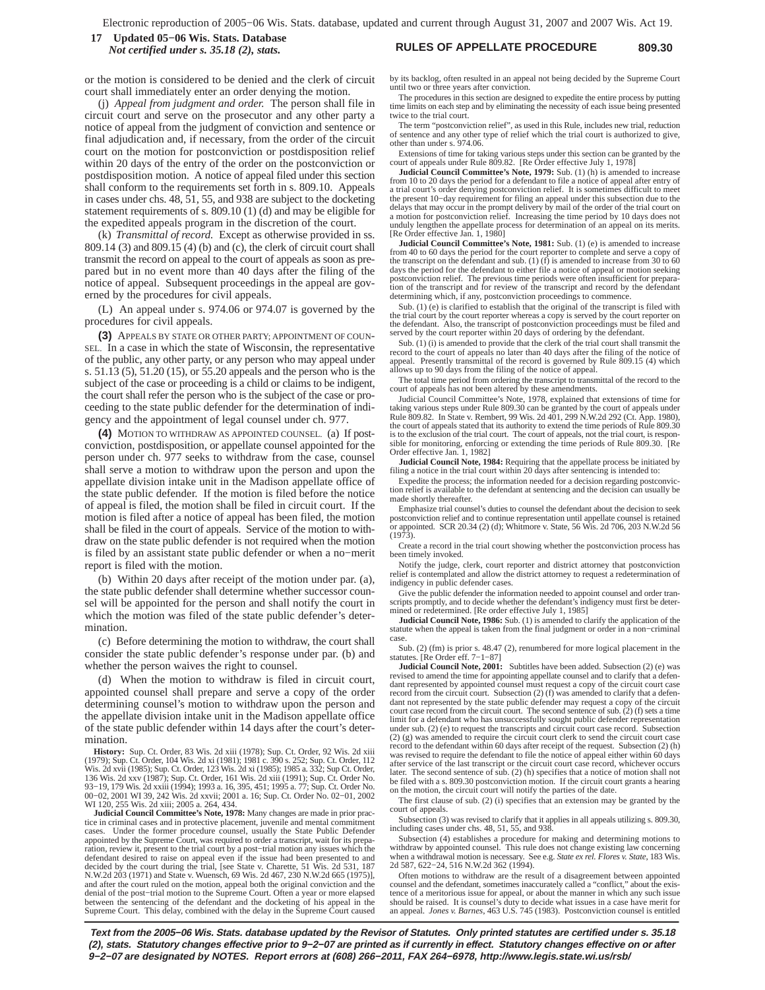### **RULES OF APPELLATE PROCEDURE 809.30 17 Updated 05−06 Wis. Stats. Database** *Not certified under s. 35.18 (2), stats.*

or the motion is considered to be denied and the clerk of circuit court shall immediately enter an order denying the motion.

(j) *Appeal from judgment and order.* The person shall file in circuit court and serve on the prosecutor and any other party a notice of appeal from the judgment of conviction and sentence or final adjudication and, if necessary, from the order of the circuit court on the motion for postconviction or postdisposition relief within 20 days of the entry of the order on the postconviction or postdisposition motion. A notice of appeal filed under this section shall conform to the requirements set forth in s. 809.10. Appeals in cases under chs. 48, 51, 55, and 938 are subject to the docketing statement requirements of s. 809.10 (1) (d) and may be eligible for the expedited appeals program in the discretion of the court.

(k) *Transmittal of record.* Except as otherwise provided in ss. 809.14 (3) and 809.15 (4) (b) and (c), the clerk of circuit court shall transmit the record on appeal to the court of appeals as soon as prepared but in no event more than 40 days after the filing of the notice of appeal. Subsequent proceedings in the appeal are governed by the procedures for civil appeals.

(L) An appeal under s. 974.06 or 974.07 is governed by the procedures for civil appeals.

**(3)** APPEALS BY STATE OR OTHER PARTY; APPOINTMENT OF COUN-SEL. In a case in which the state of Wisconsin, the representative of the public, any other party, or any person who may appeal under s. 51.13 (5), 51.20 (15), or 55.20 appeals and the person who is the subject of the case or proceeding is a child or claims to be indigent, the court shall refer the person who is the subject of the case or proceeding to the state public defender for the determination of indigency and the appointment of legal counsel under ch. 977.

**(4)** MOTION TO WITHDRAW AS APPOINTED COUNSEL. (a) If postconviction, postdisposition, or appellate counsel appointed for the person under ch. 977 seeks to withdraw from the case, counsel shall serve a motion to withdraw upon the person and upon the appellate division intake unit in the Madison appellate office of the state public defender. If the motion is filed before the notice of appeal is filed, the motion shall be filed in circuit court. If the motion is filed after a notice of appeal has been filed, the motion shall be filed in the court of appeals. Service of the motion to withdraw on the state public defender is not required when the motion is filed by an assistant state public defender or when a no−merit report is filed with the motion.

(b) Within 20 days after receipt of the motion under par. (a), the state public defender shall determine whether successor counsel will be appointed for the person and shall notify the court in which the motion was filed of the state public defender's determination.

(c) Before determining the motion to withdraw, the court shall consider the state public defender's response under par. (b) and whether the person waives the right to counsel.

(d) When the motion to withdraw is filed in circuit court, appointed counsel shall prepare and serve a copy of the order determining counsel's motion to withdraw upon the person and the appellate division intake unit in the Madison appellate office of the state public defender within 14 days after the court's determination.

**History:** Sup. Ct. Order, 83 Wis. 2d xiii (1978); Sup. Ct. Order, 92 Wis. 2d xiii (1979); Sup. Ct. Order, 104 Wis. 2d xi (1981); 1981 c. 390 s. 252; Sup. Ct. Order, 112 Wis. 2d xiii (1985); Sup. Ct. Order, 123 Wis. 2d xi WI 120, 255 Wis. 2d xiii; 2005 a. 264, 434.

**Judicial Council Committee's Note, 1978:** Many changes are made in prior prac-tice in criminal cases and in protective placement, juvenile and mental commitment cases. Under the former procedure counsel, usually the State Public Defender appointed by the Supreme Court, was required to order a transcript, wait for its preparation, review it, present to the trial court by a post--trial motion any issues which the defendant desired to raise on appeal even if the issue had been presented to and decided by the court during the trial, [see State and after the court ruled on the motion, appeal both the original conviction and the denial of the post−trial motion to the Supreme Court. Often a year or more elapsed between the sentencing of the defendant and the docketing of his appeal in the Supreme Court. This delay, combined with the delay in the Supreme Court caused by its backlog, often resulted in an appeal not being decided by the Supreme Court until two or three years after conviction.

The procedures in this section are designed to expedite the entire process by putting time limits on each step and by eliminating the necessity of each issue being presented twice to the trial court.

The term "postconviction relief", as used in this Rule, includes new trial, reduction of sentence and any other type of relief which the trial court is authorized to give, other than under s. 974.06.

Extensions of time for taking various steps under this section can be granted by the court of appeals under Rule 809.82. [Re Order effective July 1, 1978]

**Judicial Council Committee's Note, 1979:** Sub. (1) (h) is amended to increase from 10 to 20 days the period for a defendant to file a notice of appeal after entry of a trial court's order denying postconviction relief. It is sometimes difficult to meet<br>the present 10-day requirement for filing an appeal under this subsection due to the<br>delays that may occur in the prompt delivery by ma a motion for postconviction relief. Increasing the time period by 10 days does not unduly lengthen the appellate process for determination of an appeal on its merits. [Re Order effective Jan. 1, 1980]

**Judicial Council Committee's Note, 1981:** Sub. (1) (e) is amended to increase from 40 to 60 days the period for the court reporter to complete and serve a copy of the transcript on the defendant and sub. (1) (f) is amended to increase from 30 to 60 days the period for the defendant to either file a notice of appeal or motion seeking postconviction relief. The previous time periods were often insufficient for prepara-tion of the transcript and for review of the transcript and record by the defendant determining which, if any, postconviction proceedings to commence.

Sub. (1) (e) is clarified to establish that the original of the transcript is filed with the trial court by the court reporter whereas a copy is served by the court reporter on the defendant. Also, the transcript of postconviction proceedings must be filed and served by the court reporter within 20 days of ordering by the defendant.

Sub. (1) (i) is amended to provide that the clerk of the trial court shall transmit the record to the court of appeals no later than 40 days after the filing of the notice of appeal. Presently transmittal of the record is governed by Rule 809.15 (4) which allows up to 90 days from the filing of the notice of appeal.

The total time period from ordering the transcript to transmittal of the record to the court of appeals has not been altered by these amendments.

Judicial Council Committee's Note, 1978, explained that extensions of time for taking various steps under Rule 809.30 can be granted by the court of appeals under<br>Rule 809.82. In State v. Rembert, 99 Wis. 2d 401, 299 N.W.2d 292 (Ct. App. 1980),<br>the court of appeals stated that its authority to extend is to the exclusion of the trial court. The court of appeals, not the trial court, is responent sible for monitoring, enforcing or extending the time periods of Rule 809.30. [Re Order effective Jan. 1, 1982]

**Judicial Council Note, 1984:** Requiring that the appellate process be initiated by filing a notice in the trial court within 20 days after sentencing is intended to:

Expedite the process; the information needed for a decision regarding postconviction relief is available to the defendant at sentencing and the decision can usually be made shortly thereafter.

Emphasize trial counsel's duties to counsel the defendant about the decision to seek<br>postconviction relief and to continue representation until appellate counsel is retained<br>or appointed. SCR 20.34 (2) (d); Whitmore v. Sta

Create a record in the trial court showing whether the postconviction process has been timely invoked.

Notify the judge, clerk, court reporter and district attorney that postconviction relief is contemplated and allow the district attorney to request a redetermination of indigency in public defender cases.

Give the public defender the information needed to appoint counsel and order transcripts promptly, and to decide whether the defendant's indigency must first be determined or redetermined. [Re order effective July 1, 1985]

**Judicial Council Note, 1986:** Sub. (1) is amended to clarify the application of the statute when the appeal is taken from the final judgment or order in a non−criminal case.

Sub. (2) (fm) is prior s. 48.47 (2), renumbered for more logical placement in the statutes. [Re Order eff. 7−1−87]

**Judicial Council Note, 2001:** Subtitles have been added. Subsection (2) (e) was revised to amend the time for appointing appellate counsel and to clarify that a defen-dant represented by appointed counsel must request a copy of the circuit court case record from the circuit court. Subsection (2) (f) was amended to clarify that a defendant not represented by the state public defender may request a copy of the circuit court case record from the circuit court. The second sentence of sub. (2) (f) sets a time limit for a defendant who has unsuccessfully sought public defender representation under sub. (2) (e) to request the transcripts and circuit court case record. Subsection (2) (g) was amended to require the circuit court clerk to send the circuit court case record to the defendant within 60 days after receipt of the request. Subsection (2) (h) was revised to require the defendant to file the notice of appeal either within 60 days after service of the last transcript or the circuit court case record, whichever occurs later. The second sentence of sub. (2) (h) specifies that a notice of motion shall not be filed with a s. 809.30 postconviction motion. If the circuit court grants a hearing on the motion, the circuit court will notify the parties of the date.

The first clause of sub. (2) (i) specifies that an extension may be granted by the court of appeals.

Subsection (3) was revised to clarify that it applies in all appeals utilizing s. 809.30, including cases under chs. 48, 51, 55, and 938.

Subsection (4) establishes a procedure for making and determining motions to withdraw by appointed counsel. This rule does not change existing law concerning when a withdrawal motion is necessary. See e.g. *State ex rel. Flores v. State*, 183 Wis. 2d 587, 622−24, 516 N.W.2d 362 (1994).

Often motions to withdraw are the result of a disagreement between appointed counsel and the defendant, sometimes inaccurately called a "conflict," about the existence of a meritorious issue for appeal, or about the manner in which any such issue should be raised. It is counsel's duty to decide what issues in a case have merit for an appeal. *Jones v. Barnes*, 463 U.S. 745 (1983). Postconviction counsel is entitled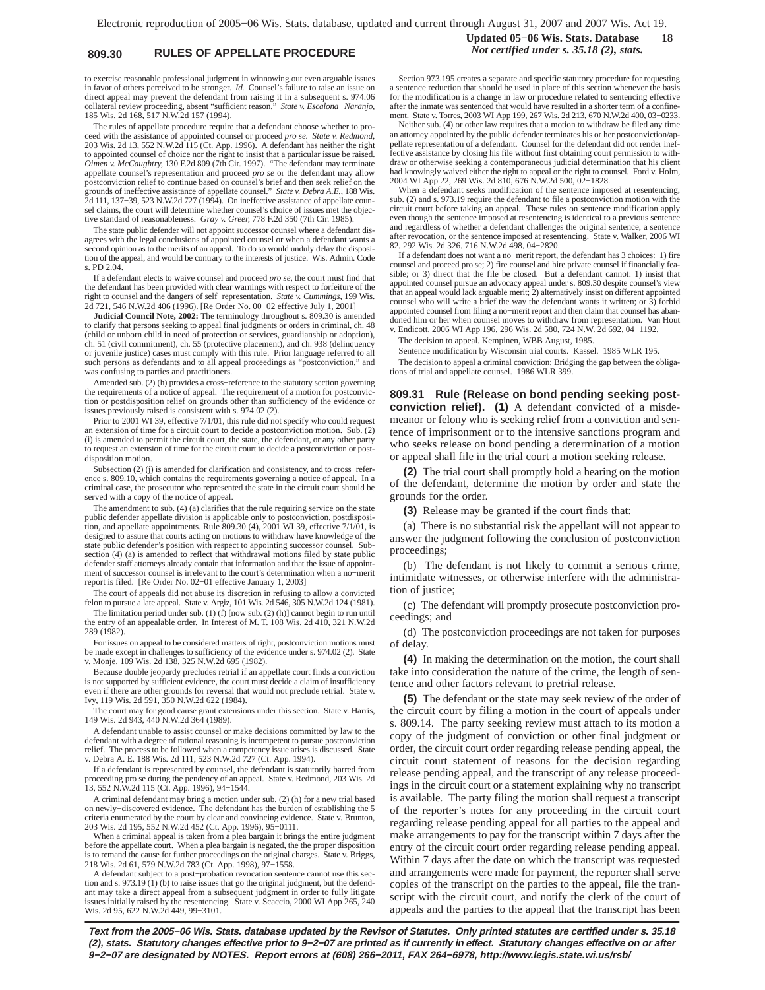# **809.30 RULES OF APPELLATE PROCEDURE** *Not certified under s. 35.18 (2), stats.*

to exercise reasonable professional judgment in winnowing out even arguable issues in favor of others perceived to be stronger. *Id.* Counsel's failure to raise an issue on direct appeal may prevent the defendant from raising it in a subsequent s. 974.06 collateral review proceeding, absent "sufficient reason." *State v. Escalona−Naranjo*, 185 Wis. 2d 168, 517 N.W.2d 157 (1994).

The rules of appellate procedure require that a defendant choose whether to proceed with the assistance of appointed counsel or proceed *pro se. State v. Redmond*, 203 Wis. 2d 13, 552 N.W.2d 115 (Ct. App. 1996). A defendant has neither the right to appointed counsel of choice nor the right to insist that a particular issue be raised. *Oimen v. McCaughtry*, 130 F.2d 809 (7th Cir. 1997). "The defendant may terminate appellate counsel's representation and proceed *pro se* or the defendant may allow postconviction relief to continue based on counsel's brief and then seek relief on the grounds of ineffective assistance of appellate counsel." *State v. Debra A.E.*, 188 Wis. 2d 111, 137−39, 523 N.W.2d 727 (1994). On ineffective assistance of appellate counsel claims, the court will determine whether counsel's choice of issues met the objective standard of reasonableness. *Gray v. Greer,* 778 F.2d 350 (7th Cir. 1985).

The state public defender will not appoint successor counsel where a defendant disagrees with the legal conclusions of appointed counsel or when a defendant wants a second opinion as to the merits of an appeal. To do so would unduly delay the disposition of the appeal, and would be contrary to the interests of justice. Wis. Admin. Code s. PD 2.04.

If a defendant elects to waive counsel and proceed *pro se*, the court must find that the defendant has been provided with clear warnings with respect to forfeiture of the right to counsel and the dangers of self−representation. *State v. Cummings,* 199 Wis. 2d 721, 546 N.W.2d 406 (1996). [Re Order No. 00−02 effective July 1, 2001]

**Judicial Council Note, 2002:** The terminology throughout s. 809.30 is amended to clarify that persons seeking to appeal final judgments or orders in criminal, ch. 48 (child or unborn child in need of protection or services, guardianship or adoption), ch. 51 (civil commitment), ch. 55 (protective placement), and ch. 938 (delinquency or juvenile justice) cases must comply with this rule. Prior language referred to all such persons as defendants and to all appeal proceedings as "postconviction," and was confusing to parties and practitioners.

Amended sub. (2) (h) provides a cross−reference to the statutory section governing the requirements of a notice of appeal. The requirement of a motion for postconviction or postdisposition relief on grounds other than sufficiency of the evidence or issues previously raised is consistent with s. 974.02 (2).

Prior to 2001 WI 39, effective 7/1/01, this rule did not specify who could request an extension of time for a circuit court to decide a postconviction motion. Sub. (2) (i) is amended to permit the circuit court, the state, the defendant, or any other party to request an extension of time for the circuit court to decide a postconviction or postdisposition motion.

Subsection (2) (j) is amended for clarification and consistency, and to cross−reference s. 809.10, which contains the requirements governing a notice of appeal. In a criminal case, the prosecutor who represented the state in the circuit court should be served with a copy of the notice of appeal.

The amendment to sub. (4) (a) clarifies that the rule requiring service on the state public defender appellate division is applicable only to postconviction, postdisposition, and appellate appointments. Rule 809.30 (4), 2001 WI 39, effective 7/1/01, is designed to assure that courts acting on motions to withdraw have knowledge of the state public defender's position with respect to appointing successor counsel. Subsection (4) (a) is amended to reflect that withdrawal motions filed by state public defender staff attorneys already contain that information and that the issue of appointment of successor counsel is irrelevant to the court's determination when a no−merit report is filed. [Re Order No. 02−01 effective January 1, 2003]

The court of appeals did not abuse its discretion in refusing to allow a convicted felon to pursue a late appeal. State v. Argiz, 101 Wis. 2d 546, 305 N.W.2d 124 (1981).

The limitation period under sub. (1) (f) [now sub. (2) (h)] cannot begin to run until the entry of an appealable order. In Interest of M. T. 108 Wis. 2d 410, 321 N.W.2d 289 (1982).

For issues on appeal to be considered matters of right, postconviction motions must be made except in challenges to sufficiency of the evidence under s. 974.02 (2). State v. Monje, 109 Wis. 2d 138, 325 N.W.2d 695 (1982).

Because double jeopardy precludes retrial if an appellate court finds a conviction is not supported by sufficient evidence, the court must decide a claim of insufficiency even if there are other grounds for reversal that would not preclude retrial. State v. Ivy, 119 Wis. 2d 591, 350 N.W.2d 622 (1984).

The court may for good cause grant extensions under this section. State v. Harris, 149 Wis. 2d 943, 440 N.W.2d 364 (1989).

A defendant unable to assist counsel or make decisions committed by law to the defendant with a degree of rational reasoning is incompetent to pursue postconviction relief. The process to be followed when a competency issue arises is discussed. State v. Debra A. E. 188 Wis. 2d 111, 523 N.W.2d 727 (Ct. App. 1994).

If a defendant is represented by counsel, the defendant is statutorily barred from proceeding pro se during the pendency of an appeal. State v. Redmond, 203 Wis. 2d 13, 552 N.W.2d 115 (Ct. App. 1996), 94−1544.

A criminal defendant may bring a motion under sub. (2) (h) for a new trial based on newly−discovered evidence. The defendant has the burden of establishing the 5 criteria enumerated by the court by clear and convincing evidence. State v. Brunton, 203 Wis. 2d 195, 552 N.W.2d 452 (Ct. App. 1996), 95−0111.

When a criminal appeal is taken from a plea bargain it brings the entire judgment before the appellate court. When a plea bargain is negated, the the proper disposition is to remand the cause for further proceedings on the original charges. State v. Briggs, 218 Wis. 2d 61, 579 N.W.2d 783 (Ct. App. 1998), 97−1558.

A defendant subject to a post−probation revocation sentence cannot use this section and s. 973.19 (1) (b) to raise issues that go the original judgment, but the defendant may take a direct appeal from a subsequent judgment in order to fully litigate issues initially raised by the resentencing. State v. Scaccio, 2000 WI App 265, 240 Wis. 2d 95, 622 N.W.2d 449, 99−3101.

**Updated 05−06 Wis. Stats. Database 18**

Section 973.195 creates a separate and specific statutory procedure for requesting a sentence reduction that should be used in place of this section whenever the basis for the modification is a change in law or procedure related to sentencing effective after the inmate was sentenced that would have resulted in a shorter term of a confinement. State v. Torres, 2003 WI App 199, 267 Wis. 2d 213, 670 N.W.2d 400, 03−0233.

Neither sub. (4) or other law requires that a motion to withdraw be filed any time an attorney appointed by the public defender terminates his or her postconviction/appellate representation of a defendant. Counsel for the defendant did not render ineffective assistance by closing his file without first obtaining court permission to withdraw or otherwise seeking a contemporaneous judicial determination that his client had knowingly waived either the right to appeal or the right to counsel. Ford v. Holm, 2004 WI App 22, 269 Wis. 2d 810, 676 N.W.2d 500, 02−1828.

When a defendant seeks modification of the sentence imposed at resentencing, sub. (2) and s. 973.19 require the defendant to file a postconviction motion with the circuit court before taking an appeal. These rules on sentence modification apply even though the sentence imposed at resentencing is identical to a previous sentence and regardless of whether a defendant challenges the original sentence, a sentence after revocation, or the sentence imposed at resentencing. State v. Walker, 2006 WI 82, 292 Wis. 2d 326, 716 N.W.2d 498, 04−2820.

If a defendant does not want a no−merit report, the defendant has 3 choices: 1) fire counsel and proceed pro se; 2) fire counsel and hire private counsel if financially feasible; or 3) direct that the file be closed. But a defendant cannot: 1) insist that appointed counsel pursue an advocacy appeal under s. 809.30 despite counsel's view that an appeal would lack arguable merit; 2) alternatively insist on different appointed counsel who will write a brief the way the defendant wants it written; or 3) forbid appointed counsel from filing a no−merit report and then claim that counsel has abandoned him or her when counsel moves to withdraw from representation. Van Hout v. Endicott, 2006 WI App 196, 296 Wis. 2d 580, 724 N.W. 2d 692, 04−1192.

The decision to appeal. Kempinen, WBB August, 1985.

Sentence modification by Wisconsin trial courts. Kassel. 1985 WLR 195. The decision to appeal a criminal conviction: Bridging the gap between the obligations of trial and appellate counsel. 1986 WLR 399.

**809.31 Rule (Release on bond pending seeking postconviction relief). (1)** A defendant convicted of a misdemeanor or felony who is seeking relief from a conviction and sentence of imprisonment or to the intensive sanctions program and who seeks release on bond pending a determination of a motion or appeal shall file in the trial court a motion seeking release.

**(2)** The trial court shall promptly hold a hearing on the motion of the defendant, determine the motion by order and state the grounds for the order.

**(3)** Release may be granted if the court finds that:

(a) There is no substantial risk the appellant will not appear to answer the judgment following the conclusion of postconviction proceedings;

(b) The defendant is not likely to commit a serious crime, intimidate witnesses, or otherwise interfere with the administration of justice:

(c) The defendant will promptly prosecute postconviction proceedings; and

(d) The postconviction proceedings are not taken for purposes of delay.

**(4)** In making the determination on the motion, the court shall take into consideration the nature of the crime, the length of sentence and other factors relevant to pretrial release.

**(5)** The defendant or the state may seek review of the order of the circuit court by filing a motion in the court of appeals under s. 809.14. The party seeking review must attach to its motion a copy of the judgment of conviction or other final judgment or order, the circuit court order regarding release pending appeal, the circuit court statement of reasons for the decision regarding release pending appeal, and the transcript of any release proceedings in the circuit court or a statement explaining why no transcript is available. The party filing the motion shall request a transcript of the reporter's notes for any proceeding in the circuit court regarding release pending appeal for all parties to the appeal and make arrangements to pay for the transcript within 7 days after the entry of the circuit court order regarding release pending appeal. Within 7 days after the date on which the transcript was requested and arrangements were made for payment, the reporter shall serve copies of the transcript on the parties to the appeal, file the transcript with the circuit court, and notify the clerk of the court of appeals and the parties to the appeal that the transcript has been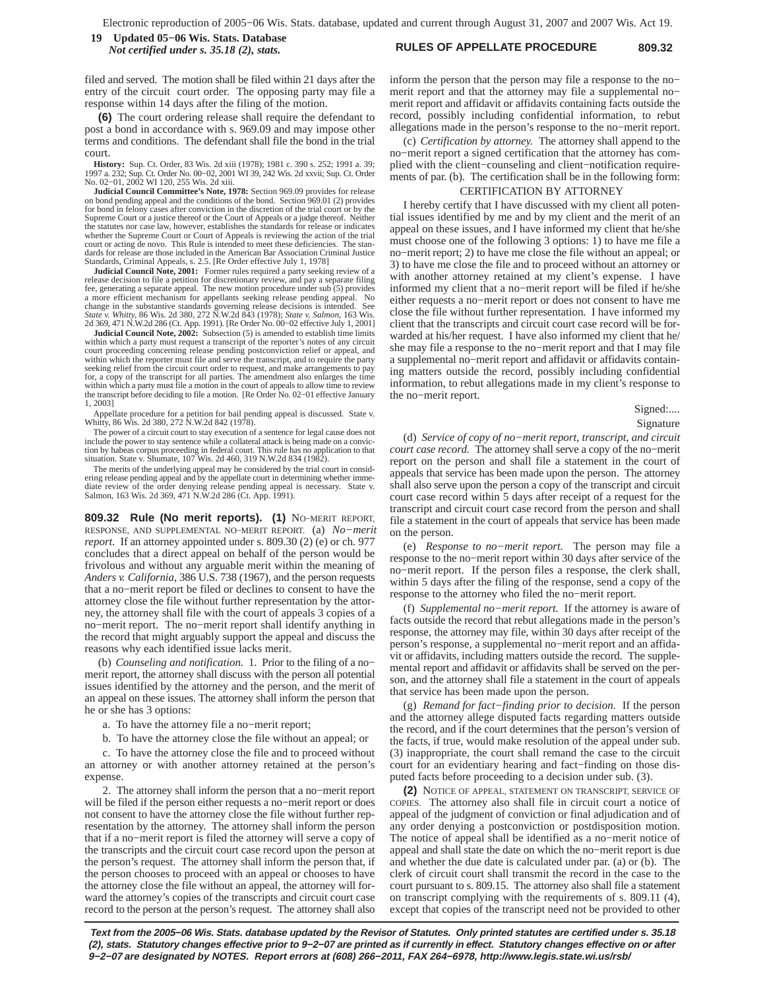### **RULES OF APPELLATE PROCEDURE 809.32 19 Updated 05−06 Wis. Stats. Database** *Not certified under s. 35.18 (2), stats.*

filed and served. The motion shall be filed within 21 days after the entry of the circuit court order. The opposing party may file a response within 14 days after the filing of the motion.

**(6)** The court ordering release shall require the defendant to post a bond in accordance with s. 969.09 and may impose other terms and conditions. The defendant shall file the bond in the trial court.

**History:** Sup. Ct. Order, 83 Wis. 2d xiii (1978); 1981 c. 390 s. 252; 1991 a. 39; 1997 a. 232; Sup. Ct. Order No. 00−02, 2001 WI 39, 242 Wis. 2d xxvii; Sup. Ct. Order No. 02−01, 2002 WI 120, 255 Wis. 2d xiii.

**Judicial Council Committee's Note, 1978:** Section 969.09 provides for release on bond pending appeal and the conditions of the bond. Section 969.01 (2) provides for bond in felony cases after conviction in the discretion of the trial court or by the Supreme Court or a justice thereof or the Court of Appeals or a judge thereof. Neither the statutes nor case law, however, establishes the standards for release or indicates<br>whether the Supreme Court or Court of Appeals is reviewing the action of the trial<br>court or acting de novo. This Rule is intended to me dards for release are those included in the American Bar Association Criminal Justice Standards, Criminal Appeals, s. 2.5. [Re Order effective July 1, 1978]

**Judicial Council Note, 2001:** Former rules required a party seeking review of a release decision to file a petition for discretionary review, and pay a separate filing fee, generating a separate appeal. The new motion procedure under sub (5) provides a more efficient mechanism for appellants seeking release pending appeal. No change in the substantive standards governing release decisions is intended. See *State v. Whitty,* 86 Wis. 2d 380, 272 N.W.2d 843 (1978); *State v. Salmon,* 163 Wis. 2d 369, 471 N.W.2d 286 (Ct. App. 1991). [Re Order No. 00−02 effective July 1, 2001]

**Judicial Council Note, 2002:** Subsection (5) is amended to establish time limits within which a party must request a transcript of the reporter's notes of any circuit court proceeding concerning release pending postconviction relief or appeal, and within which the reporter must file and serve the transcript, and to require the party seeking relief from the circuit court order to request, and make arrangements to for, a copy of the transcript for all parties. The amendment also enlarges the time within which a party must file a motion in the court of appeals to allow time to review the transcript before deciding to file a motion. [Re Order No. 02−01 effective January 1, 2003]

Appellate procedure for a petition for bail pending appeal is discussed. State v. Whitty, 86 Wis. 2d 380, 272 N.W.2d 842 (1978).

The power of a circuit court to stay execution of a sentence for legal cause does not include the power to stay sentence while a collateral attack is being made on a convicthe power to stay sentence while a collateral attack is being made on a convic tion by habeas corpus proceeding in federal court. This rule has no application to that situation. State v. Shumate, 107 Wis. 2d 460, 319 N.W.2d 834 (1982).

The merits of the underlying appeal may be considered by the trial court in consid-ering release pending appeal and by the appellate court in determining whether immediate review of the order denying release pending appeal is necessary. State v. Salmon, 163 Wis. 2d 369, 471 N.W.2d 286 (Ct. App. 1991).

**809.32 Rule (No merit reports). (1)** NO−MERIT REPORT, RESPONSE, AND SUPPLEMENTAL NO−MERIT REPORT. (a) *No−merit report.* If an attorney appointed under s. 809.30 (2) (e) or ch. 977 concludes that a direct appeal on behalf of the person would be frivolous and without any arguable merit within the meaning of *Anders v. California*, 386 U.S. 738 (1967), and the person requests that a no−merit report be filed or declines to consent to have the attorney close the file without further representation by the attorney, the attorney shall file with the court of appeals 3 copies of a no−merit report. The no−merit report shall identify anything in the record that might arguably support the appeal and discuss the reasons why each identified issue lacks merit.

(b) *Counseling and notification.* 1. Prior to the filing of a no− merit report, the attorney shall discuss with the person all potential issues identified by the attorney and the person, and the merit of an appeal on these issues. The attorney shall inform the person that he or she has 3 options:

a. To have the attorney file a no−merit report;

b. To have the attorney close the file without an appeal; or

c. To have the attorney close the file and to proceed without an attorney or with another attorney retained at the person's expense.

2. The attorney shall inform the person that a no−merit report will be filed if the person either requests a no−merit report or does not consent to have the attorney close the file without further representation by the attorney. The attorney shall inform the person that if a no−merit report is filed the attorney will serve a copy of the transcripts and the circuit court case record upon the person at the person's request. The attorney shall inform the person that, if the person chooses to proceed with an appeal or chooses to have the attorney close the file without an appeal, the attorney will forward the attorney's copies of the transcripts and circuit court case record to the person at the person's request. The attorney shall also

inform the person that the person may file a response to the no− merit report and that the attorney may file a supplemental no− merit report and affidavit or affidavits containing facts outside the record, possibly including confidential information, to rebut allegations made in the person's response to the no−merit report.

(c) *Certification by attorney.* The attorney shall append to the no−merit report a signed certification that the attorney has complied with the client−counseling and client−notification requirements of par. (b). The certification shall be in the following form:

# CERTIFICATION BY ATTORNEY

I hereby certify that I have discussed with my client all potential issues identified by me and by my client and the merit of an appeal on these issues, and I have informed my client that he/she must choose one of the following 3 options: 1) to have me file a no−merit report; 2) to have me close the file without an appeal; or 3) to have me close the file and to proceed without an attorney or with another attorney retained at my client's expense. I have informed my client that a no−merit report will be filed if he/she either requests a no−merit report or does not consent to have me close the file without further representation. I have informed my client that the transcripts and circuit court case record will be forwarded at his/her request. I have also informed my client that he/ she may file a response to the no−merit report and that I may file a supplemental no−merit report and affidavit or affidavits containing matters outside the record, possibly including confidential information, to rebut allegations made in my client's response to the no−merit report.

Signed:....

Signature

(d) *Service of copy of no−merit report, transcript, and circuit court case record.* The attorney shall serve a copy of the no−merit report on the person and shall file a statement in the court of appeals that service has been made upon the person. The attorney shall also serve upon the person a copy of the transcript and circuit court case record within 5 days after receipt of a request for the transcript and circuit court case record from the person and shall file a statement in the court of appeals that service has been made on the person.

(e) *Response to no−merit report.* The person may file a response to the no−merit report within 30 days after service of the no−merit report. If the person files a response, the clerk shall, within 5 days after the filing of the response, send a copy of the response to the attorney who filed the no−merit report.

(f) *Supplemental no−merit report.* If the attorney is aware of facts outside the record that rebut allegations made in the person's response, the attorney may file, within 30 days after receipt of the person's response, a supplemental no−merit report and an affidavit or affidavits, including matters outside the record. The supplemental report and affidavit or affidavits shall be served on the person, and the attorney shall file a statement in the court of appeals that service has been made upon the person.

(g) *Remand for fact−finding prior to decision.* If the person and the attorney allege disputed facts regarding matters outside the record, and if the court determines that the person's version of the facts, if true, would make resolution of the appeal under sub. (3) inappropriate, the court shall remand the case to the circuit court for an evidentiary hearing and fact−finding on those disputed facts before proceeding to a decision under sub. (3).

**(2)** NOTICE OF APPEAL, STATEMENT ON TRANSCRIPT, SERVICE OF COPIES. The attorney also shall file in circuit court a notice of appeal of the judgment of conviction or final adjudication and of any order denying a postconviction or postdisposition motion. The notice of appeal shall be identified as a no−merit notice of appeal and shall state the date on which the no−merit report is due and whether the due date is calculated under par. (a) or (b). The clerk of circuit court shall transmit the record in the case to the court pursuant to s. 809.15. The attorney also shall file a statement on transcript complying with the requirements of s. 809.11 (4), except that copies of the transcript need not be provided to other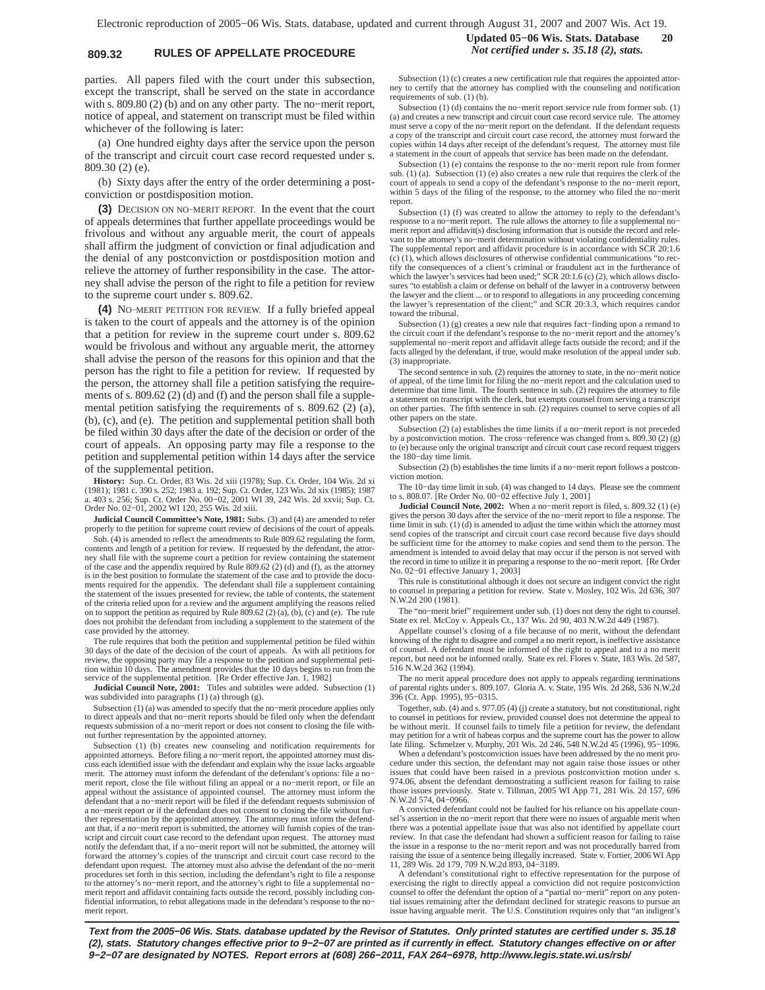# **809.32 RULES OF APPELLATE PROCEDURE** *Not certified under s. 35.18 (2), stats.*

parties. All papers filed with the court under this subsection, except the transcript, shall be served on the state in accordance with s. 809.80 (2) (b) and on any other party. The no−merit report, notice of appeal, and statement on transcript must be filed within whichever of the following is later:

(a) One hundred eighty days after the service upon the person of the transcript and circuit court case record requested under s. 809.30 (2) (e).

(b) Sixty days after the entry of the order determining a postconviction or postdisposition motion.

**(3)** DECISION ON NO−MERIT REPORT. In the event that the court of appeals determines that further appellate proceedings would be frivolous and without any arguable merit, the court of appeals shall affirm the judgment of conviction or final adjudication and the denial of any postconviction or postdisposition motion and relieve the attorney of further responsibility in the case. The attorney shall advise the person of the right to file a petition for review to the supreme court under s. 809.62.

**(4)** NO−MERIT PETITION FOR REVIEW. If a fully briefed appeal is taken to the court of appeals and the attorney is of the opinion that a petition for review in the supreme court under s. 809.62 would be frivolous and without any arguable merit, the attorney shall advise the person of the reasons for this opinion and that the person has the right to file a petition for review. If requested by the person, the attorney shall file a petition satisfying the requirements of s. 809.62 (2) (d) and (f) and the person shall file a supplemental petition satisfying the requirements of s. 809.62 (2) (a), (b), (c), and (e). The petition and supplemental petition shall both be filed within 30 days after the date of the decision or order of the court of appeals. An opposing party may file a response to the petition and supplemental petition within 14 days after the service of the supplemental petition.

**History:** Sup. Ct. Order, 83 Wis. 2d xiii (1978); Sup. Ct. Order, 104 Wis. 2d xi (1981); 1981 c. 390 s. 252; 1983 a. 192; Sup. Ct. Order, 123 Wis. 2d xix (1985); 1987 a. 403 s. 256; Sup. Ct. Order No. 00−02, 2001 WI 39, 242 Wis. 2d xxvii; Sup. Ct. Order No. 02−01, 2002 WI 120, 255 Wis. 2d xiii.

**Judicial Council Committee's Note, 1981:** Subs. (3) and (4) are amended to refer properly to the petition for supreme court review of decisions of the court of appeals.

Sub. (4) is amended to reflect the amendments to Rule 809.62 regulating the form, contents and length of a petition for review. If requested by the defendant, the attorney shall file with the supreme court a petition for review containing the statement of the case and the appendix required by Rule 809.62 (2) (d) and (f), as the attorney is in the best position to formulate the statement of the case and to provide the docu-ments required for the appendix. The defendant shall file a supplement containing the statement of the issues presented for review, the table of contents, the statement of the criteria relied upon for a review and the argument amplifying the reasons relied on to support the petition as required by Rule 809.62 (2) (a), (b), (c) and (e). The rule does not prohibit the defendant from including a supplement to the statement of the case provided by the attorney.

The rule requires that both the petition and supplemental petition be filed within 30 days of the date of the decision of the court of appeals. As with all petitions for review, the opposing party may file a response to the petition and supplemental petition within 10 days. The amendment provides that the 10 days begins to run from the service of the supplemental petition. [Re Order effective Jan. 1, 1982]

**Judicial Council Note, 2001:** Titles and subtitles were added. Subsection (1) was subdivided into paragraphs (1) (a) through (g).

Subsection (1) (a) was amended to specify that the no−merit procedure applies only to direct appeals and that no−merit reports should be filed only when the defendant requests submission of a no−merit report or does not consent to closing the file without further representation by the appointed attorney.

Subsection (1) (b) creates new counseling and notification requirements for appointed attorneys. Before filing a no−merit report, the appointed attorney must discuss each identified issue with the defendant and explain why the issue lacks arguable merit. The attorney must inform the defendant of the defendant's options: file a no− merit report, close the file without filing an appeal or a no−merit report, or file an appeal without the assistance of appointed counsel. The attorney must inform the defendant that a no−merit report will be filed if the defendant requests submission of a no−merit report or if the defendant does not consent to closing the file without further representation by the appointed attorney. The attorney must inform the defend-ant that, if a no−merit report is submitted, the attorney will furnish copies of the transcript and circuit court case record to the defendant upon request. The attorney must notify the defendant that, if a no−merit report will not be submitted, the attorney will forward the attorney's copies of the transcript and circuit court case record to the defendant upon request. The attorney must also advise the defendant of the no−merit procedures set forth in this section, including the defendant's right to file a response to the attorney's no−merit report, and the attorney's right to file a supplemental no− merit report and affidavit containing facts outside the record, possibly including confidential information, to rebut allegations made in the defendant's response to the no− merit report.

**Updated 05−06 Wis. Stats. Database 20**

Subsection (1) (c) creates a new certification rule that requires the appointed attorney to certify that the attorney has complied with the counseling and notification requirements of sub. (1) (b).

Subsection (1) (d) contains the no−merit report service rule from former sub. (1) (a) and creates a new transcript and circuit court case record service rule. The attorney must serve a copy of the no−merit report on the defendant. If the defendant requests a copy of the transcript and circuit court case record, the attorney must forward the copies within 14 days after receipt of the defendant's request. The attorney must file a statement in the court of appeals that service has been made on the defendant.

Subsection (1) (e) contains the response to the no−merit report rule from former sub. (1) (a). Subsection (1) (e) also creates a new rule that requires the clerk of the court of appeals to send a copy of the defendant's response to the no−merit report, within 5 days of the filing of the response, to the attorney who filed the no−merit report.

Subsection (1) (f) was created to allow the attorney to reply to the defendant's response to a no−merit report. The rule allows the attorney to file a supplemental no− merit report and affidavit(s) disclosing information that is outside the record and relevant to the attorney's no−merit determination without violating confidentiality rules. The supplemental report and affidavit procedure is in accordance with SCR 20:1.6 (c) (1), which allows disclosures of otherwise confidential communications "to rectify the consequences of a client's criminal or fraudulent act in the furtherance of which the lawyer's services had been used;" SCR 20:1.6 (c) (2), which allows disclosures "to establish a claim or defense on behalf of the lawyer in a controversy between the lawyer and the client ... or to respond to allegations in any proceeding concerning the lawyer's representation of the client;" and SCR 20:3.3, which requires candor toward the tribunal.

Subsection (1) (g) creates a new rule that requires fact−finding upon a remand to the circuit court if the defendant's response to the no−merit report and the attorney's supplemental no−merit report and affidavit allege facts outside the record; and if the facts alleged by the defendant, if true, would make resolution of the appeal under sub. (3) inappropriate.

The second sentence in sub. (2) requires the attorney to state, in the no−merit notice of appeal, of the time limit for filing the no−merit report and the calculation used to determine that time limit. The fourth sentence in sub. (2) requires the attorney to file a statement on transcript with the clerk, but exempts counsel from serving a transcript on other parties. The fifth sentence in sub. (2) requires counsel to serve copies of all other papers on the state.

Subsection (2) (a) establishes the time limits if a no−merit report is not preceded by a postconviction motion. The cross−reference was changed from s. 809.30 (2) (g) to (e) because only the original transcript and circuit court case record request triggers the 180−day time limit.

Subsection (2) (b) establishes the time limits if a no−merit report follows a postconviction motion.

The 10−day time limit in sub. (4) was changed to 14 days. Please see the comment to s. 808.07. [Re Order No. 00−02 effective July 1, 2001]

**Judicial Council Note, 2002:** When a no−merit report is filed, s. 809.32 (1) (e) gives the person 30 days after the service of the no−merit report to file a response. The time limit in sub.  $(1)$   $(d)$  is amended to adjust the time within which the attorney must send copies of the transcript and circuit court case record because five days should be sufficient time for the attorney to make copies and send them to the person. The amendment is intended to avoid delay that may occur if the person is not served with the record in time to utilize it in preparing a response to the no−merit report. [Re Order No. 02−01 effective January 1, 2003]

This rule is constitutional although it does not secure an indigent convict the right to counsel in preparing a petition for review. State v. Mosley, 102 Wis. 2d 636, 307 N.W.2d 200 (1981).

The "no−merit brief" requirement under sub. (1) does not deny the right to counsel. State ex rel. McCoy v. Appeals Ct., 137 Wis. 2d 90, 403 N.W.2d 449 (1987).

Appellate counsel's closing of a file because of no merit, without the defendant knowing of the right to disagree and compel a no merit report, is ineffective assistance of counsel. A defendant must be informed of the right to appeal and to a no merit report, but need not be informed orally. State ex rel. Flores v. State, 183 Wis. 2d 587, 516 N.W.2d 362 (1994).

The no merit appeal procedure does not apply to appeals regarding terminations of parental rights under s. 809.107. Gloria A. v. State, 195 Wis. 2d 268, 536 N.W.2d 396 (Ct. App. 1995), 95−0315.

Together, sub. (4) and s. 977.05 (4) (j) create a statutory, but not constitutional, right to counsel in petitions for review, provided counsel does not determine the appeal to be without merit. If counsel fails to timely file a petition for review, the defendant may petition for a writ of habeas corpus and the supreme court has the power to allow

late filing. Schmelzer v. Murphy, 201 Wis. 2d 246, 548 N.W.2d 45 (1996), 95−1096. When a defendant's postconviction issues have been addressed by the no merit procedure under this section, the defendant may not again raise those issues or other issues that could have been raised in a previous postconviction motion under s. 974.06, absent the defendant demonstrating a sufficient reason for failing to raise those issues previously. State v. Tillman, 2005 WI App 71, 281 Wis. 2d 157, 696 N.W.2d 574, 04−0966.

A convicted defendant could not be faulted for his reliance on his appellate coun-sel's assertion in the no−merit report that there were no issues of arguable merit when there was a potential appellate issue that was also not identified by appellate court review. In that case the defendant had shown a sufficient reason for failing to raise the issue in a response to the no−merit report and was not procedurally barred from raising the issue of a sentence being illegally increased. State v. Fortier, 2006 WI App 11, 289 Wis. 2d 179, 709 N.W.2d 893, 04−3189.

A defendant's constitutional right to effective representation for the purpose of exercising the right to directly appeal a conviction did not require postconviction counsel to offer the defendant the option of a "partial no−merit" report on any potential issues remaining after the defendant declined for strategic reasons to pursue an issue having arguable merit. The U.S. Constitution requires only that "an indigent's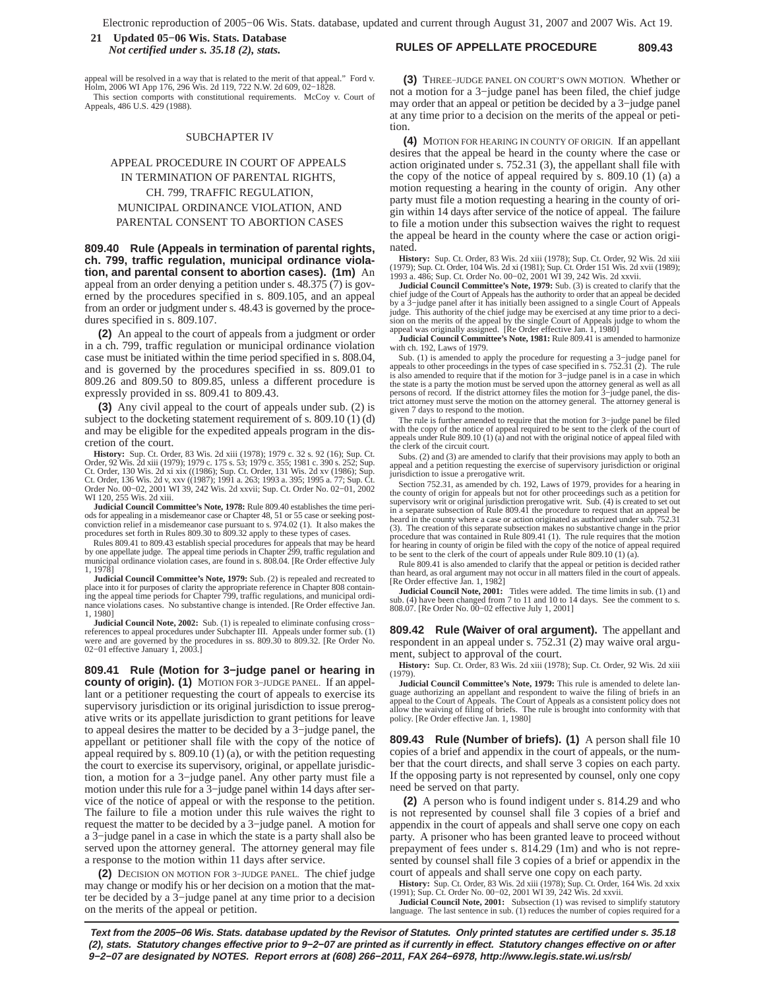## **RULES OF APPELLATE PROCEDURE 809.43 21 Updated 05−06 Wis. Stats. Database** *Not certified under s. 35.18 (2), stats.*

appeal will be resolved in a way that is related to the merit of that appeal." Ford v. Holm, 2006 WI App 176, 296 Wis. 2d 119, 722 N.W. 2d 609, 02−1828. This section comports with constitutional requirements. McCoy v. Court of Appeals, 486 U.S. 429 (1988).

#### SUBCHAPTER IV

# APPEAL PROCEDURE IN COURT OF APPEALS IN TERMINATION OF PARENTAL RIGHTS, CH. 799, TRAFFIC REGULATION, MUNICIPAL ORDINANCE VIOLATION, AND PARENTAL CONSENT TO ABORTION CASES

**809.40 Rule (Appeals in termination of parental rights, ch. 799, traffic regulation, municipal ordinance violation, and parental consent to abortion cases). (1m)** An appeal from an order denying a petition under s. 48.375 (7) is governed by the procedures specified in s. 809.105, and an appeal from an order or judgment under s. 48.43 is governed by the procedures specified in s. 809.107.

**(2)** An appeal to the court of appeals from a judgment or order in a ch. 799, traffic regulation or municipal ordinance violation case must be initiated within the time period specified in s. 808.04, and is governed by the procedures specified in ss. 809.01 to 809.26 and 809.50 to 809.85, unless a different procedure is expressly provided in ss. 809.41 to 809.43.

**(3)** Any civil appeal to the court of appeals under sub. (2) is subject to the docketing statement requirement of s. 809.10 (1) (d) and may be eligible for the expedited appeals program in the discretion of the court.

**History:** Sup. Ct. Order, 83 Wis. 2d xiii (1978); 1979 c. 32 s. 92 (16); Sup. Ct. Order, 92 Wis. 2d xiii (1978); 1979 c. 175 s. 53; 1979 c. 35; 1981 c. 390 s. 252; Sup. Ct. Order, 130 Wis. 2d xi xix ((1986); Sup. Ct. Orde

**Judicial Council Committee's Note, 1978:** Rule 809.40 establishes the time periods for appealing in a misdemeanor case or Chapter 48, 51 or 55 case or seeking postconviction relief in a misdemeanor case pursuant to s. 974.02 (1). It also makes the procedures set forth in Rules 809.30 to 809.32 apply to these types of cases

Rules 809.41 to 809.43 establish special procedures for appeals that may be heard<br>by one appellate judge. The appeal time periods in Chapter 299, traffic regulation and<br>municipal ordinance violation cases, are found in s. 1, 1978]

**Judicial Council Committee's Note, 1979:** Sub. (2) is repealed and recreated to place into it for purposes of clarity the appropriate reference in Chapter 808 contain-<br>ing the appeal time periods for Chapter 799, traffic regulations, and municipal ordi-<br>nance violations cases. No substantive change is 1, 1980]

**Judicial Council Note, 2002:** Sub. (1) is repealed to eliminate confusing cross− references to appeal procedures under Subchapter III. Appeals under former sub. (1) were and are governed by the procedures in ss. 809.30 to 809.32. [Re Order No. 02−01 effective January 1, 2003.]

**809.41 Rule (Motion for 3−judge panel or hearing in county of origin). (1)** MOTION FOR 3−JUDGE PANEL. If an appellant or a petitioner requesting the court of appeals to exercise its supervisory jurisdiction or its original jurisdiction to issue prerogative writs or its appellate jurisdiction to grant petitions for leave to appeal desires the matter to be decided by a 3−judge panel, the appellant or petitioner shall file with the copy of the notice of appeal required by s. 809.10 (1) (a), or with the petition requesting the court to exercise its supervisory, original, or appellate jurisdiction, a motion for a 3−judge panel. Any other party must file a motion under this rule for a 3−judge panel within 14 days after service of the notice of appeal or with the response to the petition. The failure to file a motion under this rule waives the right to request the matter to be decided by a 3−judge panel. A motion for a 3−judge panel in a case in which the state is a party shall also be served upon the attorney general. The attorney general may file a response to the motion within 11 days after service.

**(2)** DECISION ON MOTION FOR 3−JUDGE PANEL. The chief judge may change or modify his or her decision on a motion that the matter be decided by a 3−judge panel at any time prior to a decision on the merits of the appeal or petition.

**(3)** THREE−JUDGE PANEL ON COURT'S OWN MOTION. Whether or not a motion for a 3−judge panel has been filed, the chief judge may order that an appeal or petition be decided by a 3−judge panel at any time prior to a decision on the merits of the appeal or petition.

**(4)** MOTION FOR HEARING IN COUNTY OF ORIGIN. If an appellant desires that the appeal be heard in the county where the case or action originated under s. 752.31 (3), the appellant shall file with the copy of the notice of appeal required by s. 809.10 (1) (a) a motion requesting a hearing in the county of origin. Any other party must file a motion requesting a hearing in the county of origin within 14 days after service of the notice of appeal. The failure to file a motion under this subsection waives the right to request the appeal be heard in the county where the case or action originated.

**History:** Sup. Ct. Order, 83 Wis. 2d xiii (1978); Sup. Ct. Order, 92 Wis. 2d xiii<br>(1979); Sup. Ct. Order, 104 Wis. 2d xi (1981); Sup. Ct. Order 151 Wis. 2d xvii (1989);<br>1993 a. 486; Sup. Ct. Order No. 00–02, 2001 WI 39, 2

**Judicial Council Committee's Note, 1979:** Sub. (3) is created to clarify that the chief judge of the Court of Appeals has the authority to order that an appeal be decided by a 3−judge panel after it has initially been assigned to a single Court of Appeals judge. This authority of the chief judge may be exercised at any time prior to a deci-sion on the merits of the appeal by the single Court of Appeals judge to whom the appeal was originally assigned. [Re Order effective Jan. 1, 1980]

**Judicial Council Committee's Note, 1981:** Rule 809.41 is amended to harmonize with ch. 192, Laws of 1979.

Sub. (1) is amended to apply the procedure for requesting a 3-judge panel for appeals to other proceedings in the types of case specified in s. 752.31 (2). The rule is also amended to require that if the motion for 3-judg the state is a party the motion must be served upon the attorney general as well as all persons of record. If the district attorney files the motion for 3−judge panel, the district attorney must serve the motion on the attorney general. The attorney general is given 7 days to respond to the motion.

The rule is further amended to require that the motion for 3−judge panel be filed with the copy of the notice of appeal required to be sent to the clerk of the court of appeals under Rule 809.10 (1) (a) and not with the original notice of appeal filed with the clerk of the circuit court.

Subs. (2) and (3) are amended to clarify that their provisions may apply to both an appeal and a petition requesting the exercise of supervisory jurisdiction or original jurisdiction to issue a prerogative writ.

Section 752.31, as amended by ch. 192, Laws of 1979, provides for a hearing in the county of origin for appeals but not for other proceedings such as a petition for supervisory writ or original jurisdiction prerogative writ. Sub. (4) is created to set out in a separate subsection of Rule 809.41 the procedure to request that an appeal be heard in the county where a case or action originated as authorized under sub. 752.31 (3). The creation of this separate subsection makes no substantive change in the prior procedure that was contained in Rule 809.41 (1). The rule requires that the motion for hearing in county of origin be filed with the copy of the notice of appeal required to be sent to the clerk of the court of appeals under Rule 809.10 (1) (a).

Rule 809.41 is also amended to clarify that the appeal or petition is decided rather than heard, as oral argument may not occur in all matters filed in the court of appeals. [Re Order effective Jan. 1, 1982]

**Judicial Council Note, 2001:** Titles were added. The time limits in sub. (1) and sub. (4) have been changed from 7 to 11 and 10 to 14 days. See the comment to s. 808.07. [Re Order No. 00−02 effective July 1, 2001]

**809.42 Rule (Waiver of oral argument).** The appellant and respondent in an appeal under s. 752.31 (2) may waive oral argument, subject to approval of the court.

**History:** Sup. Ct. Order, 83 Wis. 2d xiii (1978); Sup. Ct. Order, 92 Wis. 2d xiii (1979).

**Judicial Council Committee's Note, 1979:** This rule is amended to delete language authorizing an appellant and respondent to waive the filing of briefs in an appeal to the Court of Appeals. The Court of Appeals as a consistent policy does not allow the waiving of filing of briefs. The rule is brought into conformity with that policy. [Re Order effective Jan. 1, 1980]

**809.43 Rule (Number of briefs). (1)** A person shall file 10 copies of a brief and appendix in the court of appeals, or the number that the court directs, and shall serve 3 copies on each party. If the opposing party is not represented by counsel, only one copy need be served on that party.

**(2)** A person who is found indigent under s. 814.29 and who is not represented by counsel shall file 3 copies of a brief and appendix in the court of appeals and shall serve one copy on each party. A prisoner who has been granted leave to proceed without prepayment of fees under s. 814.29 (1m) and who is not represented by counsel shall file 3 copies of a brief or appendix in the court of appeals and shall serve one copy on each party.

**History:** Sup. Ct. Order, 83 Wis. 2d xiii (1978); Sup. Ct. Order, 164 Wis. 2d xxix (1991); Sup. Ct. Order No. 00–02, 2001 WI 39, 242 Wis. 2d xxvii.<br>Judicial Council Note, 2001: Subsection (1) was revised to simplify statu

language. The last sentence in sub. (1) reduces the number of copies required for a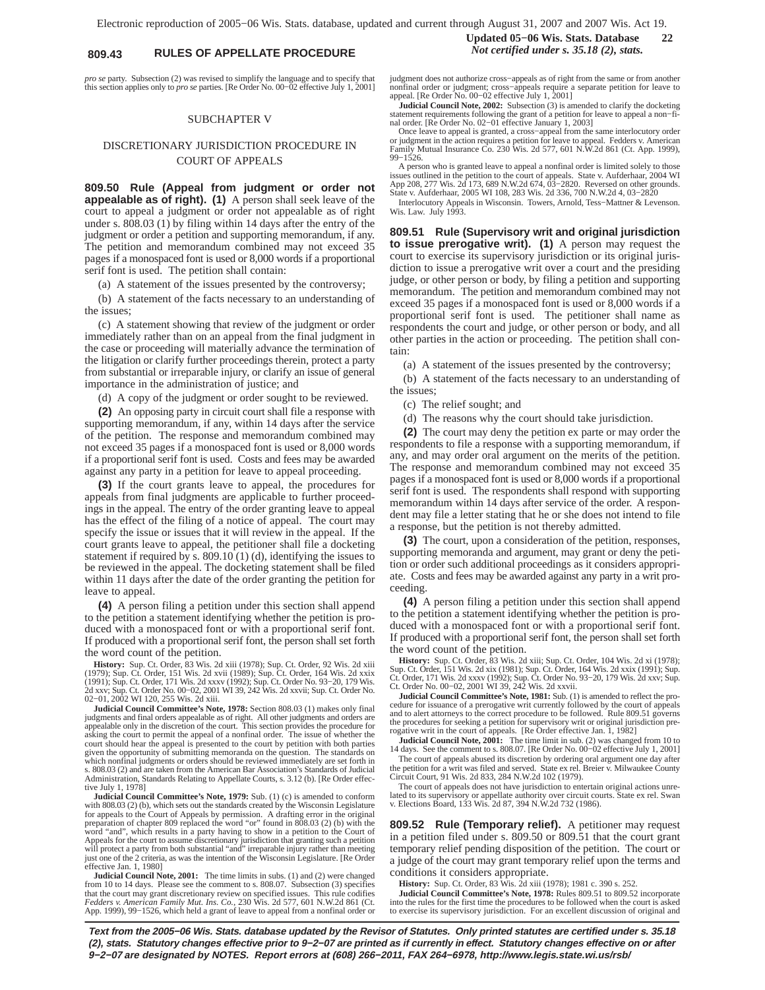# **809.43 RULES OF APPELLATE PROCEDURE** *Not certified under s. 35.18 (2), stats.*

*pro se* party. Subsection (2) was revised to simplify the language and to specify that this section applies only to *pro se* parties. [Re Order No. 00−02 effective July 1, 2001]

#### SUBCHAPTER V

# DISCRETIONARY JURISDICTION PROCEDURE IN COURT OF APPEALS

**809.50 Rule (Appeal from judgment or order not appealable as of right). (1)** A person shall seek leave of the court to appeal a judgment or order not appealable as of right under s. 808.03 (1) by filing within 14 days after the entry of the judgment or order a petition and supporting memorandum, if any. The petition and memorandum combined may not exceed 35 pages if a monospaced font is used or 8,000 words if a proportional serif font is used. The petition shall contain:

(a) A statement of the issues presented by the controversy;

(b) A statement of the facts necessary to an understanding of the issues;

(c) A statement showing that review of the judgment or order immediately rather than on an appeal from the final judgment in the case or proceeding will materially advance the termination of the litigation or clarify further proceedings therein, protect a party from substantial or irreparable injury, or clarify an issue of general importance in the administration of justice; and

(d) A copy of the judgment or order sought to be reviewed.

**(2)** An opposing party in circuit court shall file a response with supporting memorandum, if any, within 14 days after the service of the petition. The response and memorandum combined may not exceed 35 pages if a monospaced font is used or 8,000 words if a proportional serif font is used. Costs and fees may be awarded against any party in a petition for leave to appeal proceeding.

**(3)** If the court grants leave to appeal, the procedures for appeals from final judgments are applicable to further proceedings in the appeal. The entry of the order granting leave to appeal has the effect of the filing of a notice of appeal. The court may specify the issue or issues that it will review in the appeal. If the court grants leave to appeal, the petitioner shall file a docketing statement if required by s. 809.10 (1) (d), identifying the issues to be reviewed in the appeal. The docketing statement shall be filed within 11 days after the date of the order granting the petition for leave to appeal.

**(4)** A person filing a petition under this section shall append to the petition a statement identifying whether the petition is produced with a monospaced font or with a proportional serif font. If produced with a proportional serif font, the person shall set forth the word count of the petition.

**History:** Sup. Ct. Order, 83 Wis. 2d xiii (1978); Sup. Ct. Order, 92 Wis. 2d xiii (1979); Sup. Ct. Order, 151 Wis. 2d xvii (1989); Sup. Ct. Order, 164 Wis. 2d xxix (1991); Sup. Ct. Order, 171 Wis. 2d xxix (1992); Sup. Ct.

**Judicial Council Committee's Note, 1978:** Section 808.03 (1) makes only final judgments and final orders appealable as of right. All other judgments and orders are appealable only in the discretion of the court. This section provides the procedure for asking the court to permit the appeal of a nonfinal order. The issue of whether the court should hear the appeal is presented to the court by petition with both parties given the opportunity of submitting memoranda on the question. The standards on which nonfinal judgments or orders should be reviewed immediately are set forth in s. 808.03 (2) and are taken from the American Bar Association's Standards of Judicial Administration, Standards Relating to Appellate Courts, s. 3.12 (b). [Re Order effective July 1, 1978]

**Judicial Council Committee's Note, 1979:** Sub. (1) (c) is amended to conform with 808.03 (2) (b), which sets out the standards created by the Wisconsin Legislature for appeals to the Court of Appeals by permission. A drafting error in the original<br>preparation of chapter 809 replaced the word "or" found in 808.03 (2) (b) with the<br>word "and", which results in a party having to show in Appeals for the court to assume discretionary jurisdiction that granting such a petition<br>will protect a party from both substantial "and" irreparable injury rather than meeting<br>just one of the 2 criteria, as was the intent effective Jan. 1, 1980]

**Judicial Council Note, 2001:** The time limits in subs. (1) and (2) were changed from 10 to 14 days. Please see the comment to s. 808.07. Subsection (3) specifies that the court may grant discretionary review on specified issues. This rule codifies *Fedders v. American Family Mut. Ins. Co.*, 230 Wis. 2d 577, 601 N.W.2d 861 (Ct. App. 1999), 99−1526, which held a grant of leave to appeal from a nonfinal order or **Updated 05−06 Wis. Stats. Database 22**

judgment does not authorize cross−appeals as of right from the same or from another nonfinal order or judgment; cross−appeals require a separate petition for leave to appeal. [Re Order No. 00−02 effective July 1, 2001]

**Judicial Council Note, 2002:** Subsection (3) is amended to clarify the docketing statement requirements following the grant of a petition for leave to appeal a non−fi-nal order. [Re Order No. 02−01 effective January 1, 2003]

Once leave to appeal is granted, a cross−appeal from the same interlocutory order or judgment in the action requires a petition for leave to appeal. Fedders v. American Family Mutual Insurance Co. 230 Wis. 2d 577, 601 N.W.2d 861 (Ct. App. 1999), 99−1526.

A person who is granted leave to appeal a nonfinal order is limited solely to those<br>issues outlined in the petition to the court of appeals. State v. Aufderhaar, 2004 WI<br>App 208, 277 Wis. 2d 173, 689 N.W.2d 674, 03-2820. R State v. Aufderhaar, 2005 WI 108, 283 Wis. 2d 336, 700 N.W.2d 4, 03−2820

Interlocutory Appeals in Wisconsin. Towers, Arnold, Tess−Mattner & Levenson. Wis. Law. July 1993.

**809.51 Rule (Supervisory writ and original jurisdiction to issue prerogative writ). (1)** A person may request the court to exercise its supervisory jurisdiction or its original jurisdiction to issue a prerogative writ over a court and the presiding judge, or other person or body, by filing a petition and supporting memorandum. The petition and memorandum combined may not exceed 35 pages if a monospaced font is used or 8,000 words if a proportional serif font is used. The petitioner shall name as respondents the court and judge, or other person or body, and all other parties in the action or proceeding. The petition shall contain:

(a) A statement of the issues presented by the controversy;

(b) A statement of the facts necessary to an understanding of the issues;

(c) The relief sought; and

(d) The reasons why the court should take jurisdiction.

**(2)** The court may deny the petition ex parte or may order the respondents to file a response with a supporting memorandum, if any, and may order oral argument on the merits of the petition. The response and memorandum combined may not exceed 35 pages if a monospaced font is used or 8,000 words if a proportional serif font is used. The respondents shall respond with supporting memorandum within 14 days after service of the order. A respondent may file a letter stating that he or she does not intend to file a response, but the petition is not thereby admitted.

**(3)** The court, upon a consideration of the petition, responses, supporting memoranda and argument, may grant or deny the petition or order such additional proceedings as it considers appropriate. Costs and fees may be awarded against any party in a writ proceeding.

**(4)** A person filing a petition under this section shall append to the petition a statement identifying whether the petition is produced with a monospaced font or with a proportional serif font. If produced with a proportional serif font, the person shall set forth the word count of the petition.

**History:** Sup. Ct. Order, 83 Wis. 2d xiii; Sup. Ct. Order, 104 Wis. 2d xi (1978); Sup. Ct. Order, 151 Wis. 2d xix (1981); Sup. Ct. Order, 164 Wis. 2d xxix (1991); Sup. Ct. Order, 171 Wis. 2d xxix (1992); Sup. Ct. Order, 1

**Judicial Council Committee's Note, 1981:** Sub. (1) is amended to reflect the procedure for issuance of a prerogative writ currently followed by the court of appeals and to alert attorneys to the correct procedure to be followed. Rule 809.51 governs the procedures for seeking a petition for supervisory writ or original jurisdiction pre-

rogative writ in the court of appeals. [Re Order effective Jan. 1, 1982]<br>**Judicial Council Note, 2001:** The time limit in sub. (2) was changed from 10 to 14 days. See the comment to s. 808.07. [Re Order No. 00–02 effective

The court of appeals abused its discretion by ordering oral argument one day after the petition for a writ was filed and served. State ex rel. Breier v. Milwaukee County Circuit Court, 91 Wis. 2d 833, 284 N.W.2d 102 (1979).

The court of appeals does not have jurisdiction to entertain original actions unrelated to its supervisory or appellate authority over circuit courts. State ex rel. Swan v. Elections Board, 133 Wis. 2d 87, 394 N.W.2d 732 (1986).

**809.52 Rule (Temporary relief).** A petitioner may request in a petition filed under s. 809.50 or 809.51 that the court grant temporary relief pending disposition of the petition. The court or a judge of the court may grant temporary relief upon the terms and conditions it considers appropriate.

**History:** Sup. Ct. Order, 83 Wis. 2d xiii (1978); 1981 c. 390 s. 252.

**Judicial Council Committee's Note, 1978:** Rules 809.51 to 809.52 incorporate into the rules for the first time the procedures to be followed when the court is asked to exercise its supervisory jurisdiction. For an excellent discussion of original and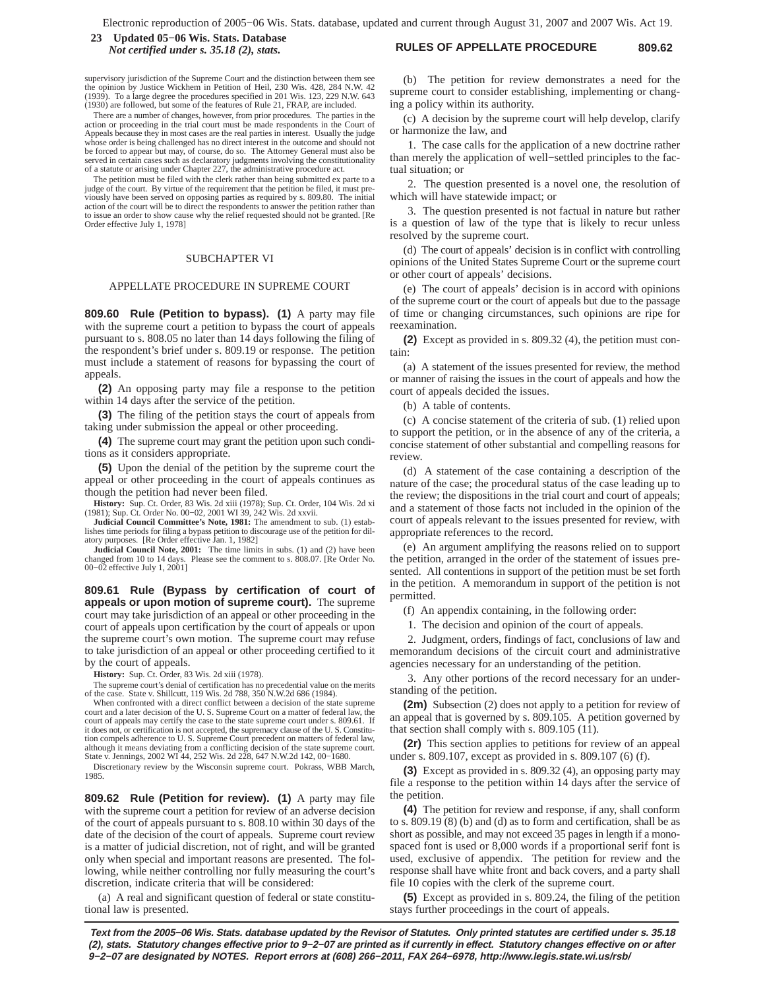### **RULES OF APPELLATE PROCEDURE 809.62 23 Updated 05−06 Wis. Stats. Database** *Not certified under s. 35.18 (2), stats.*

supervisory jurisdiction of the Supreme Court and the distinction between them see the opinion by Justice Wickhem in Petition of Heil, 230 Wis. 428, 284 N.W. 42<br>(1939). To a large degree the procedures specified in 201 Wis. 123, 229 N.W. 643<br>(1930) are followed, but some of the features of Rule 21, FRAP,

There are a number of changes, however, from prior procedures. The parties in the action or proceeding in the trial court must be made respondents in the Court of Appeals because they in most cases are the real parties in interest. Usually the judge whose order is being challenged has no direct interest in the outcome and should not be forced to appear but may, of course, do so. The Attorney General must also be served in certain cases such as declaratory judgments involving the constitutionality of a statute or arising under Chapter 227, the administrative procedure act.

The petition must be filed with the clerk rather than being submitted ex parte to a judge of the court. By virtue of the requirement that the petition be filed, it must previously have been served on opposing parties as required by s. 809.80. The initial action of the court will be to direct the respondents to answer the petition rather than to issue an order to show cause why the relief requested should not be granted. [Re Order effective July 1, 1978]

#### SUBCHAPTER VI

#### APPELLATE PROCEDURE IN SUPREME COURT

**809.60 Rule (Petition to bypass). (1)** A party may file with the supreme court a petition to bypass the court of appeals pursuant to s. 808.05 no later than 14 days following the filing of the respondent's brief under s. 809.19 or response. The petition must include a statement of reasons for bypassing the court of appeals.

**(2)** An opposing party may file a response to the petition within 14 days after the service of the petition.

**(3)** The filing of the petition stays the court of appeals from taking under submission the appeal or other proceeding.

**(4)** The supreme court may grant the petition upon such conditions as it considers appropriate.

**(5)** Upon the denial of the petition by the supreme court the appeal or other proceeding in the court of appeals continues as though the petition had never been filed.

**History:** Sup. Ct. Order, 83 Wis. 2d xiii (1978); Sup. Ct. Order, 104 Wis. 2d xi (1981); Sup. Ct. Order No. 00−02, 2001 WI 39, 242 Wis. 2d xxvii.

**Judicial Council Committee's Note, 1981:** The amendment to sub. (1) establishes time periods for filing a bypass petition to discourage use of the petition for dilatory purposes. [Re Order effective Jan. 1, 1982]

**Judicial Council Note, 2001:** The time limits in subs. (1) and (2) have been changed from 10 to 14 days. Please see the comment to s. 808.07. [Re Order No. 00−02 effective July 1, 2001]

**809.61 Rule (Bypass by certification of court of appeals or upon motion of supreme court).** The supreme court may take jurisdiction of an appeal or other proceeding in the court of appeals upon certification by the court of appeals or upon the supreme court's own motion. The supreme court may refuse to take jurisdiction of an appeal or other proceeding certified to it by the court of appeals.

**History:** Sup. Ct. Order, 83 Wis. 2d xiii (1978).

The supreme court's denial of certification has no precedential value on the merits of the case. State v. Shillcutt, 119 Wis. 2d 788, 350 N.W.2d 686 (1984).

When confronted with a direct conflict between a decision of the state supreme court and a later decision of the U. S. Supreme Court on a matter of federal law, the court of appeals may certify the case to the state supreme court under s. 809.61. If it does not, or certification is not accepted, the supremacy clause of the U. S. Constitu-tion compels adherence to U. S. Supreme Court precedent on matters of federal law, although it means deviating from a conflicting decision of the state supreme court. State v. Jennings, 2002 WI 44, 252 Wis. 2d 228, 647 N.W.2d 142, 00−1680.

Discretionary review by the Wisconsin supreme court. Pokrass, WBB March, 1985.

**809.62 Rule (Petition for review). (1)** A party may file with the supreme court a petition for review of an adverse decision of the court of appeals pursuant to s. 808.10 within 30 days of the date of the decision of the court of appeals. Supreme court review is a matter of judicial discretion, not of right, and will be granted only when special and important reasons are presented. The following, while neither controlling nor fully measuring the court's discretion, indicate criteria that will be considered:

(a) A real and significant question of federal or state constitutional law is presented.

(b) The petition for review demonstrates a need for the supreme court to consider establishing, implementing or changing a policy within its authority.

(c) A decision by the supreme court will help develop, clarify or harmonize the law, and

1. The case calls for the application of a new doctrine rather than merely the application of well−settled principles to the factual situation; or

2. The question presented is a novel one, the resolution of which will have statewide impact; or

3. The question presented is not factual in nature but rather is a question of law of the type that is likely to recur unless resolved by the supreme court.

(d) The court of appeals' decision is in conflict with controlling opinions of the United States Supreme Court or the supreme court or other court of appeals' decisions.

(e) The court of appeals' decision is in accord with opinions of the supreme court or the court of appeals but due to the passage of time or changing circumstances, such opinions are ripe for reexamination.

**(2)** Except as provided in s. 809.32 (4), the petition must contain:

(a) A statement of the issues presented for review, the method or manner of raising the issues in the court of appeals and how the court of appeals decided the issues.

(b) A table of contents.

(c) A concise statement of the criteria of sub. (1) relied upon to support the petition, or in the absence of any of the criteria, a concise statement of other substantial and compelling reasons for review.

(d) A statement of the case containing a description of the nature of the case; the procedural status of the case leading up to the review; the dispositions in the trial court and court of appeals; and a statement of those facts not included in the opinion of the court of appeals relevant to the issues presented for review, with appropriate references to the record.

(e) An argument amplifying the reasons relied on to support the petition, arranged in the order of the statement of issues presented. All contentions in support of the petition must be set forth in the petition. A memorandum in support of the petition is not permitted.

(f) An appendix containing, in the following order:

1. The decision and opinion of the court of appeals.

2. Judgment, orders, findings of fact, conclusions of law and memorandum decisions of the circuit court and administrative agencies necessary for an understanding of the petition.

3. Any other portions of the record necessary for an understanding of the petition.

**(2m)** Subsection (2) does not apply to a petition for review of an appeal that is governed by s. 809.105. A petition governed by that section shall comply with s. 809.105  $(11)$ .

**(2r)** This section applies to petitions for review of an appeal under s. 809.107, except as provided in s. 809.107 (6) (f).

**(3)** Except as provided in s. 809.32 (4), an opposing party may file a response to the petition within 14 days after the service of the petition.

**(4)** The petition for review and response, if any, shall conform to s. 809.19 (8) (b) and (d) as to form and certification, shall be as short as possible, and may not exceed 35 pages in length if a monospaced font is used or 8,000 words if a proportional serif font is used, exclusive of appendix. The petition for review and the response shall have white front and back covers, and a party shall file 10 copies with the clerk of the supreme court.

**(5)** Except as provided in s. 809.24, the filing of the petition stays further proceedings in the court of appeals.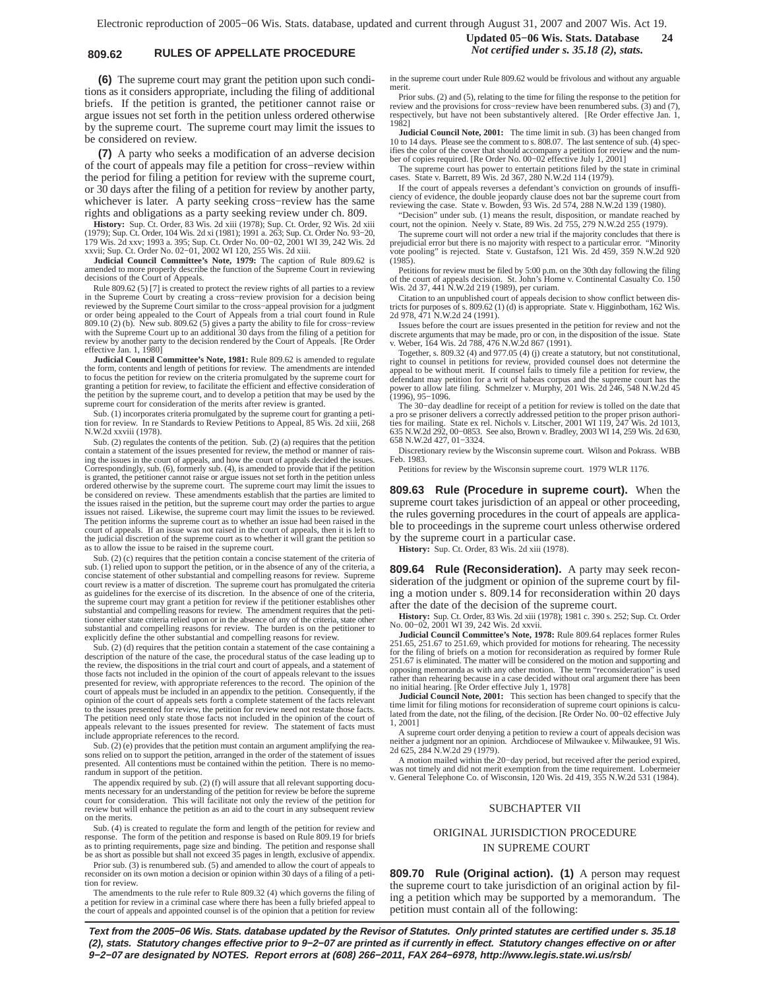# **809.62 RULES OF APPELLATE PROCEDURE** *Not certified under s. 35.18 (2), stats.*

**(6)** The supreme court may grant the petition upon such conditions as it considers appropriate, including the filing of additional briefs. If the petition is granted, the petitioner cannot raise or argue issues not set forth in the petition unless ordered otherwise by the supreme court. The supreme court may limit the issues to be considered on review.

**(7)** A party who seeks a modification of an adverse decision of the court of appeals may file a petition for cross−review within the period for filing a petition for review with the supreme court, or 30 days after the filing of a petition for review by another party, whichever is later. A party seeking cross−review has the same rights and obligations as a party seeking review under ch. 809.

**History:** Sup. Ct. Order, 83 Wis. 2d xiii (1978); Sup. Ct. Order, 92 Wis. 2d xiii<br>(1979); Sup. Ct. Order, 104 Wis. 2d xi (1981); 1991 a. 263; Sup. Ct. Order No. 93–20,<br>179 Wis. 2d xxv; 1993 a. 395; Sup. Ct. Order No. 00–0

**Judicial Council Committee's Note, 1979:** The caption of Rule 809.62 is amended to more properly describe the function of the Supreme Court in reviewing decisions of the Court of Appeals.

Rule 809.62 (5) [7] is created to protect the review rights of all parties to a review in the Supreme Court by creating a cross−review provision for a decision being reviewed by the Supreme Court similar to the cross−appeal provision for a judgment or order being appealed to the Court of Appeals from a trial court found in Rule 809.10 (2) (b). New sub. 809.62 (5) gives a party the ability to file for cross−review with the Supreme Court up to an additional 30 days from the filing of a petition for review by another party to the decision rendered by the Court of Appeals. [Re Order effective Jan. 1, 1980]

**Judicial Council Committee's Note, 1981:** Rule 809.62 is amended to regulate the form, contents and length of petitions for review. The amendments are intended to focus the petition for review on the criteria promulgated by the supreme court for granting a petition for review, to facilitate the efficient and effective consideration of the petition by the supreme court, and to develop a petition that may be used by the supreme court for consideration of the merits after review is granted.

Sub. (1) incorporates criteria promulgated by the supreme court for granting a peti-tion for review. In re Standards to Review Petitions to Appeal, 85 Wis. 2d xiii, 268 N.W.2d xxviii (1978).

Sub. (2) regulates the contents of the petition. Sub. (2) (a) requires that the petition contain a statement of the issues presented for review, the method or manner of raising the issues in the court of appeals, and how the court of appeals decided the issues.<br>Correspondingly, sub. (6), formerly sub. (4), is amended to provide that if the petition<br>is granted, the petitioner cannot raise or a ordered otherwise by the supreme court. The supreme court may limit the issues to be considered on review. These amendments establish that the parties are limited to the issues raised in the petition, but the supreme court may order the parties to argue issues not raised. Likewise, the supreme court may limit the issues to be reviewed. The petition informs the supreme court as to whether an issue had been raised in the court of appeals. If an issue was not raised in the court of appeals, then it is left to<br>the judicial discretion of the supreme court as to whether it will grant the petition so<br>as to allow the issue to be raised in the su

Sub. (2) (c) requires that the petition contain a concise statement of the criteria of sub. (1) relied upon to support the petition, or in the absence of any of the criteria, a concise statement of other substantial and compelling reasons for review. Supreme court review is a matter of discretion. The supreme court has promulgated the criteria as guidelines for the exercise of its discretion. In the absence of one of the criteria, the supreme court may grant a petition for review if the petitioner establishes other substantial and compelling reasons for review. The amendment requires that the peti-<br>substantial and compelling reasons for review. The amendment requires that the petitioner either state criteria relied upon or in the absence of any of the criteria, state other substantial and compelling reasons for review. The burden is on the petitioner to explicitly define the other substantial and compelling reasons for review.

Sub. (2) (d) requires that the petition contain a statement of the case containing a description of the nature of the case, the procedural status of the case leading up to the review, the dispositions in the trial court and court of appeals, and a statement of those facts not included in the opinion of the court of appeals relevant to the issues presented for review, with appropriate references to the record. The opinion of the court of appeals must be included in an appendix to the petition. Consequently, if the opinion of the court of appeals sets forth a complete statement of the facts relevant to the issues presented for review, the petition for review need not restate those facts. The petition need only state those facts not included in the opinion of the court of appeals relevant to the issues presented for review. The statement of facts must include appropriate references to the record.

Sub. (2) (e) provides that the petition must contain an argument amplifying the reasons relied on to support the petition, arranged in the order of the statement of issues presented. All contentions must be contained within the petition. There is no memorandum in support of the petition.

The appendix required by sub. (2) (f) will assure that all relevant supporting documents necessary for an understanding of the petition for review be before the supreme<br>court for consideration. This will facilitate not only the review of the petition for<br>review but will enhance the petition as an aid to on the merits.

Sub. (4) is created to regulate the form and length of the petition for review and response. The form of the petition and response is based on Rule 809.19 for briefs as to printing requirements, page size and binding. The petition and response shall be as short as possible but shall not exceed 35 pages in length, exclusive of appendix.

Prior sub. (3) is renumbered sub. (5) and amended to allow the court of appeals to reconsider on its own motion a decision or opinion within 30 days of a filing of a petition for review.

The amendments to the rule refer to Rule 809.32 (4) which governs the filing of a petition for review in a criminal case where there has been a fully briefed appeal to the court of appeals and appointed counsel is of the opinion that a petition for review

# **Updated 05−06 Wis. Stats. Database 24**

in the supreme court under Rule 809.62 would be frivolous and without any arguable merit.

Prior subs. (2) and (5), relating to the time for filing the response to the petition for review and the provisions for cross−review have been renumbered subs. (3) and (7), respectively, but have not been substantively altered. [Re Order effective Jan. 1, 1982]

**Judicial Council Note, 2001:** The time limit in sub. (3) has been changed from 10 to 14 days. Please see the comment to s. 808.07. The last sentence of sub. (4) specifies the color of the cover that should accompany a petition for review and the num-ber of copies required. [Re Order No. 00−02 effective July 1, 2001]

The supreme court has power to entertain petitions filed by the state in criminal cases. State v. Barrett, 89 Wis. 2d 367, 280 N.W.2d 114 (1979).

If the court of appeals reverses a defendant's conviction on grounds of insufficiency of evidence, the double jeopardy clause does not bar the supreme court from reviewing the case. State v. Bowden, 93 Wis. 2d 574, 288 N.W.2d 139 (1980).

"Decision" under sub. (1) means the result, disposition, or mandate reached by court, not the opinion. Neely v. State, 89 Wis. 2d 755, 279 N.W.2d 255 (1979).

The supreme court will not order a new trial if the majority concludes that there is<br>prejudicial error but there is no majority with respect to a particular error. "Minority<br>vote pooling" is rejected. State v. Gustafson, 1

Petitions for review must be filed by 5:00 p.m. on the 30th day following the filing<br>of the court of appeals decision. St. John's Home v. Continental Casualty Co. 150<br>Wis. 2d 37, 441 N.W.2d 219 (1989), per curiam.

Citation to an unpublished court of appeals decision to show conflict between dis-tricts for purposes of s. 809.62 (1) (d) is appropriate. State v. Higginbotham, 162 Wis. 2d 978, 471 N.W.2d 24 (1991).

Issues before the court are issues presented in the petition for review and not the discrete arguments that may be made, pro or con, in the disposition of the issue. State v. Weber, 164 Wis. 2d 788, 476 N.W.2d 867 (1991).

Together, s. 809.32 (4) and 977.05 (4) (j) create a statutory, but not constitutional, right to counsel in petitions for review, provided counsel does not determine the appeal to be without merit. If counsel fails to timely file a petition for review, the defendant may petition for a writ of habeas corpus and the supreme court has the power to allow late filing. Schmelzer v. Murphy, 201 Wis. 2d 246, 548 N.W.2d 45 (1996), 95−1096.

The 30−day deadline for receipt of a petition for review is tolled on the date that a pro se prisoner delivers a correctly addressed petition to the proper prison authori-<br>ties for mailing. State ex rel. Nichols v. Litscher, 2001 WI 119, 247 Wis. 2d 1013,<br>635 N.W.2d 292, 00–0853. See also, Brown v. Bradle 658 N.W.2d 427, 01−3324.

Discretionary review by the Wisconsin supreme court. Wilson and Pokrass. WBB Feb. 1983.

Petitions for review by the Wisconsin supreme court. 1979 WLR 1176.

**809.63 Rule (Procedure in supreme court).** When the supreme court takes jurisdiction of an appeal or other proceeding, the rules governing procedures in the court of appeals are applicable to proceedings in the supreme court unless otherwise ordered by the supreme court in a particular case.

**History:** Sup. Ct. Order, 83 Wis. 2d xiii (1978).

**809.64 Rule (Reconsideration).** A party may seek reconsideration of the judgment or opinion of the supreme court by filing a motion under s. 809.14 for reconsideration within 20 days after the date of the decision of the supreme court.

**History:** Sup. Ct. Order, 83 Wis. 2d xiii (1978); 1981 c. 390 s. 252; Sup. Ct. Order No. 00−02, 2001 WI 39, 242 Wis. 2d xxvii.

**Judicial Council Committee's Note, 1978:** Rule 809.64 replaces former Rules 251.65, 251.67 to 251.69, which provided for motions for rehearing. The necessity for the filing of briefs on a motion for reconsideration as required by former Rule 251.67 is eliminated. The matter will be considered on the motion and supporting and opposing memoranda as with any other motion. The term "reconsideration" is used rather than rehearing because in a case decided without oral argument there has been no initial hearing. [Re Order effective July 1, 1978]

**Judicial Council Note, 2001:** This section has been changed to specify that the time limit for filing motions for reconsideration of supreme court opinions is calculated from the date, not the filing, of the decision. [Re Order No. 00−02 effective July 1, 2001]

A supreme court order denying a petition to review a court of appeals decision was neither a judgment nor an opinion. Archdiocese of Milwaukee v. Milwaukee, 91 Wis. 2d 625, 284 N.W.2d 29 (1979).

A motion mailed within the 20−day period, but received after the period expired, was not timely and did not merit exemption from the time requirement. Lobermeier v. General Telephone Co. of Wisconsin, 120 Wis. 2d 419, 355 N.W.2d 531 (1984).

#### SUBCHAPTER VII

# ORIGINAL JURISDICTION PROCEDURE IN SUPREME COURT

**809.70 Rule (Original action). (1)** A person may request the supreme court to take jurisdiction of an original action by filing a petition which may be supported by a memorandum. The petition must contain all of the following: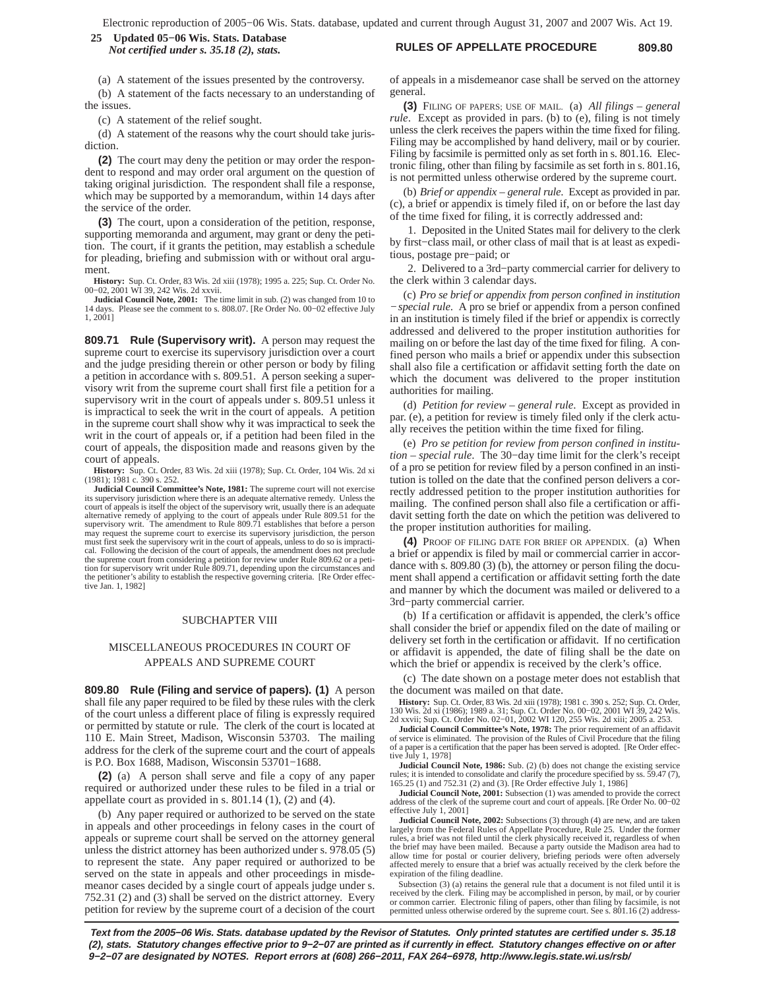## **RULES OF APPELLATE PROCEDURE 809.80 25 Updated 05−06 Wis. Stats. Database** *Not certified under s. 35.18 (2), stats.*

(a) A statement of the issues presented by the controversy. (b) A statement of the facts necessary to an understanding of the issues.

(c) A statement of the relief sought.

(d) A statement of the reasons why the court should take jurisdiction.

**(2)** The court may deny the petition or may order the respondent to respond and may order oral argument on the question of taking original jurisdiction. The respondent shall file a response, which may be supported by a memorandum, within 14 days after the service of the order.

**(3)** The court, upon a consideration of the petition, response, supporting memoranda and argument, may grant or deny the petition. The court, if it grants the petition, may establish a schedule for pleading, briefing and submission with or without oral argument.

**History:** Sup. Ct. Order, 83 Wis. 2d xiii (1978); 1995 a. 225; Sup. Ct. Order No. 00−02, 2001 WI 39, 242 Wis. 2d xxvii.

**Judicial Council Note, 2001:** The time limit in sub. (2) was changed from 10 to 14 days. Please see the comment to s. 808.07. [Re Order No. 00−02 effective July 1, 2001]

**809.71 Rule (Supervisory writ).** A person may request the supreme court to exercise its supervisory jurisdiction over a court and the judge presiding therein or other person or body by filing a petition in accordance with s. 809.51. A person seeking a supervisory writ from the supreme court shall first file a petition for a supervisory writ in the court of appeals under s. 809.51 unless it is impractical to seek the writ in the court of appeals. A petition in the supreme court shall show why it was impractical to seek the writ in the court of appeals or, if a petition had been filed in the court of appeals, the disposition made and reasons given by the court of appeals.

**History:** Sup. Ct. Order, 83 Wis. 2d xiii (1978); Sup. Ct. Order, 104 Wis. 2d xi (1981); 1981 c. 390 s. 252.

**Judicial Council Committee's Note, 1981:** The supreme court will not exercise its supervisory jurisdiction where there is an adequate alternative remedy. Unless the court of appeals is itself the object of the supervisory writ, usually there is an adequate alternative remedy of applying to the court of appeals under Rule 809.51 for the supervisory writ. The amendment to Rule 809.71 establishes that before a person may request the supreme court to exercise its supervisory jurisdiction, the person<br>must first seek the supervisory writ in the court of appeals, unless to do so is impracti-<br>cal. Following the decision of the court of appe the supreme court from considering a petition for review under Rule 809.62 or a peti-tion for supervisory writ under Rule 809.71, depending upon the circumstances and the petitioner's ability to establish the respective governing criteria. [Re Order effective Jan. 1, 1982]

#### SUBCHAPTER VIII

# MISCELLANEOUS PROCEDURES IN COURT OF APPEALS AND SUPREME COURT

**809.80 Rule (Filing and service of papers). (1)** A person shall file any paper required to be filed by these rules with the clerk of the court unless a different place of filing is expressly required or permitted by statute or rule. The clerk of the court is located at 110 E. Main Street, Madison, Wisconsin 53703. The mailing address for the clerk of the supreme court and the court of appeals is P.O. Box 1688, Madison, Wisconsin 53701−1688.

**(2)** (a) A person shall serve and file a copy of any paper required or authorized under these rules to be filed in a trial or appellate court as provided in s.  $801.14$  (1), (2) and (4).

(b) Any paper required or authorized to be served on the state in appeals and other proceedings in felony cases in the court of appeals or supreme court shall be served on the attorney general unless the district attorney has been authorized under s. 978.05 (5) to represent the state. Any paper required or authorized to be served on the state in appeals and other proceedings in misdemeanor cases decided by a single court of appeals judge under s. 752.31 (2) and (3) shall be served on the district attorney. Every petition for review by the supreme court of a decision of the court

of appeals in a misdemeanor case shall be served on the attorney general.

**(3)** FILING OF PAPERS; USE OF MAIL. (a) *All filings – general rule*. Except as provided in pars. (b) to (e), filing is not timely unless the clerk receives the papers within the time fixed for filing. Filing may be accomplished by hand delivery, mail or by courier. Filing by facsimile is permitted only as set forth in s. 801.16. Electronic filing, other than filing by facsimile as set forth in s. 801.16, is not permitted unless otherwise ordered by the supreme court.

(b) *Brief or appendix – general rule*. Except as provided in par. (c), a brief or appendix is timely filed if, on or before the last day of the time fixed for filing, it is correctly addressed and:

1. Deposited in the United States mail for delivery to the clerk by first−class mail, or other class of mail that is at least as expeditious, postage pre−paid; or

2. Delivered to a 3rd−party commercial carrier for delivery to the clerk within 3 calendar days.

(c) *Pro se brief or appendix from person confined in institution − special rule*. A pro se brief or appendix from a person confined in an institution is timely filed if the brief or appendix is correctly addressed and delivered to the proper institution authorities for mailing on or before the last day of the time fixed for filing. A confined person who mails a brief or appendix under this subsection shall also file a certification or affidavit setting forth the date on which the document was delivered to the proper institution authorities for mailing.

(d) *Petition for review – general rule*. Except as provided in par. (e), a petition for review is timely filed only if the clerk actually receives the petition within the time fixed for filing.

(e) *Pro se petition for review from person confined in institution – special rule*. The 30−day time limit for the clerk's receipt of a pro se petition for review filed by a person confined in an institution is tolled on the date that the confined person delivers a correctly addressed petition to the proper institution authorities for mailing. The confined person shall also file a certification or affidavit setting forth the date on which the petition was delivered to the proper institution authorities for mailing.

**(4)** PROOF OF FILING DATE FOR BRIEF OR APPENDIX. (a) When a brief or appendix is filed by mail or commercial carrier in accordance with s. 809.80 (3) (b), the attorney or person filing the document shall append a certification or affidavit setting forth the date and manner by which the document was mailed or delivered to a 3rd−party commercial carrier.

(b) If a certification or affidavit is appended, the clerk's office shall consider the brief or appendix filed on the date of mailing or delivery set forth in the certification or affidavit. If no certification or affidavit is appended, the date of filing shall be the date on which the brief or appendix is received by the clerk's office.

(c) The date shown on a postage meter does not establish that the document was mailed on that date.

**History:** Sup. Ct. Order, 83 Wis. 2d xiii (1978); 1981 c. 390 s. 252; Sup. Ct. Order, 130 Wis. 2d xiii (1978); 1980 a. 31; Sup. Ct. Order, 2d xxvii: Sup. 242 Wis. 2d xivii: 2d xxvii: Sup. 242 Wis. 2d xivii: 201 wit. 2d xx

**Judicial Council Committee's Note, 1978:** The prior requirement of an affidavit of service is eliminated. The provision of the Rules of Civil Procedure that the filing of a paper is a certification that the paper has been served is adopted. [Re Order effec-tive July 1, 1978]

**Judicial Council Note, 1986:** Sub. (2) (b) does not change the existing service rules; it is intended to consolidate and clarify the procedure specified by ss. 59.47 (7), 165.25 (1) and 752.31 (2) and (3). [Re Order effective July 1, 1986]

**Judicial Council Note, 2001:** Subsection (1) was amended to provide the correct address of the clerk of the supreme court and court of appeals. [Re Order No. 00−02 effective July 1, 2001]

**Judicial Council Note, 2002:** Subsections (3) through (4) are new, and are taken largely from the Federal Rules of Appellate Procedure, Rule 25. Under the former rules, a brief was not filed until the clerk physically received it, regardless of when the brief may have been mailed. Because a party outside the Madison area had to allow time for postal or courier delivery, briefing periods were often adversely affected merely to ensure that a brief was actually received by the clerk before the expiration of the filing deadline.

Subsection (3) (a) retains the general rule that a document is not filed until it is received by the clerk. Filing may be accomplished in person, by mail, or by courier or common carrier. Electronic filing of papers, other than filing by facsimile, is not permitted unless otherwise ordered by the supreme court. See s. 801.16 (2) address-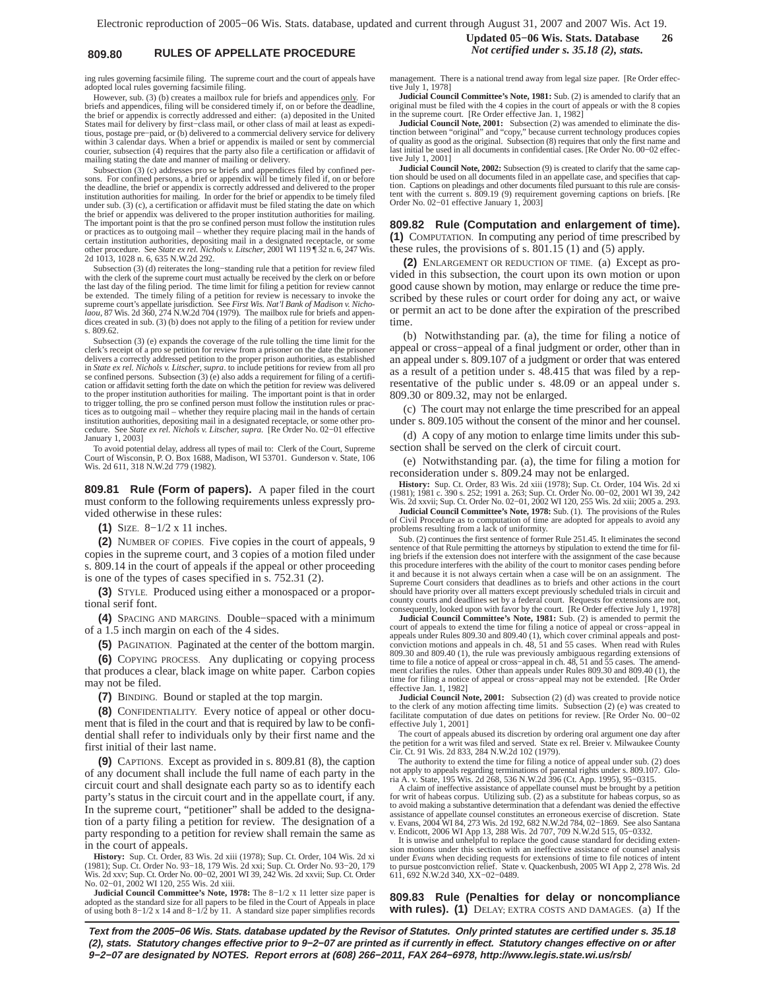# **809.80 RULES OF APPELLATE PROCEDURE** *Not certified under s. 35.18 (2), stats.*

**Updated 05−06 Wis. Stats. Database 26**

ing rules governing facsimile filing. The supreme court and the court of appeals have adopted local rules governing facsimile filing.

However, sub. (3) (b) creates a mailbox rule for briefs and appendices only. For briefs and appendices, filing will be considered timely if, on or before the deadline, the brief or appendix is correctly addressed and either: (a) deposited in the United States mail for delivery by first−class mail, or other class of mail at least as expeditious, postage pre−paid, or (b) delivered to a commercial delivery service for delivery within 3 calendar days. When a brief or appendix is mailed or sent by commercial courier, subsection (4) requires that the party also file a certification or affidavit of mailing stating the date and manner of mailing or delivery.

Subsection (3) (c) addresses pro se briefs and appendices filed by confined persons. For confined persons, a brief or appendix will be timely filed if, on or before the deadline, the brief or appendix is correctly addresse institution authorities for mailing. In order for the brief or appendix to be timely filed under sub. (3) (c), a certification or affidavit must be filed stating the date on which the brief or appendix was delivered to the proper institution authorities for mailing. The important point is that the pro se confined person must follow the institution rules or practices as to outgoing mail – whether they require placing mail in the hands of<br>certain institution authorities, depositing mail in a designated receptacle, or some<br>other procedure. See *State ex rel. Nichols v. Litsc* 2d 1013, 1028 n. 6, 635 N.W.2d 292.

Subsection (3) (d) reiterates the long−standing rule that a petition for review filed with the clerk of the supreme court must actually be received by the clerk on or before the last day of the filing period. The time limit for filing a petition for review cannot be extended. The timely filing of a petition for review is necessary to invoke the supreme court's appellate jurisdiction. See *First Wis. Nat'l Bank of Madison v. Nicho-laou*, 87 Wis. 2d 360, 274 N.W.2d 704 (1979). The mailbox rule for briefs and appendices created in sub. (3) (b) does not apply to the filing of a petition for review under s. 809.62.

Subsection (3) (e) expands the coverage of the rule tolling the time limit for the clerk's receipt of a pro se petition for review from a prisoner on the date the prisoner delivers a correctly addressed petition to the proper prison authorities, as established in *State ex rel. Nichols v. Litscher, supra* se confined persons. Subsection (3) (e) also adds a requirement for filing of a certification or affidavit setting forth the date on which the petition for review was delivered to the proper institution authorities for mailing. The important point is that in order to trigger tolling, the pro se confined person must follow the institution rules or practices as to outgoing mail – whether they require placing mail in the hands of certain institution authorities, depositing mail in a designated receptacle, or some other pro-cedure. See *State ex rel. Nichols v. Litscher, supra.* [Re Order No. 02−01 effective January 1, 2003]

To avoid potential delay, address all types of mail to: Clerk of the Court, Supreme Court of Wisconsin, P. O. Box 1688, Madison, WI 53701. Gunderson v. State, 106 Wis. 2d 611, 318 N.W.2d 779 (1982).

**809.81 Rule (Form of papers).** A paper filed in the court must conform to the following requirements unless expressly provided otherwise in these rules:

**(1)** SIZE. 8−1/2 x 11 inches.

**(2)** NUMBER OF COPIES. Five copies in the court of appeals, 9 copies in the supreme court, and 3 copies of a motion filed under s. 809.14 in the court of appeals if the appeal or other proceeding is one of the types of cases specified in s. 752.31 (2).

**(3)** STYLE. Produced using either a monospaced or a proportional serif font.

**(4)** SPACING AND MARGINS. Double−spaced with a minimum of a 1.5 inch margin on each of the 4 sides.

**(5)** PAGINATION. Paginated at the center of the bottom margin.

**(6)** COPYING PROCESS. Any duplicating or copying process that produces a clear, black image on white paper. Carbon copies may not be filed.

**(7)** BINDING. Bound or stapled at the top margin.

**(8)** CONFIDENTIALITY. Every notice of appeal or other document that is filed in the court and that is required by law to be confidential shall refer to individuals only by their first name and the first initial of their last name.

**(9)** CAPTIONS. Except as provided in s. 809.81 (8), the caption of any document shall include the full name of each party in the circuit court and shall designate each party so as to identify each party's status in the circuit court and in the appellate court, if any. In the supreme court, "petitioner" shall be added to the designation of a party filing a petition for review. The designation of a party responding to a petition for review shall remain the same as in the court of appeals.

**History:** Sup. Ct. Order, 83 Wis. 2d xiii (1978); Sup. Ct. Order, 104 Wis. 2d xi (1981); Sup. Ct. Order No. 93−18, 179 Wis. 2d xxi; Sup. Ct. Order No. 93−20, 179 Wis. 2d xxv; Sup. Ct. Order No. 00−02, 2001 WI 39, 242 Wis. 2d xxvii; Sup. Ct. Order No. 02−01, 2002 WI 120, 255 Wis. 2d xiii.

**Judicial Council Committee's Note, 1978:** The 8−1/2 x 11 letter size paper is adopted as the standard size for all papers to be filed in the Court of Appeals in place of using both 8−1/2 x 14 and 8−1/2 by 11. A standard size paper simplifies records management. There is a national trend away from legal size paper. [Re Order effective July 1, 1978] **Judicial Council Committee's Note, 1981:** Sub. (2) is amended to clarify that an

original must be filed with the 4 copies in the court of appeals or with the 8 copies in the supreme court. [Re Order effective Jan. 1, 1982]

**Judicial Council Note, 2001:** Subsection (2) was amended to eliminate the distinction between "original" and "copy," because current technology produces copies of quality as good as the original. Subsection (8) requires that only the first name and last initial be used in all documents in confidential cases. [Re Order No. 00−02 effective July 1, 2001]

**Judicial Council Note, 2002:** Subsection (9) is created to clarify that the same caption should be used on all documents filed in an appellate case, and specifies that cap-<br>tion. Captions on pleadings and other documents filed pursuant to this rule are consis-<br>tent with the current s. 809.19 (9) requireme Order No. 02−01 effective January 1, 2003]

**809.82 Rule (Computation and enlargement of time). (1)** COMPUTATION. In computing any period of time prescribed by these rules, the provisions of s. 801.15 (1) and (5) apply.

**(2)** ENLARGEMENT OR REDUCTION OF TIME. (a) Except as provided in this subsection, the court upon its own motion or upon good cause shown by motion, may enlarge or reduce the time prescribed by these rules or court order for doing any act, or waive or permit an act to be done after the expiration of the prescribed time.

(b) Notwithstanding par. (a), the time for filing a notice of appeal or cross−appeal of a final judgment or order, other than in an appeal under s. 809.107 of a judgment or order that was entered as a result of a petition under s. 48.415 that was filed by a representative of the public under s. 48.09 or an appeal under s. 809.30 or 809.32, may not be enlarged.

(c) The court may not enlarge the time prescribed for an appeal under s. 809.105 without the consent of the minor and her counsel.

(d) A copy of any motion to enlarge time limits under this subsection shall be served on the clerk of circuit court.

(e) Notwithstanding par. (a), the time for filing a motion for reconsideration under s. 809.24 may not be enlarged.

**History:** Sup. Ct. Order, 83 Wis. 2d xiii (1978); Sup. Ct. Order, 104 Wis. 2d xi<br>(1981); 1981 c. 390 s. 252; 1991 a. 263; Sup. Ct. Order No. 00–02, 2001 WI 39, 242<br>Wis. 2d xxvii; Sup. Ct. Order No. 02–01, 2002 WI 120, 255

**Judicial Council Committee's Note, 1978:** Sub. (1). The provisions of the Rules of Civil Procedure as to computation of time are adopted for appeals to avoid any problems resulting from a lack of uniformity.

Sub. (2) continues the first sentence of former Rule 251.45. It eliminates the second sentence of that Rule permitting the attorneys by stipulation to extend the time for filing briefs if the extension does not interfere with the assignment of the case because this procedure interferes with the ability of the court to monitor cases pending before it and because it is not always certain when a case will be on an assignment. The Supreme Court considers that deadlines as to briefs and other actions in the court<br>should have priority over all matters except previously scheduled trials in circuit and<br>county courts and deadlines set by a federal court. consequently, looked upon with favor by the court. [Re Order effective July 1, 1978]

**Judicial Council Committee's Note, 1981:** Sub. (2) is amended to permit the court of appeals to extend the time for filing a notice of appeal or cross−appeal in appeals under Rules 809.30 and 809.40 (1), which cover criminal appeals and postconviction motions and appeals in ch. 48, 51 and 55 cases. When read with Rules<br>809.30 and 809.40 (1), the rule was previously ambiguous regarding extensions of<br>time to file a notice of appeal or cross–appeal in ch. 48, 51 ment clarifies the rules. Other than appeals under Rules 809.30 and 809.40 (1), the time for filing a notice of appeal or cross–appeal may not be extended. [Re Order effective Jan. 1, 1982]

**Judicial Council Note, 2001:** Subsection (2) (d) was created to provide notice to the clerk of any motion affecting time limits. Subsection (2) (e) was created to facilitate computation of due dates on petitions for review. [Re Order No. 00−02 effective July 1, 2001]

The court of appeals abused its discretion by ordering oral argument one day after the petition for a writ was filed and served. State ex rel. Breier v. Milwaukee County Cir. Ct. 91 Wis. 2d 833, 284 N.W.2d 102 (1979).

The authority to extend the time for filing a notice of appeal under sub. (2) does not apply to appeals regarding terminations of parental rights under s. 809.107. Glo-ria A. v. State, 195 Wis. 2d 268, 536 N.W.2d 396 (Ct. App. 1995), 95−0315.

A claim of ineffective assistance of appellate counsel must be brought by a petition<br>for writ of habeas corpus. Utilizing sub. (2) as a substitute for habeas corpus, so as<br>to avoid making a substantive determination that a assistance of appellate counsel constitutes an erroneous exercise of discretion. State<br>v. Evans, 2004 W1 84, 273 Wis. 2d 192, 682 N.W.2d 784, 02–1869. See also Santana<br>v. Endicott, 2006 WI App 13, 288 Wis. 2d 707, 709 N.W.

It is unwise and unhelpful to replace the good cause standard for deciding exten-sion motions under this section with an ineffective assistance of counsel analysis under *Evans* when deciding requests for extensions of time to file notices of intent to pursue postconviction relief. State v. Quackenbush, 2005 WI App 2, 278 Wis. 2d 611, 692 N.W.2d 340, XX−02−0489.

**809.83 Rule (Penalties for delay or noncompliance with rules). (1)** DELAY; EXTRA COSTS AND DAMAGES. (a) If the